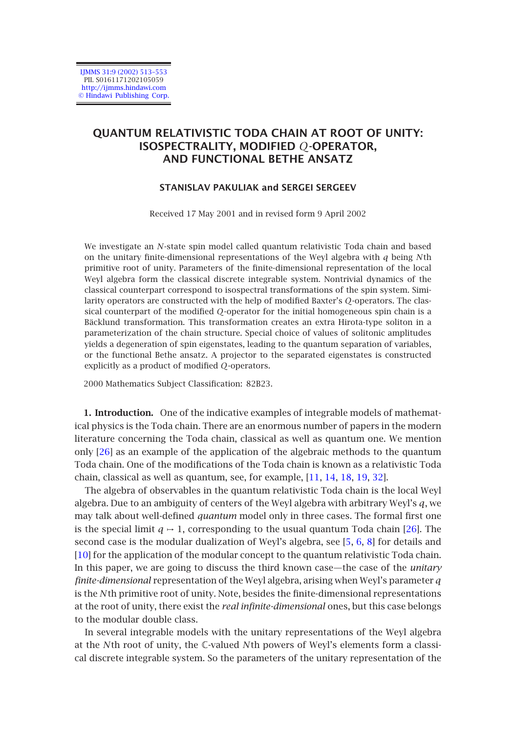IJMMS 31:9 (2002) 513–553 PII. S0161171202105059 http://ijmms.hindawi.com © Hindawi Publishing Corp.

# **QUANTUM RELATIVISTIC TODA CHAIN AT ROOT OF UNITY: ISOSPECTRALITY, MODIFIED** *Q***-OPERATOR, AND FUNCTIONAL BETHE ANSATZ**

## **STANISLAV PAKULIAK and SERGEI SERGEEV**

Received 17 May 2001 and in revised form 9 April 2002

We investigate an *N*-state spin model called quantum relativistic Toda chain and based on the unitary finite-dimensional representations of the Weyl algebra with *q* being *N*th primitive root of unity. Parameters of the finite-dimensional representation of the local Weyl algebra form the classical discrete integrable system. Nontrivial dynamics of the classical counterpart correspond to isospectral transformations of the spin system. Similarity operators are constructed with the help of modified Baxter's *Q*-operators. The classical counterpart of the modified *Q*-operator for the initial homogeneous spin chain is a Bäcklund transformation. This transformation creates an extra Hirota-type soliton in a parameterization of the chain structure. Special choice of values of solitonic amplitudes yields a degeneration of spin eigenstates, leading to the quantum separation of variables, or the functional Bethe ansatz. A projector to the separated eigenstates is constructed exp[licit](#page-40-0)ly as a product of modified *Q*-operators.

2000 Mathematics Subject Classification: 82B23.

**1. Introduction.** One of the indicative examples of integrable models of mathematical physics is the Toda chain. There are an enormous number of papers in the modern literature concerning the Toda chain, classical as well as quantum one. We [me](#page-40-0)ntion only [26] as an example of the application of the algebraic m[eth](#page-39-0)[od](#page-39-1)[s t](#page-39-2)o the quantum [Tod](#page-39-3)a chain. One of the modifications of the Toda chain is known as a relativistic Toda chain, classical as well as quantum, see, for example, [11, 14, 18, 19, 32].

The algebra of observables in the quantum relativistic Toda chain is the local Weyl algebra. Due to an ambiguity of centers of the Weyl algebra with arbitrary Weyl's *q*, we may talk about well-defined *quantum* model only in three cases. The formal first one is the special limit  $q \mapsto 1$ , corresponding to the usual quantum Toda chain [26]. The second case is the modular dualization of Weyl's algebra, see [5, 6, 8] for details and [10] for the application of the modular concept to the quantum relativistic Toda chain. In this paper, we are going to discuss the third known case—the case of the *unitary finite-dimensional* representation of the Weyl algebra, arising when Weyl's parameter *q* is the *N*th primitive root of unity. Note, besides the finite-dimensional representations at the root of unity, there exist the *real infinite-dimensional* ones, but this case belongs to the modular double class.

In several integrable models with the unitary representations of the Weyl algebra at the *N*th root of unity, the C-valued *N*th powers of Weyl's elements form a classical discrete integrable system. So the parameters of the unitary representation of the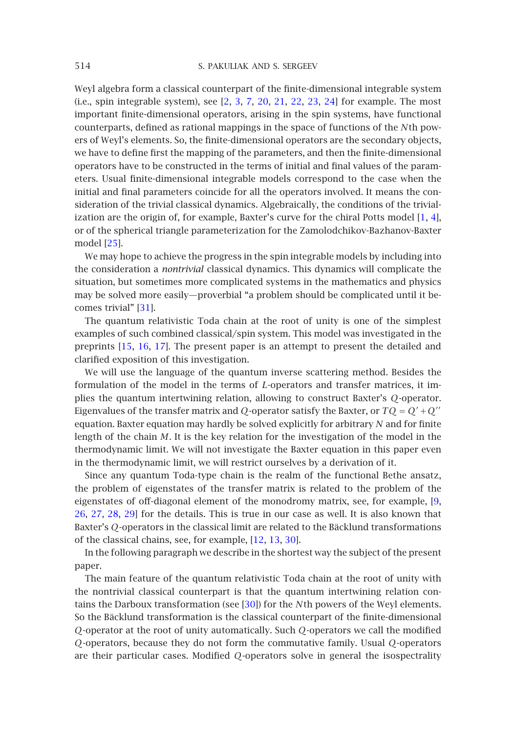Weyl algebra form a classical counterpart of the finite-dimensional integrable system (i.e., spin integrable system), see [2, 3, 7, 20, 21, 22, 23, 24] for example. The most important finite-dimensional operators, arising in the spin systems, have functional counterparts, defined as rational mappings in the space of functions of the *N*th [p](#page-39-4)[ow](#page-39-5)ers of Weyl's elements. So, the finite-dimensional operators are the secondary objects, we hav[e to](#page-40-1) define first the mapping of the parameters, and then the finite-dimensional operators have to be constructed in the terms of initial and final values of the parameters. Usual finite-dimensional integrable models correspond to the case when the initial and final parameters coincide for all the operators involved. It means the consideration of the trivial classical dynamics. Algebraically, the conditions of the trivialization are the [ori](#page-40-2)gin of, for example, Baxter's curve for the chiral Potts model [1, 4], or of the spherical triangle parameterization for the Zamolodchikov-Bazhanov-Baxter model [25].

We may [hop](#page-40-3)[e to](#page-40-4) [ach](#page-40-5)ieve the progress in the spin integrable models by including into the consideration a *nontrivial* classical dynamics. This dynamics will complicate the situation, but sometimes more complicated systems in the mathematics and physics may be solved more easily—proverbial "a problem should be complicated until it becomes trivial" [31].

The quantum relativistic Toda chain at the root of unity is one of the simplest examples of such combined classical/spin system. This model was investigated in the preprints [15, 16, 17]. The present paper is an attempt to present the detailed and clarified exposition of this investigation.

We will use the language of the quantum inverse scattering method. Besides the formulation of the model in the terms of *L*-operators and transfer matrices, it implies the quantum intertwining relation, allowing to construct Baxter's *Q*-operator. Eigenvalues of the transfer matrix and *[Q](#page-39-6)*-operator satisfy the Baxter, or  $TQ = Q' + Q''$ [equ](#page-40-0)[atio](#page-40-6)[n. B](#page-40-7)[axt](#page-40-8)er equation may hardly be solved explicitly for arbitrary *N* and for finite length of the chain *M*. It is the key relation for the investigation of the model in the thermodynamic limit. We will not invest[igat](#page-39-7)[e th](#page-39-8)[e Ba](#page-40-9)xter equation in this paper even in the thermodynamic limit, we will restrict ourselves by a derivation of it.

Since any quantum Toda-type chain is the realm of the functional Bethe ansatz, the problem of eigenstates of the transfer matrix is related to the problem of the eigenstates of off-diagonal element of the monodromy matrix, see, for example, [9, 26, 27, 28, 29] for the details. This is [true](#page-40-9) in our case as well. It is also known that Baxter's *Q*-operators in the classical limit are related to the Bäcklund transformations of the classical chains, see, for example, [12, 13, 30].

In the following paragraph we describe in the shortest way the subject of the present paper.

The main feature of the quantum relativistic Toda chain at the root of unity with the nontrivial classical counterpart is that the quantum intertwining relation contains the Darboux transformation (see [30]) for the *N*th powers of the Weyl elements. So the Bäcklund transformation is the classical counterpart of the finite-dimensional *Q*-operator at the root of unity automatically. Such *Q*-operators we call the modified *Q*-operators, because they do not form the commutative family. Usual *Q*-operators are their particular cases. Modified *Q*-operators solve in general the isospectrality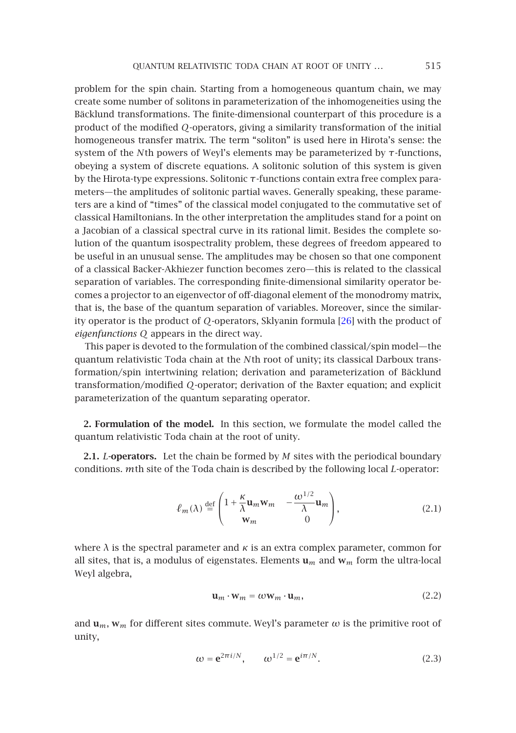problem for the spin chain. Starting from a homogeneous quantum chain, we may create some number of solitons in parameterization of the inhomogeneities using the Bäcklund transformations. The finite-dimensional counterpart of this procedure is a product of the modified *Q*-operators, giving a similarity transformation of the initial homogeneous transfer matrix. The term "soliton" is used here in Hirota's sense: the system of the *N*th powers of Weyl's elements may be parameterized by *τ*-functions, obeying a system of discrete equations. A solitonic solution of this system is given by the Hirota-type expressions. Solitonic *τ*-functions contain extra free complex parameters—the amplitudes of solitonic partial waves. Generally speaking, these parameters are a kind of "times" of the classical model conjugated to the commutative set of classical Hamiltonians. In the other interpretation the amplitudes stand for a point on a Jacobian of a classical spectral curve in its rational limit. B[esid](#page-40-0)es the complete solution of the quantum isospectrality problem, these degrees of freedom appeared to be useful in an unusual sense. The amplitudes may be chosen so that one component of a classical Backer-Akhiezer function becomes zero—this is related to the classical separation of variables. The corresponding finite-dimensional similarity operator becomes a projector to an eigenvector of off-diagonal element of the monodromy matrix, that is, the base of the quantum separation of variables. Moreover, since the similarity operator is the product of *Q*-operators, Sklyanin formula [26] with the product of *eigenfunctions Q* appears in the direct way.

This paper is devoted to the formulation of the combined classical/spin model—the quantum relativistic Toda chain at the *N*th root of unity; its classical Darboux transformation/spin intertwining relation; derivation and parameterization of Bäcklund transformation/modified *Q*-operator; derivation of the Baxter equation; and explicit parameterization of the quantum separating operator.

**2. Formulation of the model.** In this section, we formulate the model called the quantum relativistic Toda chain at the root of unity.

<span id="page-2-1"></span>**2.1.** *L***-operators.** Let the chain be formed by *M* sites with the periodical boundary conditions. *m*th site of the Toda chain is described by the following local *L*-operator:

<span id="page-2-0"></span>
$$
\ell_m(\lambda) \stackrel{\text{def}}{=} \begin{pmatrix} 1 + \frac{\kappa}{\lambda} \mathbf{u}_m \mathbf{w}_m & -\frac{\omega^{1/2}}{\lambda} \mathbf{u}_m \\ \mathbf{w}_m & 0 \end{pmatrix},
$$
(2.1)

where  $\lambda$  is the spectral parameter and  $\kappa$  is an extra complex parameter, common for all sites, that is, a modulus of eigenstates. Elements **u***<sup>m</sup>* and **w***<sup>m</sup>* form the ultra-local Weyl algebra,

$$
\mathbf{u}_m \cdot \mathbf{w}_m = \omega \mathbf{w}_m \cdot \mathbf{u}_m,\tag{2.2}
$$

and  $\mathbf{u}_m$ ,  $\mathbf{w}_m$  for different sites commute. Weyl's parameter  $\omega$  is the primitive root of unity,

$$
\omega = \mathbf{e}^{2\pi i/N}, \qquad \omega^{1/2} = \mathbf{e}^{i\pi/N}.
$$
 (2.3)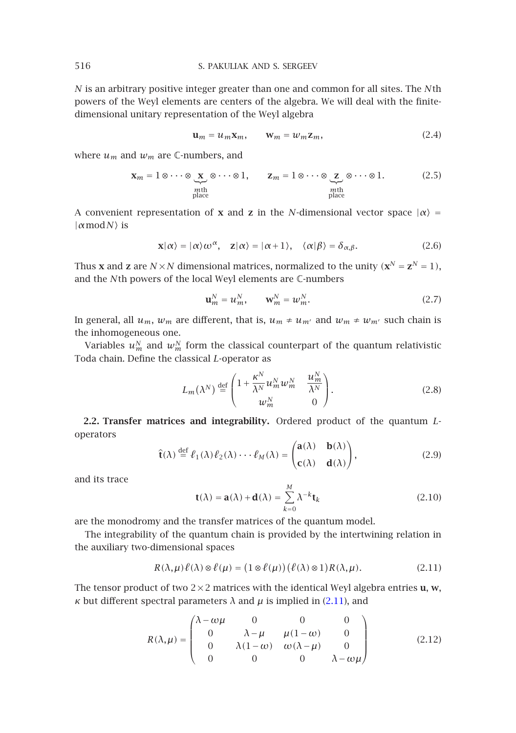*N* is an arbitrary positive integer greater than one and common for all sites. The *N*th powers of the Weyl elements are centers of the algebra. We will deal with the finitedimensional unitary representation of the Weyl algebra

<span id="page-3-6"></span><span id="page-3-5"></span><span id="page-3-4"></span>
$$
\mathbf{u}_m = u_m \mathbf{x}_m, \qquad \mathbf{w}_m = w_m \mathbf{z}_m, \tag{2.4}
$$

where  $u_m$  and  $w_m$  are C-numbers, and

$$
\mathbf{x}_m = 1 \otimes \cdots \otimes \underbrace{\mathbf{x}}_{\text{mth}} \otimes \cdots \otimes 1, \qquad \mathbf{z}_m = 1 \otimes \cdots \otimes \underbrace{\mathbf{z}}_{\text{mth}} \otimes \cdots \otimes 1. \tag{2.5}
$$

A convenient representation of **x** and **z** in the *N*-dimensional vector space  $|\alpha\rangle$  = |*α*mod*N* is

$$
\mathbf{x}|\alpha\rangle = |\alpha\rangle \omega^{\alpha}, \quad \mathbf{z}|\alpha\rangle = |\alpha + 1\rangle, \quad \langle \alpha|\beta\rangle = \delta_{\alpha,\beta}.
$$
 (2.6)

Thus **x** and **z** are  $N \times N$  dimensional matrices, normalized to the unity  $(\mathbf{x}^N = \mathbf{z}^N = 1)$ , and the *N*th powers of the local Weyl elements are C-numbers

<span id="page-3-2"></span>
$$
\mathbf{u}_m^N = u_m^N, \qquad \mathbf{w}_m^N = w_m^N. \tag{2.7}
$$

<span id="page-3-3"></span>In general, all  $u_m$ ,  $w_m$  are different, that is,  $u_m \neq u_{m'}$  and  $w_m \neq w_{m'}$  such chain is the inhomogeneous one.

<span id="page-3-1"></span>Variables  $u^N_m$  and  $w^N_m$  form the classical counterpart of the quantum relativistic Toda chain. Define the classical *L*-operator as

$$
L_m(\lambda^N) \stackrel{\text{def}}{=} \begin{pmatrix} 1 + \frac{\kappa^N}{\lambda^N} u_m^N w_m^N & \frac{u_m^N}{\lambda^N} \\ w_m^N & 0 \end{pmatrix} . \tag{2.8}
$$

**2.2. Transfer matrices and integrability.** Ordered product of the quantum *L*operators

<span id="page-3-0"></span>
$$
\hat{\mathbf{t}}(\lambda) \stackrel{\text{def}}{=} \ell_1(\lambda)\ell_2(\lambda)\cdots\ell_M(\lambda) = \begin{pmatrix} \mathbf{a}(\lambda) & \mathbf{b}(\lambda) \\ \mathbf{c}(\lambda) & \mathbf{d}(\lambda) \end{pmatrix},
$$
\n(2.9)

and its trace

$$
\mathbf{t}(\lambda) = \mathbf{a}(\lambda) + \mathbf{d}(\lambda) = \sum_{k=0}^{M} \lambda^{-k} \mathbf{t}_k
$$
 (2.10)

are the monodromy and the transfer matrices of the qua[ntum](#page-3-0) model.

The integrability of the quantum chain is provided by the intertwining relation in the auxiliary two-dimensional spaces

$$
R(\lambda, \mu)\ell(\lambda) \otimes \ell(\mu) = (1 \otimes \ell(\mu))(\ell(\lambda) \otimes 1)R(\lambda, \mu). \tag{2.11}
$$

The tensor product of two  $2 \times 2$  matrices with the identical Weyl algebra entries **u**, **w**, *κ* but different spectral parameters  $λ$  and  $μ$  is implied in (2.11), and

$$
R(\lambda, \mu) = \begin{pmatrix} \lambda - \omega\mu & 0 & 0 & 0 \\ 0 & \lambda - \mu & \mu(1 - \omega) & 0 \\ 0 & \lambda(1 - \omega) & \omega(\lambda - \mu) & 0 \\ 0 & 0 & 0 & \lambda - \omega\mu \end{pmatrix}
$$
(2.12)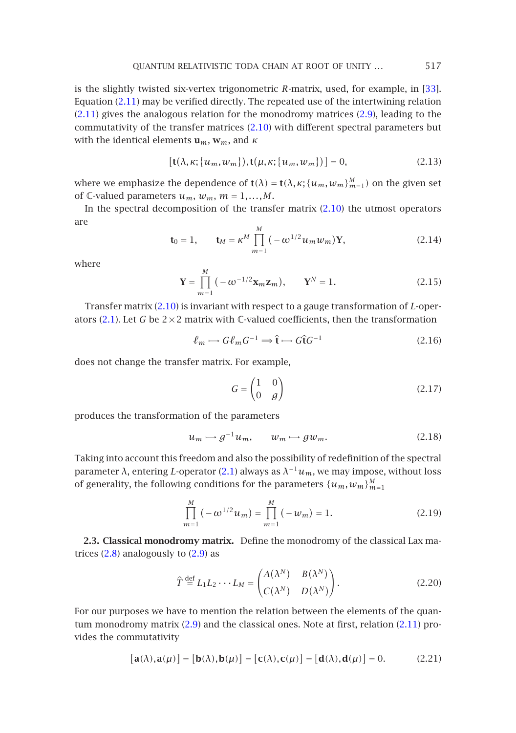<span id="page-4-5"></span><span id="page-4-1"></span>is the slightly twisted six-vertex trigonometric *R*-matrix, used, for example, in [33]. Equation (2.11) may be verified directly. The repeated use of the intertwining relation (2.11) gives the analogous relation for the monodromy matrices (2.9), leading to the commutativity of the transfer matrices (2.10) with differ[ent](#page-3-1) [sp](#page-3-1)ectral parameters but with the identical elements **u***m*, **w***m*, and *κ*

$$
[\mathbf{t}(\lambda,\kappa;\{u_m,w_m\}),\mathbf{t}(\mu,\kappa;\{u_m,w_m\})] = 0, \tag{2.13}
$$

<span id="page-4-2"></span>where we emphasize the dependence of  $\mathbf{t}(\lambda) = \mathbf{t}(\lambda, \kappa; \{u_m, w_m\}_{m=1}^M)$  on the given set of  $\mathbb{C}\text{-valued parameters } u_m, w_m, m = 1, \ldots, M.$ 

In the spectral decomposition of the transfer matrix  $(2.10)$  the utmost operators are

$$
\mathbf{t}_0 = 1, \qquad \mathbf{t}_M = \kappa^M \prod_{m=1}^M \left( -\omega^{1/2} u_m w_m \right) \mathbf{Y}, \tag{2.14}
$$

where

<span id="page-4-3"></span>
$$
\mathbf{Y} = \prod_{m=1}^{M} (-\omega^{-1/2} \mathbf{x}_m \mathbf{z}_m), \qquad \mathbf{Y}^{N} = 1.
$$
 (2.15)

Transfer matrix (2.10) is invariant with respect to a gauge transformation of *L*-operators (2.1). Let *G* be  $2\times2$  matrix with *C*-valued coefficients, then the transformation

<span id="page-4-0"></span>
$$
\ell_m \longrightarrow G \ell_m G^{-1} \longrightarrow \hat{\mathbf{t}} \longrightarrow G \hat{\mathbf{t}} G^{-1}
$$
 (2.16)

does not change the transfer matrix. For example,

<span id="page-4-4"></span>
$$
G = \begin{pmatrix} 1 & 0 \\ 0 & g \end{pmatrix} \tag{2.17}
$$

produces the transformation of the parameters

$$
u_m \mapsto g^{-1}u_m, \qquad w_m \mapsto gw_m. \tag{2.18}
$$

Taking into account this freedom and also the possibility of redefinition of the spectral param[eter](#page-3-2) *λ*, entering *L*-op[erat](#page-3-3)or (2.1) always as  $λ^{-1}u_m$ , we may impose, without loss of generality, the following conditions for the parameters  $\{u_m, w_m\}_{m=1}^M$ 

$$
\prod_{m=1}^{M} \left( -\omega^{1/2} u_m \right) = \prod_{m=1}^{M} \left( -w_m \right) = 1.
$$
\n(2.19)

**2.3. Classical monodr[omy](#page-3-3) matrix.** Define the monodromy of the classic[al](#page-3-0) [Lax](#page-3-0) matrices  $(2.8)$  analogously to  $(2.9)$  as

$$
\hat{T} \stackrel{\text{def}}{=} L_1 L_2 \cdots L_M = \begin{pmatrix} A(\lambda^N) & B(\lambda^N) \\ C(\lambda^N) & D(\lambda^N) \end{pmatrix}.
$$
\n(2.20)

For our purposes we have to mention the relation between the elements of the quantum monodromy matrix (2.9) and the classical ones. Note at first, relation (2.11) provides the commutativity

$$
[\mathbf{a}(\lambda), \mathbf{a}(\mu)] = [\mathbf{b}(\lambda), \mathbf{b}(\mu)] = [\mathbf{c}(\lambda), \mathbf{c}(\mu)] = [\mathbf{d}(\lambda), \mathbf{d}(\mu)] = 0.
$$
 (2.21)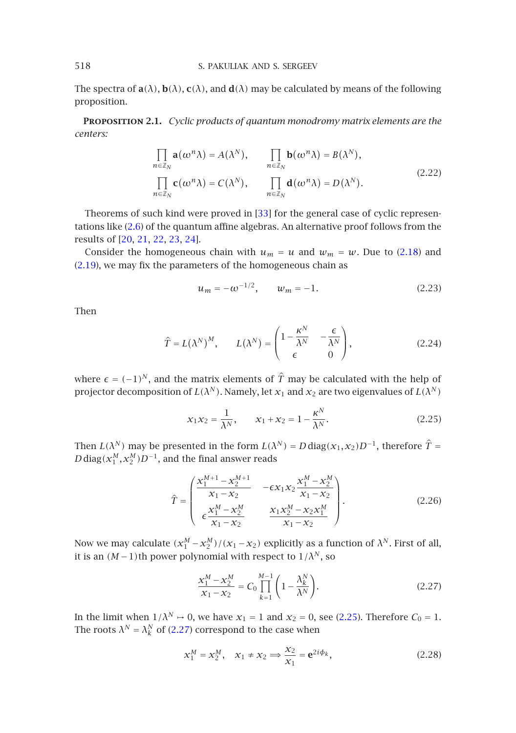The spectra of  $\mathbf{a}(\lambda)$ ,  $\mathbf{b}(\lambda)$ ,  $\mathbf{c}(\lambda)$ , and  $\mathbf{d}(\lambda)$  may be calculated by means of the following proposition.

**Proposition 2.1.** *Cyclic products of qu[ant](#page-40-10)um monodromy matrix elements are the centers:*

$$
\prod_{n \in \mathbb{Z}_N} \mathbf{a}(\omega^n \lambda) = A(\lambda^N), \qquad \prod_{n \in \mathbb{Z}_N} \mathbf{b}(\omega^n \lambda) = B(\lambda^N),
$$
\n
$$
\prod_{n \in \mathbb{Z}_N} \mathbf{c}(\omega^n \lambda) = C(\lambda^N), \qquad \prod_{n \in \mathbb{Z}_N} \mathbf{d}(\omega^n \lambda) = D(\lambda^N).
$$
\n(2.22)

Theorems of such kind were proved in [33] for the general case of cyclic representations like (2.6) of the quantum affine algebras. An alternative proof follows from the results of [20, 21, 22, 23, 24].

Consider the homogeneous chain with  $u_m = u$  and  $w_m = w$ . Due to (2.18) and (2.19), we may fix the parameters of the homogeneous chain as

<span id="page-5-1"></span>
$$
u_m = -\omega^{-1/2}, \qquad w_m = -1. \tag{2.23}
$$

Then

$$
\hat{T} = L(\lambda^N)^M, \qquad L(\lambda^N) = \begin{pmatrix} 1 - \frac{\kappa^N}{\lambda^N} & -\frac{\epsilon}{\lambda^N} \\ \epsilon & 0 \end{pmatrix}, \tag{2.24}
$$

where  $\epsilon = (-1)^N$ , and the matrix elements of  $\hat{T}$  may be calculated with the help of projector decomposition of  $L(\lambda^N)$ . Namely, let  $x_1$  and  $x_2$  are two eigenvalues of  $L(\lambda^N)$ 

<span id="page-5-0"></span>
$$
x_1 x_2 = \frac{1}{\lambda^N}, \qquad x_1 + x_2 = 1 - \frac{\kappa^N}{\lambda^N}.
$$
 (2.25)

Then *L(λ<sup>N</sup>)* may be presented in the form  $L(\lambda^N) = D \text{ diag}(x_1, x_2)D^{-1}$ , therefore  $\hat{T} =$  $D$  diag $(x_1^M, x_2^M)D^{-1}$ , and the final answer reads

$$
\hat{T} = \begin{pmatrix}\n\frac{x_1^{M+1} - x_2^{M+1}}{x_1 - x_2} & -\epsilon x_1 x_2 \frac{x_1^M - x_2^M}{x_1 - x_2} \\
\epsilon \frac{x_1^M - x_2^M}{x_1 - x_2} & \frac{x_1 x_2^M - x_2 x_1^M}{x_1 - x_2}\n\end{pmatrix}.
$$
\n(2.26)

Now we may calculate  $(x_1^M - x_2^M)/ (x_1 - x_2)$  $(x_1^M - x_2^M)/ (x_1 - x_2)$  explicitly as a function of  $\lambda^N$ . First of all, it is an  $(M-1)$ th power polynomial with respect to  $1/\lambda^N$ , so

$$
\frac{x_1^M - x_2^M}{x_1 - x_2} = C_0 \prod_{k=1}^{M-1} \left( 1 - \frac{\lambda_k^N}{\lambda^N} \right).
$$
 (2.27)

In the limit when  $1/\lambda^N \rightarrow 0$ , we have  $x_1 = 1$  and  $x_2 = 0$ , see (2.25). Therefore  $C_0 = 1$ . The roots  $\lambda^N = \lambda^N_k$  of (2.27) correspond to the case when

$$
x_1^M = x_2^M
$$
,  $x_1 \neq x_2 \Rightarrow \frac{x_2}{x_1} = e^{2i\phi_k}$ , (2.28)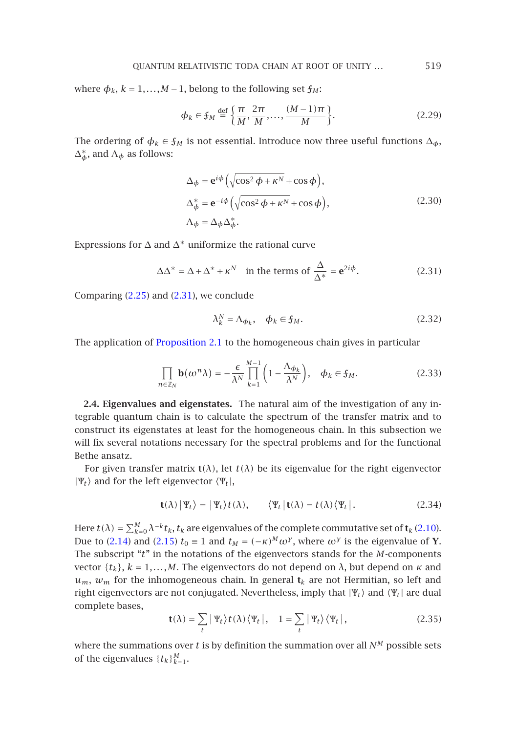<span id="page-6-2"></span>where  $\phi_k$ ,  $k = 1, \ldots, M-1$ , belong to the following set  $\mathfrak{f}_M$ :

<span id="page-6-3"></span>
$$
\phi_k \in \mathfrak{f}_M \stackrel{\text{def}}{=} \left\{ \frac{\pi}{M}, \frac{2\pi}{M}, \dots, \frac{(M-1)\pi}{M} \right\}.
$$
 (2.29)

The ordering of  $\phi_k \in \mathfrak{f}_M$  is not essential. Introduce now three useful functions  $\Delta_{\phi}$ ,  $\Delta_{\phi}^*$ , and  $\Lambda_{\phi}$  as follows:

<span id="page-6-0"></span>
$$
\Delta_{\phi} = \mathbf{e}^{i\phi} \left( \sqrt{\cos^2 \phi + \kappa^N} + \cos \phi \right),
$$
  
\n
$$
\Delta_{\phi}^* = \mathbf{e}^{-i\phi} \left( \sqrt{\cos^2 \phi + \kappa^N} + \cos \phi \right),
$$
  
\n
$$
\Delta_{\phi} = \Delta_{\phi} \Delta_{\phi}^*.
$$
\n(2.30)

Expressions for  $\Delta$  and  $\Delta^*$  uniformize the rational curve

$$
\Delta \Delta^* = \Delta + \Delta^* + \kappa^N \quad \text{in the terms of } \frac{\Delta}{\Delta^*} = \mathbf{e}^{2i\phi}.
$$
 (2.31)

Comparing (2.25) and (2.31), we conclude

<span id="page-6-1"></span>
$$
\lambda_k^N = \Lambda_{\phi_k}, \quad \phi_k \in \mathfrak{f}_M. \tag{2.32}
$$

The application of Proposition 2.1 to the homogeneous chain gives in particular

$$
\prod_{n\in\mathbb{Z}_N} \mathbf{b}(\omega^n \lambda) = -\frac{\epsilon}{\lambda^N} \prod_{k=1}^{M-1} \left( 1 - \frac{\Lambda_{\phi_k}}{\lambda^N} \right), \quad \phi_k \in \mathfrak{f}_M. \tag{2.33}
$$

**2.4. Eigenvalues and eigenstates.** The natural aim of the investigation of any integrable quantum chain is to calculate the spectrum of the transfer matrix and to construct its eigenstates at least for the homogeneous chain. In this subsection we will fix several notations necessary for the spectral problems and for the fun[ctiona](#page-3-1)l Bethe a[nsatz](#page-4-1).

For given transfer matrix  $t(\lambda)$ , let  $t(\lambda)$  be its eigenvalue for the right eigenvector  $|\Psi_t\rangle$  and for the left eigenvector  $\langle \Psi_t |$ ,

$$
\mathbf{t}(\lambda) \, |\Psi_t\rangle = |\Psi_t\rangle \, t(\lambda), \qquad \langle \Psi_t \, |\, \mathbf{t}(\lambda) = t(\lambda) \, \langle \Psi_t \, |\,. \tag{2.34}
$$

Here  $t(\lambda)=\sum_{k=0}^{M}\lambda^{-k}t_{k}$ ,  $t_{k}$  are eigenvalues of the complete commutative set of  $\textbf{t}_{k}$  (2.10). Due to (2.14) and (2.15)  $t_0 \equiv 1$  and  $t_M = (-\kappa)^M \omega^{\gamma}$ , where  $\omega^{\gamma}$  is the eigenvalue of **Y**. The subscript "*t*" in the notations of the eigenvectors stands for the *M*-components vector {*tk*}, *k* = 1*,...,M*. The eigenvectors do not depend on *λ*, but depend on *κ* and  $u_m$ ,  $w_m$  for the inhomogeneous chain. In general  $t_k$  are not Hermitian, so left and right eigenvectors are not conjugated. Nevertheless, imply that  $|\Psi_t\rangle$  and  $\langle \Psi_t|$  are dual complete bases,

$$
\mathbf{t}(\lambda) = \sum_{t} |\Psi_{t}\rangle t(\lambda) \langle \Psi_{t} |, \quad 1 = \sum_{t} |\Psi_{t}\rangle \langle \Psi_{t} |,
$$
 (2.35)

where the summations over  $t$  is by definition the summation over all  $N^M$  possible sets of the eigenvalues  $\{t_k\}_{k=1}^M$ .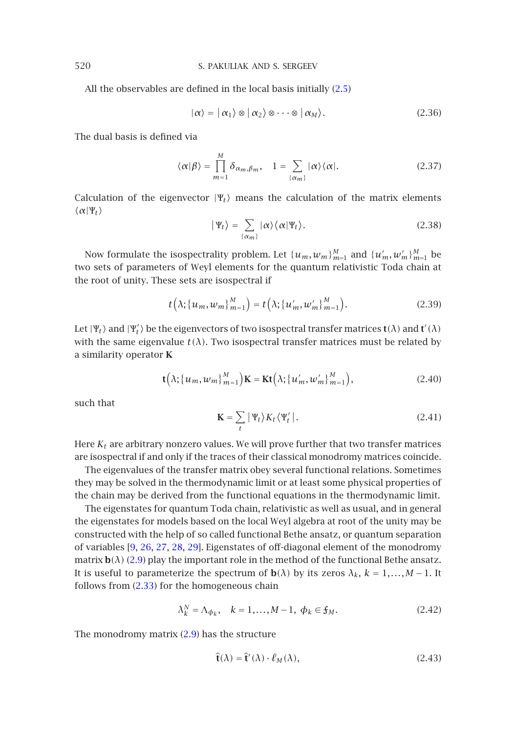All the observables are defined in the local basis initially (2.5)

$$
|\alpha\rangle = |\alpha_1\rangle \otimes |\alpha_2\rangle \otimes \cdots \otimes |\alpha_M\rangle. \tag{2.36}
$$

The dual basis is defined via

$$
\langle \alpha | \beta \rangle = \prod_{m=1}^{M} \delta_{\alpha_m, \beta_m}, \quad 1 = \sum_{\{\alpha_m\}} |\alpha\rangle \langle \alpha|.
$$
 (2.37)

Calculation of the eigenvector  $|\Psi_t\rangle$  means the calculation of the matrix elements  $\langle \alpha | \Psi_t \rangle$ 

$$
|\Psi_t\rangle = \sum_{\{\alpha_m\}} |\alpha\rangle \langle \alpha|\Psi_t\rangle.
$$
 (2.38)

Now formulate the isospectrality problem. Let  $\{u_m, w_m\}_{m=1}^M$  and  $\{u'_m, w'_m\}_{m=1}^M$  be two sets of parameters of Weyl elements for the quantum relativistic Toda chain at the root of unity. These sets are isospectral if

$$
t\left(\lambda;\{u_m,w_m\}_{m=1}^M\right) = t\left(\lambda;\{u'_m,w'_m\}_{m=1}^M\right). \tag{2.39}
$$

Let  $|\Psi_t\rangle$  and  $|\Psi'_t\rangle$  be the eigenvectors of two isospectral transfer matrices  $t(\lambda)$  and  $t'(\lambda)$ with the same eigenvalue  $t(\lambda)$ . Two isospectral transfer matrices must be related by a similarity operator **K**

$$
\mathbf{t}(\lambda; \{u_m, w_m\}_{m=1}^M)\mathbf{K} = \mathbf{K}\mathbf{t}(\lambda; \{u'_m, w'_m\}_{m=1}^M),
$$
 (2.40)

such that

$$
\mathbf{K} = \sum_{t} |\Psi_t\rangle K_t \langle \Psi'_t |.
$$
 (2.41)

Here  $K_t$  are arbitrary nonzero values. We will prove further that two transfer matrices are isospectr[al](#page-39-6) [if a](#page-40-0)[nd o](#page-40-6)[nly](#page-40-7) [if th](#page-40-8)e traces of their classical monodromy matrices coincide.

The eigen[valu](#page-3-3)es of the transfer matrix obey several functional relations. Sometimes they may be solved in the thermodynamic limit or at least some physical properties of the chain ma[y be d](#page-6-1)erived from the functional equations in the thermodynamic limit.

The eigenstates for quantum Toda chain, relativistic as well as usual, and in general the eigenstates for models based on the local Weyl algebra at root of the unity may be constructed with the help of so called functional Bethe ansatz, or quantum separation of variables [9, 26, 27, 28, [29](#page-3-3)]. Eigenstates of off-diagonal element of the monodromy matrix  $\mathbf{b}(\lambda)$  (2.9) play the important role in the method of the functional Bethe ansatz. It is useful to parameterize the spectrum of  $\mathbf{b}(\lambda)$  by its zeros  $\lambda_k$ ,  $k = 1, ..., M - 1$ . It follows from (2.33) for the homogeneous chain

$$
\lambda_k^N = \Lambda_{\phi_k}, \quad k = 1, \dots, M - 1, \ \phi_k \in \mathfrak{f}_M. \tag{2.42}
$$

The monodromy matrix (2.9) has the structure

$$
\hat{\mathbf{t}}(\lambda) = \hat{\mathbf{t}}'(\lambda) \cdot \ell_M(\lambda),\tag{2.43}
$$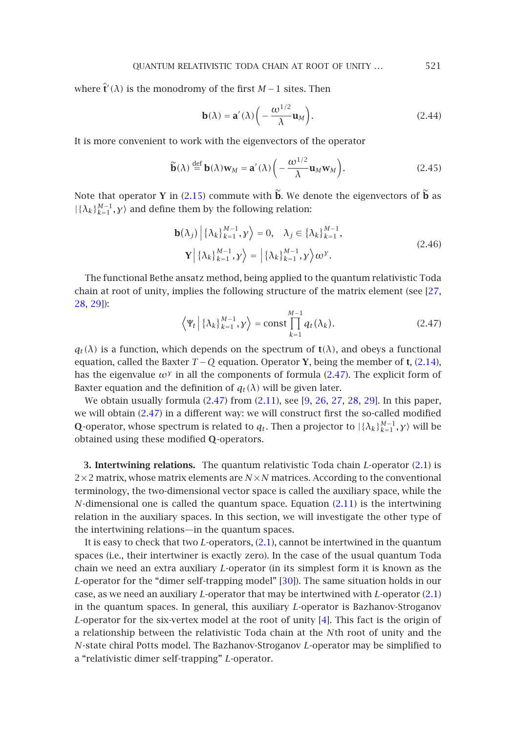where  $\hat{\mathbf{t}}'(\lambda)$  is the monodromy of the first *M* − 1 sites. Then

<span id="page-8-2"></span><span id="page-8-1"></span>
$$
\mathbf{b}(\lambda) = \mathbf{a}'(\lambda) \left( -\frac{\omega^{1/2}}{\lambda} \mathbf{u}_M \right). \tag{2.44}
$$

It is more convenient to work with the eigenvectors of the operator

$$
\widetilde{\mathbf{b}}(\lambda) \stackrel{\text{def}}{=} \mathbf{b}(\lambda)\mathbf{w}_M = \mathbf{a}'(\lambda) \left( -\frac{\omega^{1/2}}{\lambda} \mathbf{u}_M \mathbf{w}_M \right). \tag{2.45}
$$

<span id="page-8-0"></span>Note that operator **Y** in (2.15) commute with  $\tilde{b}$ . We denote the eigenvectors of  $\tilde{b}$  [as](#page-40-6)  $|{\{\lambda_k\}}_{k=1}^{M-1}, y\rangle$  $|{\{\lambda_k\}}_{k=1}^{M-1}, y\rangle$  $|{\{\lambda_k\}}_{k=1}^{M-1}, y\rangle$  $|{\{\lambda_k\}}_{k=1}^{M-1}, y\rangle$  and define them by the following relation:

$$
\mathbf{b}(\lambda_j) \left| \{ \lambda_k \}_{k=1}^{M-1}, \mathbf{y} \right\rangle = 0, \quad \lambda_j \in \{ \lambda_k \}_{k=1}^{M-1},
$$
\n
$$
\mathbf{Y} \left| \{ \lambda_k \}_{k=1}^{M-1}, \mathbf{y} \right\rangle = \left| \{ \lambda_k \}_{k=1}^{M-1}, \mathbf{y} \right\rangle \omega^{\mathbf{y}}.
$$
\n(2.46)

The functional Bethe ansatz method, being applied to the quantum relativisti[c](#page-4-1) [Toda](#page-4-1) chain at root of unity, implies the following structure of t[he](#page-8-0) [ma](#page-8-0)trix element (see [27, 28, 29]):

$$
\left\langle \Psi_t \left| \left\{ \lambda_k \right\}_{k=1}^{M-1}, \mathbf{y} \right. \right\rangle = \text{const} \prod_{k=1}^{M-1} q_t(\lambda_k). \tag{2.47}
$$

 $q_t(\lambda)$  is a function, which depends on the spectrum of  $t(\lambda)$ , and obeys a functional equation, called the Baxter  $T - Q$  equation. Operator **Y**, being the member of **t**, (2.14), has the eigenvalue  $\omega^{\gamma}$  in all the components of f[orm](#page-2-0)ula (2.47). The explicit form of Baxter equation and the definition of  $q_t(\lambda)$  will be given later.

We obtain usually formula (2.47) from (2.11), see [9, 26, 27, 28, 29]. In this paper, we will obtain (2.47) in a different way: we will construct fir[st the](#page-3-0) so-called modified **Q**-operator, whose spectrum is related to  $q_t$ . Then a projector to  $|\{\lambda_k\}_{k=1}^{M-1}, \gamma\rangle$  will be obtained using these modified **Q**-operators.

**3. Intertwining relations.** The quantum relativistic Toda chain *L*-operator (2.1) is  $2\times2$  matrix, whose matrix elements are  $N\times N$  matrices. According to the conventional terminology, the two-dimensional vector space [is ca](#page-40-9)lled the auxiliary space, while the *N*-dimensional one is called the quantum space. Equation (2.11) is the intertwi[ning](#page-2-0) relation in the auxiliary spaces. In this section, we will investigate the other type of the intertwining relations—in the quantum spaces.

It is easy to check that two *L*-operators, (2.1), cannot be intertwined in the quantum spaces (i.e., their intertwiner is exactly zero). In the case of the usual quantum Toda chain we need an extra auxiliary *L*-operator (in its simplest form it is known as the *L*-operator for the "dimer self-trapping model" [30]). The same situation holds in our case, as we need an auxiliary *L*-operator that may be intertwined with *L*-operator (2.1) in the quantum spaces. In general, this auxiliary *L*-operator is Bazhanov-Stroganov *L*-operator for the six-vertex model at the root of unity [4]. This fact is the origin of a relationship between the relativistic Toda chain at the *N*th root of unity and the *N*-state chiral Potts model. The Bazhanov-Stroganov *L*-operator may be simplified to a "relativistic dimer self-trapping" *L*-operator.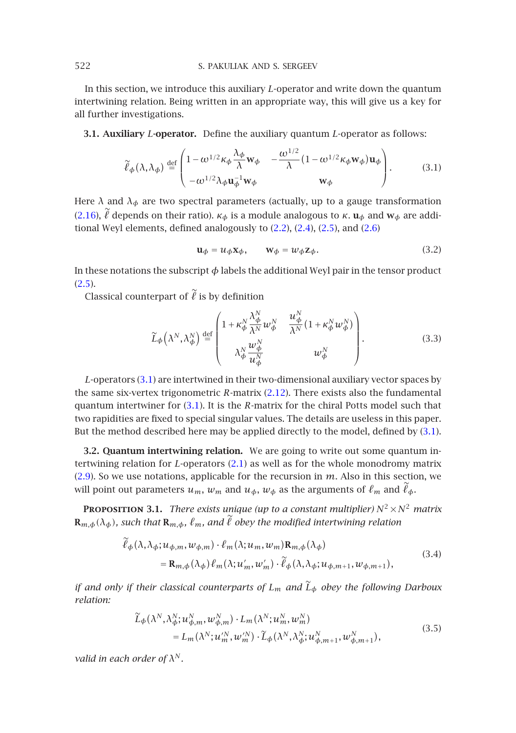In this section, we introduce this auxiliary *L*-operator and write down the quantum intertwining relation. Being written in an appropriate way, this will give us a key for all further investigations.

**[3.1.](#page-4-3) Auxiliary** *L***-operator.** Define the auxil[iary](#page-2-1) q[uan](#page-3-4)t[um](#page-3-5) *L*-oper[ator](#page-3-6) as follows:

<span id="page-9-0"></span>
$$
\widetilde{\ell}_{\phi}(\lambda, \lambda_{\phi}) \stackrel{\text{def}}{=} \begin{pmatrix} 1 - \omega^{1/2} \kappa_{\phi} \frac{\lambda_{\phi}}{\lambda} w_{\phi} & -\frac{\omega^{1/2}}{\lambda} (1 - \omega^{1/2} \kappa_{\phi} w_{\phi}) u_{\phi} \\ -\omega^{1/2} \lambda_{\phi} u_{\phi}^{-1} w_{\phi} & w_{\phi} \end{pmatrix} . \tag{3.1}
$$

[Here](#page-3-5)  $\lambda$  and  $\lambda_{\phi}$  are two spectral parameters (actually, up to a gauge transformation (2.16),  $\ell$  depends on their ratio).  $\kappa_{\phi}$  is a module analogous to  $\kappa$ . **u**<sub>*φ*</sub> and **w**<sub>*φ*</sub> are additional Weyl elements, defined analogously to (2.2), (2.4), (2.5), and (2.6)

<span id="page-9-1"></span>
$$
\mathbf{u}_{\phi} = u_{\phi} \mathbf{x}_{\phi}, \qquad \mathbf{w}_{\phi} = w_{\phi} \mathbf{z}_{\phi}. \tag{3.2}
$$

In these notations the subscript  $\phi$  labels the additional Weyl pair in the tensor product  $(2.5).$ 

Classical co[unte](#page-9-0)rpart of  $\ell$  is by definition

<span id="page-9-2"></span>
$$
\widetilde{L}_{\phi}\left(\lambda^{N},\lambda_{\phi}^{N}\right) \stackrel{\text{def}}{=} \begin{pmatrix} 1 + \kappa_{\phi}^{N} \frac{\lambda_{\phi}^{N}}{\lambda^{N}} w_{\phi}^{N} & \frac{u_{\phi}^{N}}{\lambda^{N}} \left(1 + \kappa_{\phi}^{N} w_{\phi}^{N}\right) \\ \lambda_{\phi}^{N} \frac{w_{\phi}^{N}}{u_{\phi}^{N}} & w_{\phi}^{N} \end{pmatrix} . \tag{3.3}
$$

*L*-operators (3.1) are intertwined i[n](#page-2-0) [the](#page-2-0)ir two-dimensional auxiliary vector spaces by [the](#page-3-3) same six-vertex trigonometric *R*-matrix (2.12). There exists also the fundamental quantum intertwiner for (3.1). It is the *R*-matrix for the chiral Potts model such that two rapidities are fixed to special singular values. The details are useless in this paper. But the method described here may be applied directly to the model, defined by (3.1).

**3.2. Quantum intertwining relation.** We are going to write out some quantum intertwining relation for *L*-operators (2.1) as well as for the whole monodromy matrix (2.9). So we use notations, applicable for the recursion in *m*. Also in this section, we will point out parameters  $u_m$ ,  $w_m$  and  $u_{\phi}$ ,  $w_{\phi}$  as the arguments of  $\ell_m$  and  $\ell_{\phi}$ .

<span id="page-9-3"></span>**PROPOSITION 3.1.** *There exists unique (up to a constant multiplier)*  $N^2 \times N^2$  *matrix*  $\mathbf{R}_{m,\phi}(\lambda_\phi)$ , such that  $\mathbf{R}_{m,\phi}$ ,  $\ell_m$ , and  $\ell$  obey the modified intertwining relation

$$
\tilde{\ell}_{\phi}(\lambda, \lambda_{\phi}; u_{\phi,m}, w_{\phi,m}) \cdot \ell_m(\lambda; u_m, w_m) \mathbf{R}_{m,\phi}(\lambda_{\phi})
$$
\n
$$
= \mathbf{R}_{m,\phi}(\lambda_{\phi}) \ell_m(\lambda; u'_m, w'_m) \cdot \tilde{\ell}_{\phi}(\lambda, \lambda_{\phi}; u_{\phi,m+1}, w_{\phi,m+1}),
$$
\n(3.4)

*if and only if their classical counterparts of Lm and <sup>L</sup>*!*<sup>φ</sup> obey the following Darboux relation:*

$$
\widetilde{L}_{\phi}(\lambda^N, \lambda^N_{\phi}; u^N_{\phi,m}, w^N_{\phi,m}) \cdot L_m(\lambda^N; u^N_m, w^N_m) \n= L_m(\lambda^N; u'^N_m, w'^N_m) \cdot \widetilde{L}_{\phi}(\lambda^N, \lambda^N_{\phi}; u^N_{\phi,m+1}, w^N_{\phi,m+1}),
$$
\n(3.5)

*valid in each order of λ<sup>N</sup> .*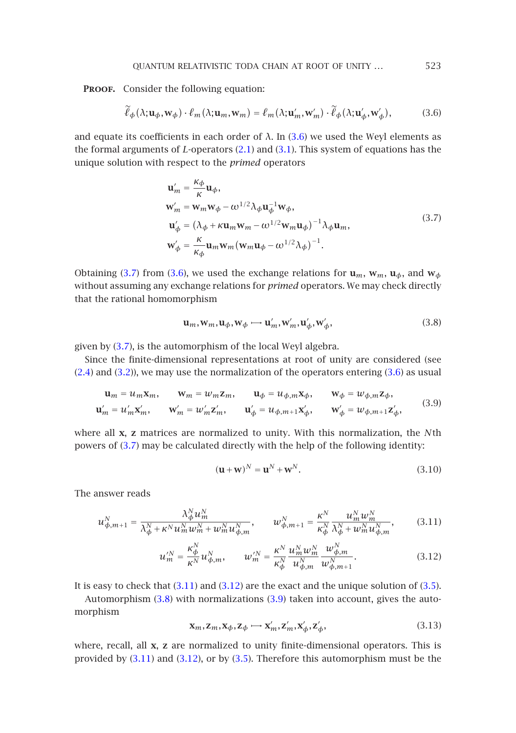PROOF. Consider the following equation:

<span id="page-10-0"></span>
$$
\widetilde{\ell}_{\phi}(\lambda; \mathbf{u}_{\phi}, \mathbf{w}_{\phi}) \cdot \ell_m(\lambda; \mathbf{u}_m, \mathbf{w}_m) = \ell_m(\lambda; \mathbf{u}'_m, \mathbf{w}'_m) \cdot \widetilde{\ell}_{\phi}(\lambda; \mathbf{u}'_{\phi}, \mathbf{w}'_{\phi}),
$$
(3.6)

and equate its coefficients in each order of  $\lambda$ . In (3.6) we used the Weyl elements as the formal arguments of *L*-operators (2.1) and (3.1). This system of equations has the unique solution with respect to the *primed* operators

<span id="page-10-1"></span>
$$
\mathbf{u}'_m = \frac{\kappa \phi}{\kappa} \mathbf{u}_{\phi},
$$
\n
$$
\mathbf{w}'_m = \mathbf{w}_m \mathbf{w}_{\phi} - \omega^{1/2} \lambda_{\phi} \mathbf{u}_{\phi}^{-1} \mathbf{w}_{\phi},
$$
\n
$$
\mathbf{u}'_{\phi} = (\lambda_{\phi} + \kappa \mathbf{u}_m \mathbf{w}_m - \omega^{1/2} \mathbf{w}_m \mathbf{u}_{\phi})^{-1} \lambda_{\phi} \mathbf{u}_m,
$$
\n
$$
\mathbf{w}'_{\phi} = \frac{\kappa}{\kappa_{\phi}} \mathbf{u}_m \mathbf{w}_m (\mathbf{w}_m \mathbf{u}_{\phi} - \omega^{1/2} \lambda_{\phi})^{-1}.
$$
\n(3.7)

Obtaining (3.7) from (3.6), we used the exchange relations for  $\mathbf{u}_m$ ,  $\mathbf{w}_m$ ,  $\mathbf{u}_\phi$ , and  $\mathbf{w}_\phi$ [with](#page-3-4)out a[ssum](#page-9-1)ing any exchange relations for *primed* operators. We may [check](#page-10-0) directly that the rational homomorphism

<span id="page-10-5"></span><span id="page-10-2"></span>
$$
\mathbf{u}_m, \mathbf{w}_m, \mathbf{u}_\phi, \mathbf{w}_\phi \longrightarrow \mathbf{u}'_m, \mathbf{w}'_m, \mathbf{u}'_\phi, \mathbf{w}'_\phi,\tag{3.8}
$$

given by (3.7), is the automorphism of the local Weyl algebra.

Since th[e fin](#page-10-1)ite-dimensional representations at root of unity are considered (see (2.4) and (3.2)), we may use the normalization of the operators entering (3.6) as usual

$$
\mathbf{u}_m = u_m \mathbf{x}_m, \qquad \mathbf{w}_m = w_m \mathbf{z}_m, \qquad \mathbf{u}_\phi = u_{\phi,m} \mathbf{x}_\phi, \qquad \mathbf{w}_\phi = w_{\phi,m} \mathbf{z}_\phi,
$$
  

$$
\mathbf{u}'_m = u'_m \mathbf{x}'_m, \qquad \mathbf{w}'_m = w'_m \mathbf{z}'_m, \qquad \mathbf{u}'_\phi = u_{\phi,m+1} \mathbf{x}'_\phi, \qquad \mathbf{w}'_\phi = w_{\phi,m+1} \mathbf{z}'_\phi,
$$
(3.9)

where all **x**, **z** matrices are normalized to unity. With this normalization, the *N*th powers of (3.7) may be calculated directly with the help of the following identity:

<span id="page-10-4"></span><span id="page-10-3"></span>
$$
(\mathbf{u} + \mathbf{w})^N = \mathbf{u}^N + \mathbf{w}^N.
$$
 (3.10)

The answer reads

$$
u_{\phi,m+1}^{N} = \frac{\lambda_{\phi}^{N} u_{m}^{N}}{\lambda_{\phi}^{N} + \kappa^{N} u_{m}^{N} w_{m}^{N} + w_{m}^{N} u_{\phi,m}^{N}}, \qquad w_{\phi,m+1}^{N} = \frac{\kappa^{N}}{\kappa_{\phi}^{N}} \frac{u_{m}^{N} w_{m}^{N}}{\lambda_{\phi}^{N} + w_{m}^{N} u_{\phi,m}^{N}},
$$
(3.11)

$$
u_m^N = \frac{\kappa_\phi^N}{\kappa^N} u_{\phi,m}^N, \qquad w_m^N = \frac{\kappa^N}{\kappa_\phi^N} \frac{u_m^N w_m^N}{u_{\phi,m}^N} \frac{w_{\phi,m}^N}{w_{\phi,m+1}^N}.
$$
 (3.12)

It is easy to check that  $(3.11)$  and  $(3.12)$  are the exact and the unique solution of  $(3.5)$ .

Automorphism (3.8) with normalizations (3.9) taken into account, gives the automorphism

$$
\mathbf{x}_m, \mathbf{z}_m, \mathbf{x}_\phi, \mathbf{z}_\phi \mapsto \mathbf{x}'_m, \mathbf{z}'_m, \mathbf{x}'_\phi, \mathbf{z}'_\phi,\tag{3.13}
$$

where, recall, all **x**, **z** are normalized to unity finite-dimensional operators. This is provided by (3.11) and (3.12), or by (3.5). Therefore this automorphism must be the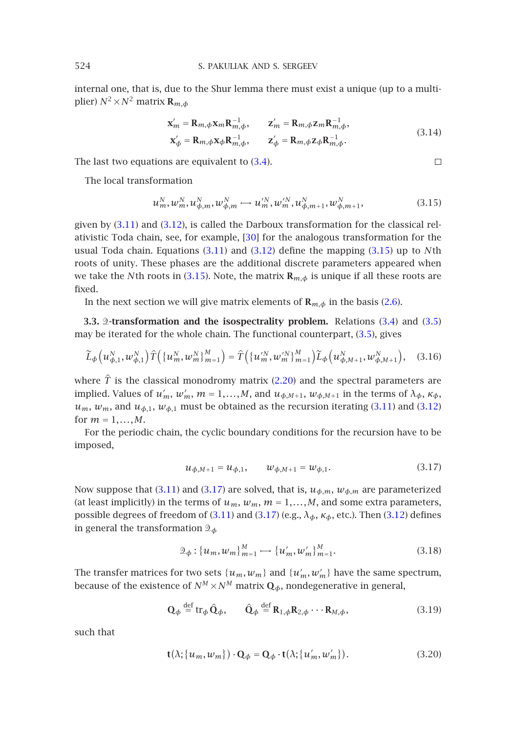## 524 S. PAKULIAK [AND](#page-9-2) S. SERGEEV

internal one, that is, due to the Shur lemma there must exist a unique (up to a multiplier)  $N^2 \times N^2$  matrix  $\mathbf{R}_{m,\phi}$ 

$$
\mathbf{x}'_m = \mathbf{R}_{m,\phi} \mathbf{x}_m \mathbf{R}_{m,\phi}^{-1}, \qquad \mathbf{z}'_m = \mathbf{R}_{m,\phi} \mathbf{z}_m \mathbf{R}_{m,\phi}^{-1},
$$
  
\n
$$
\mathbf{x}'_{\phi} = \mathbf{R}_{m,\phi} \mathbf{x}_{\phi} \mathbf{R}_{m,\phi}^{-1}, \qquad \mathbf{z}'_{\phi} = \mathbf{R}_{m,\phi} \mathbf{z}_{\phi} \mathbf{R}_{m,\phi}^{-1}.
$$
\n(3.14)

 $\Box$ 

The last two equations are eq[uivale](#page-10-4)nt to  $(3.4)$ .

The local transformati[on](#page-11-0)

$$
u_m^N, w_m^N, u_{\phi,m}^N, w_{\phi,m}^N \longrightarrow u_m^N, w_m^N, u_{\phi,m+1}^N, w_{\phi,m+1}^N,
$$
\n(3.15)

given by (3.11) and (3.12), is called the Darboux transformation for the classical relativistic Toda chain, see, for example, [30] for the analogous transfor[mati](#page-9-2)on for [the](#page-9-3) usual Toda chain. Equations (3.11) and (3.12) define the mappi[ng](#page-9-3) [\(3](#page-9-3).15) up to *N*th roots of unity. These phases are the additional discrete parameters appeared when we take the *N*th roots in (3.15). Note, the matrix  $\mathbf{R}_{m,\phi}$  is unique if all these roots are fixed.

In the next section we will give matrix elements of  $\mathbf{R}_{m,\phi}$  in the basis (2.6).

**3.3.** 2-transformation and the isospectrality problem. Relation[s \(3.4](#page-10-4)) and [\(3.5\)](#page-10-3) may be iterated for the whole chain. The functional counterpart, (3.5), gives

$$
\widetilde{L}_{\phi}\left(u_{\phi,1}^{N},w_{\phi,1}^{N}\right)\widehat{T}\left(\{u_{m}^{N},w_{m}^{N}\}_{m=1}^{M}\right)=\widehat{T}\left(\{u_{m}^{N},w_{m}^{N}\}_{m=1}^{M}\right)\widetilde{L}_{\phi}\left(u_{\phi,M+1}^{N},w_{\phi,M+1}^{N}\right),\quad(3.16)
$$

where  $\hat{T}$  is the classical monodromy matrix (2.20) and the spectral parameters are implied. Values of  $u'_m$ ,  $w'_m$ ,  $m = 1,...,M$ , and  $u_{\phi,M+1}$ ,  $w_{\phi,M+1}$  in the terms of  $\lambda_{\phi}$ ,  $\kappa_{\phi}$ ,  $u_m$ ,  $w_m$ , and  $u_{\phi,1}$ ,  $w_{\phi,1}$  must [be](#page-11-1) [o](#page-11-1)btained as the recursion iterating (3.11) and (3.12) for  $m = 1, ..., M$ .

For the periodic chain, the cy[clic](#page-10-4) [b](#page-10-4)ound[ary](#page-11-1) [co](#page-11-1)nditions for the recursi[on](#page-10-3) [ha](#page-10-3)ve to be imposed,

<span id="page-11-2"></span><span id="page-11-1"></span>
$$
u_{\phi, M+1} = u_{\phi, 1}, \qquad w_{\phi, M+1} = w_{\phi, 1}.
$$
\n(3.17)

Now suppose that (3.11) and (3.17) are solved, that is,  $u_{\phi,m}$ ,  $w_{\phi,m}$  are parameterized (at least implicitly) in the terms of  $u_m$ ,  $w_m$ ,  $m = 1,...,M$ , and some extra parameters, possible degrees of freedom of (3.11) and (3.17) (e.g., *λφ*, *κφ*, etc.). Then (3.12) defines in general the transformation *<sup>φ</sup>*

$$
\mathcal{D}_{\phi}: \{u_m, w_m\}_{m=1}^M \longrightarrow \{u'_m, w'_m\}_{m=1}^M. \tag{3.18}
$$

The transfer matrices for two sets  $\{u_m, w_m\}$  and  $\{u'_m, w'_m\}$  have the same spectrum, because of the existence of  $N^M \times N^M$  matrix  $\mathbf{Q}_{\phi}$ , nondegenerative in general,

$$
\mathbf{Q}_{\phi} \stackrel{\text{def}}{=} \text{tr}_{\phi} \,\hat{\mathbf{Q}}_{\phi}, \qquad \hat{\mathbf{Q}}_{\phi} \stackrel{\text{def}}{=} \mathbf{R}_{1,\phi} \mathbf{R}_{2,\phi} \cdots \mathbf{R}_{M,\phi}, \tag{3.19}
$$

such that

$$
\mathbf{t}(\lambda; \{u_m, w_m\}) \cdot \mathbf{Q}_{\phi} = \mathbf{Q}_{\phi} \cdot \mathbf{t}(\lambda; \{u'_m, w'_m\}).
$$
 (3.20)

<span id="page-11-0"></span>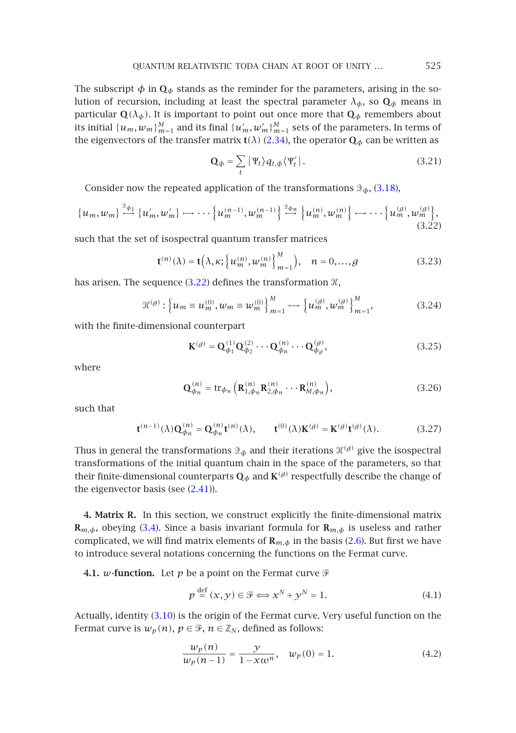The subscript  $\phi$  in  $\mathbf{Q}_{\phi}$  stands as the reminder for the parameters, arising in the solution of recursion, including at least the spectral parameter  $\lambda_{\phi}$ , so  $\mathbf{Q}_{\phi}$  $\mathbf{Q}_{\phi}$  $\mathbf{Q}_{\phi}$  means in particular  $\mathbf{Q}(\lambda_{\phi})$ . It is important to point out once more that  $\mathbf{Q}_{\phi}$  remembers about its initial  $\{u_m, w_m\}_{m=1}^M$  and its final  $\{u'_m, w'_m\}_{m=1}^M$  sets of the parameters. In terms of the eigenvectors of the transfer matrix **t**( $\lambda$ ) (2.34), the operator  $\mathbf{Q}_{\phi}$  can be written as

<span id="page-12-2"></span><span id="page-12-0"></span>
$$
\mathbf{Q}_{\phi} = \sum_{t} |\Psi_{t} \rangle q_{t, \phi} \langle \Psi_{t}' |.
$$
 (3.21)

Consider now the repe[ated a](#page-12-0)pplication of the transformations  $\mathcal{D}_{\phi}$ , (3.18),

$$
\{u_m, w_m\} \stackrel{\mathfrak{D}_{\phi_1}}{\longrightarrow} \{u'_m, w'_m\} \longrightarrow \cdots \{u_m^{(n-1)}, w_m^{(n-1)}\} \stackrel{\mathfrak{D}_{\phi_n}}{\longrightarrow} \{u_m^{(n)}, w_m^{(n)}\} \longrightarrow \cdots \{u_m^{(g)}, w_m^{(g)}\},\tag{3.22}
$$

such that the set of isospectral quantum transfer matrices

$$
\mathbf{t}^{(n)}(\lambda) = \mathbf{t}\Big(\lambda, \kappa; \Big\{u_m^{(n)}, w_m^{(n)}\Big\}_{m=1}^M\Big), \quad n = 0, \dots, g \tag{3.23}
$$

has arisen. The sequence  $(3.22)$  defines the transformation  $\mathcal{K}$ ,

$$
\mathcal{H}^{(g)}: \left\{ u_m \equiv u_m^{(0)}, w_m \equiv w_m^{(0)} \right\}_{m=1}^M \longrightarrow \left\{ u_m^{(g)}, w_m^{(g)} \right\}_{m=1}^M, \tag{3.24}
$$

with the finite-dimensional counterpart

<span id="page-12-3"></span>
$$
\mathbf{K}^{(g)} = \mathbf{Q}^{(1)}_{\phi_1} \mathbf{Q}^{(2)}_{\phi_2} \cdots \mathbf{Q}^{(n)}_{\phi_n} \cdots \mathbf{Q}^{(g)}_{\phi_g},
$$
(3.25)

where

<span id="page-12-1"></span>
$$
\mathbf{Q}_{\phi_n}^{(n)} = \text{tr}_{\phi_n} \left( \mathbf{R}_{1, \phi_n}^{(n)} \mathbf{R}_{2, \phi_n}^{(n)} \cdots \mathbf{R}_{M, \phi_n}^{(n)} \right), \tag{3.26}
$$

such that

$$
\mathbf{t}^{(n-1)}(\lambda)\mathbf{Q}_{\phi_n}^{(n)} = \mathbf{Q}_{\phi_n}^{(n)}\mathbf{t}^{(n)}(\lambda), \qquad \mathbf{t}^{(0)}(\lambda)\mathbf{K}^{(g)} = \mathbf{K}^{(g)}\mathbf{t}^{(g)}(\lambda). \tag{3.27}
$$

Thus in [g](#page-3-6)eneral the transformations  $\mathfrak{D}_{\phi}$  and their iterations  $\mathfrak{X}^{(g)}$  give the isospectral transformations of the initial quantum chain in the space of the parameters, so that their finite-dimensional counterparts  $\mathbf{Q}_{\phi}$  and  $\mathbf{K}^{(g)}$  respectfully describe the change of the eigenvector basis (see  $(2.41)$ ).

**4. Matrix R.** In this section, we construct explicitly the finite-dimensional matrix  $\mathbf{R}_{m,\phi}$ , obeying (3.[4\). Sin](#page-10-5)ce a basis invariant formula for  $\mathbf{R}_{m,\phi}$  is useless and rather complicated, we will find matrix elements of  $\mathbf{R}_{m,\phi}$  in the basis (2.6). But first we have to introduce several notations concerning the functions on the Fermat curve.

**4.1.** *w***-function.** Let *p* be a point on the Fermat curve  $\mathcal{F}$ 

<span id="page-12-4"></span>
$$
p \stackrel{\text{def}}{=} (x, y) \in \mathcal{F} \Longleftrightarrow x^N + y^N = 1. \tag{4.1}
$$

Actually, identity (3.10) is the origin of the Fermat curve. Very useful function on the Fermat curve is  $w_p(n)$ ,  $p \in \mathcal{F}$ ,  $n \in \mathbb{Z}_N$ , defined as follows:

$$
\frac{w_p(n)}{w_p(n-1)} = \frac{y}{1 - x\omega^n}, \quad w_p(0) = 1.
$$
 (4.2)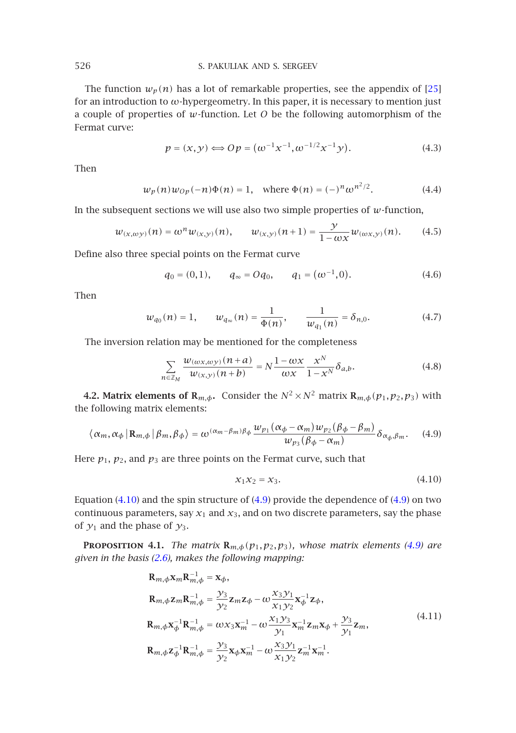The function  $w_p(n)$  has a lot of remarkable properties, see the appendix of [25] for an introduction to *ω*-hypergeometry. In this paper, it is necessary to mention just a couple of properties of *w*-function. Let *O* be the following automorphism of the Fermat curve:

<span id="page-13-5"></span><span id="page-13-4"></span><span id="page-13-3"></span>
$$
p = (x, y) \Longleftrightarrow Op = (\omega^{-1} x^{-1}, \omega^{-1/2} x^{-1} y). \tag{4.3}
$$

Then

$$
w_p(n)w_{Op}(-n)\Phi(n) = 1, \text{ where } \Phi(n) = (-)^n \omega^{n^2/2}.
$$
 (4.4)

In the subsequent sections we will use also two simple properties of *w*-function,

$$
w_{(x,\omega y)}(n) = \omega^n w_{(x,y)}(n), \qquad w_{(x,y)}(n+1) = \frac{y}{1 - \omega x} w_{(\omega x,y)}(n). \tag{4.5}
$$

Define also three special points on the Fermat curve

$$
q_0 = (0, 1), \qquad q_\infty = Oq_0, \qquad q_1 = (\omega^{-1}, 0).
$$
 (4.6)

Then

<span id="page-13-2"></span>
$$
w_{q_0}(n) = 1,
$$
  $w_{q_\infty}(n) = \frac{1}{\Phi(n)},$   $\frac{1}{w_{q_1}(n)} = \delta_{n,0}.$  (4.7)

The inversion relation may be mentioned for the completeness

<span id="page-13-0"></span>
$$
\sum_{n \in \mathbb{Z}_M} \frac{w_{(\omega x, \omega y)}(n+a)}{w_{(x, y)}(n+b)} = N \frac{1 - \omega x}{\omega x} \frac{x^N}{1 - x^N} \delta_{a, b}.
$$
 (4.8)

**4.2. Matrix elements of R**<sub>*m*, $\phi$ </sub>**.** Consider the  $N^2 \times N^2$  matrix  $\mathbf{R}_{m,\phi}(p_1, p_2, p_3)$  with the follo[wing m](#page-13-0)atrix elements:

$$
\langle \alpha_m, \alpha_{\phi} \, | \, \mathbf{R}_{m,\phi} \, | \, \beta_m, \beta_{\phi} \rangle = \omega^{(\alpha_m - \beta_m)\beta_{\phi}} \frac{w_{p_1}(\alpha_{\phi} - \alpha_m)w_{p_2}(\beta_{\phi} - \beta_m)}{w_{p_3}(\beta_{\phi} - \alpha_m)} \delta_{\alpha_{\phi},\beta_m}.
$$
 (4.9)

Here  $p_1$ ,  $p_2$ , and  $p_3$  are three points on the Fermat curve, such that

<span id="page-13-1"></span>
$$
x_1 x_2 = x_3. \tag{4.10}
$$

Equation  $(4.10)$  and the spin structure of  $(4.9)$  provide the dependence of  $(4.9)$  on two continuous parameters, say  $x_1$  and  $x_3$ , and on two discrete parameters, say the phase of  $y_1$  and the phase of  $y_3$ .

**PROPOSITION 4.1.** *The matrix*  $\mathbf{R}_{m,\phi}(p_1,p_2,p_3)$ *, whose matrix elements (4.9) are given in the basis (2.6), makes the following mapping:*

$$
R_{m,\phi}x_{m}R_{m,\phi}^{-1} = x_{\phi},
$$
  
\n
$$
R_{m,\phi}z_{m}R_{m,\phi}^{-1} = \frac{y_{3}}{y_{2}}z_{m}z_{\phi} - \omega \frac{x_{3}y_{1}}{x_{1}y_{2}}x_{\phi}^{-1}z_{\phi},
$$
  
\n
$$
R_{m,\phi}x_{\phi}^{-1}R_{m,\phi}^{-1} = \omega x_{3}x_{m}^{-1} - \omega \frac{x_{1}y_{3}}{y_{1}}x_{m}^{-1}z_{m}x_{\phi} + \frac{y_{3}}{y_{1}}z_{m},
$$
  
\n
$$
R_{m,\phi}z_{\phi}^{-1}R_{m,\phi}^{-1} = \frac{y_{3}}{y_{2}}x_{\phi}x_{m}^{-1} - \omega \frac{x_{3}y_{1}}{x_{1}y_{2}}z_{m}^{-1}x_{m}^{-1}.
$$
\n(4.11)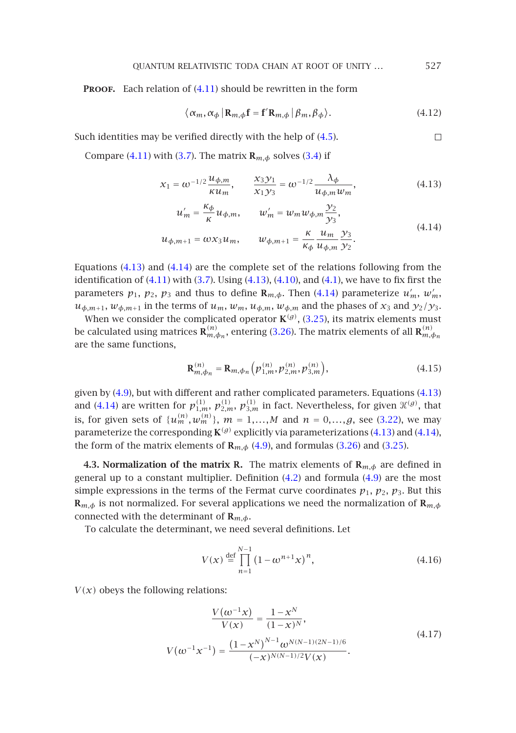**PROOF.** Each relation of (4.11) should be rewritten in the form

<span id="page-14-1"></span><span id="page-14-0"></span>
$$
\langle \alpha_m, \alpha_{\phi} \, | \, \mathbf{R}_{m,\phi} \mathbf{f} = \mathbf{f}' \mathbf{R}_{m,\phi} \, | \, \beta_m, \beta_{\phi} \rangle. \tag{4.12}
$$

Such identities may be verified directly with the help of (4.5).  $\Box$ 

Compare (4.11) with (3.7). The matrix  $\mathbf{R}_{m,\phi}$  solves (3.4) if

$$
x_1 = \omega^{-1/2} \frac{u_{\phi,m}}{\kappa u_m}, \qquad \frac{x_3 y_1}{x_1 y_3} = \omega^{-1/2} \frac{\lambda_{\phi}}{u_{\phi,m} w_m}, \tag{4.13}
$$

$$
u'_{m} = \frac{\kappa_{\phi}}{\kappa} u_{\phi,m}, \qquad w'_{m} = w_{m} w_{\phi,m} \frac{y_{2}}{y_{3}},
$$
\n
$$
\kappa u_{m} v_{3}
$$
\n(4.14)

$$
u_{\phi,m+1} = \omega x_3 u_m, \qquad w_{\phi,m+1} = \frac{\kappa}{\kappa_\phi} \frac{u_m}{u_{\phi,m}} \frac{y_3}{y_2}.
$$

<span id="page-14-2"></span>Equations (4.13) and (4.14) are the complete set of the relations following from the identification of  $(4.11)$  with  $(3.7)$ . Using  $(4.13)$ ,  $(4.10)$ , and  $(4.1)$ , we have to fix first the parameters  $p_1$ ,  $p_2$ ,  $p_3$  and thus to define  $\mathbf{R}_{m,\phi}$ . Then (4.14) parameterize  $u'_m$ ,  $w'_m$ ,  $u_{\phi,m+1}$ ,  $w_{\phi,m+1}$  in the terms of  $u_m$ ,  $w_m$ ,  $u_{\phi,m}$ ,  $w_{\phi,m}$  and the phases of  $x_3$  and  $y_2/y_3$  $y_2/y_3$  $y_2/y_3$ .

W[hen w](#page-14-0)e consider the complicated operator  $K^{(g)}$ , (3.25), its matrix elements must be calculated using matrices  $\mathbf{R}_{m,\phi_n}^{(n)},$  entering (3.26). The matrix eleme[nts of](#page-12-0) all  $\mathbf{R}_{m,\phi_n}^{(n)}$ are the same functions,

$$
\mathbf{R}_{m,\phi_n}^{(n)} = \mathbf{R}_{m,\phi_n} \left( p_{1,m}^{(n)}, p_{2,m}^{(n)}, p_{3,m}^{(n)} \right),\tag{4.15}
$$

given by (4.9), but with different and rather com[plica](#page-12-4)ted parameter[s. Eq](#page-13-2)uations (4.13) and (4.14) are written for  $p_{1,m}^{(1)}$ ,  $p_{2,m}^{(1)}$ ,  $p_{3,m}^{(1)}$  in fact. Nevertheless, for given  $\mathcal{H}^{(g)}$ , that is, for given sets of  $\{u_m^{(n)}, w_m^{(n)}\}$ ,  $m = 1,...,M$  and  $n = 0,...,g$ , see (3.22), we may parameterize the corresponding **K***(g)* explicitly via parameterizations (4.13) and (4.14), the form of the matrix elements of  $\mathbf{R}_{m,\phi}$  (4.9), and formulas (3.26) and (3.25).

**4.3. Normalization of the matrix R.** The matrix elements of  $\mathbf{R}_{m,\phi}$  are defined in general up to a constant multiplier. Definition (4.2) and formula (4.9) are the most simple expressions in the terms of the Fermat curve coordinates  $p_1$ ,  $p_2$ ,  $p_3$ . But this **R***m,φ* is not normalized. For several applications we need the normalization of **R***m,φ* connected with the determinant of **R***m,φ*.

To calculate the determinant, we need several definitions. Let

$$
V(x) \stackrel{\text{def}}{=} \prod_{n=1}^{N-1} (1 - \omega^{n+1} x)^n,
$$
 (4.16)

 $V(x)$  obeys the following relations:

$$
\frac{V(\omega^{-1}x)}{V(x)} = \frac{1 - x^N}{(1 - x)^N},
$$
  
\n
$$
V(\omega^{-1}x^{-1}) = \frac{(1 - x^N)^{N-1}\omega^{N(N-1)(2N-1)/6}}{(-x)^{N(N-1)/2}V(x)}.
$$
\n(4.17)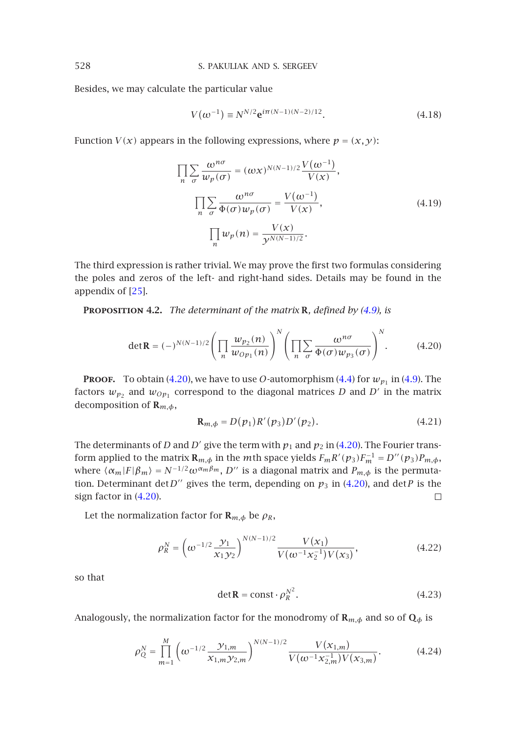Besides, we may calculate the particular value

$$
V(\omega^{-1}) \equiv N^{N/2} e^{i\pi(N-1)(N-2)/12}.
$$
 (4.18)

Function *V*(*x*) appears in the following expressions, where  $p = (x, y)$ :

<span id="page-15-0"></span>
$$
\prod_{n} \sum_{\sigma} \frac{\omega^{n\sigma}}{w_p(\sigma)} = (\omega x)^{N(N-1)/2} \frac{V(\omega^{-1})}{V(x)},
$$

$$
\prod_{n} \sum_{\sigma} \frac{\omega^{n\sigma}}{\Phi(\sigma) w_p(\sigma)} = \frac{V(\omega^{-1})}{V(x)},
$$

$$
\prod_{n} w_p(n) = \frac{V(x)}{y^{N(N-1)/2}}.
$$
(4.19)

The third expression is rather trivial. We may prove the first two formulas considering the poles and zeros of the left- and right-hand sides. Details may be found in the appendix of [25].

**Proposition 4.2.** *The determinant of the matrix* **R***, defined by (4.9), is*

$$
\det \mathbf{R} = (-)^{N(N-1)/2} \left( \prod_n \frac{w_{p_2}(n)}{w_{Op_1}(n)} \right)^N \left( \prod_n \sum_{\sigma} \frac{\omega^{n\sigma}}{\Phi(\sigma) w_{p_3}(\sigma)} \right)^N.
$$
 (4.20)

**PROOF.** To obtain (4.20), we have to use *O*-automorphism (4.4) for  $w_{p_1}$  in (4.9). The factors  $w_{p_2}$  [and](#page-15-0)  $w_{Op_1}$  correspond to the diagonal matrices *D* and *D'* in the matrix decompositio[n of](#page-15-0) **R***m,φ*,

$$
\mathbf{R}_{m,\phi} = D(p_1)R'(p_3)D'(p_2). \tag{4.21}
$$

The determinants of *D* and *D'* give the term with  $p_1$  and  $p_2$  in (4.20). The Fourier transform applied to the matrix  $\mathbf{R}_{m,\phi}$  in the *m*th space yields  $F_m R' (p_3) F_m^{-1} = D'' (p_3) P_{m,\phi}$ , where  $\langle \alpha_m|F|\beta_m \rangle = N^{-1/2} \omega^{\alpha_m \beta_m}$ , *D''* is a diagonal matrix and  $P_{m,\phi}$  is the permutation. Determinant det $D''$  gives the term, depending on  $p_3$  in (4.20), and det*P* is the sign factor in (4.20).  $\Box$ 

Let the normalization factor for  $\mathbf{R}_{m,\phi}$  be  $\rho_R$ ,

$$
\rho_R^N = \left(\omega^{-1/2} \frac{\mathcal{Y}_1}{\mathcal{X}_1 \mathcal{Y}_2}\right)^{N(N-1)/2} \frac{V(\mathcal{X}_1)}{V(\omega^{-1} \mathcal{X}_2^{-1}) V(\mathcal{X}_3)},\tag{4.22}
$$

so that

$$
\det \mathbf{R} = \text{const} \cdot \rho_R^{N^2}.
$$
 (4.23)

Analogously, the normalization factor for the monodromy of  $\mathbf{R}_{m,\phi}$  and so of  $\mathbf{Q}_{\phi}$  is

$$
\rho_Q^N = \prod_{m=1}^M \left( \omega^{-1/2} \frac{\gamma_{1,m}}{x_{1,m} \gamma_{2,m}} \right)^{N(N-1)/2} \frac{V(x_{1,m})}{V(\omega^{-1} x_{2,m}^{-1}) V(x_{3,m})}.
$$
(4.24)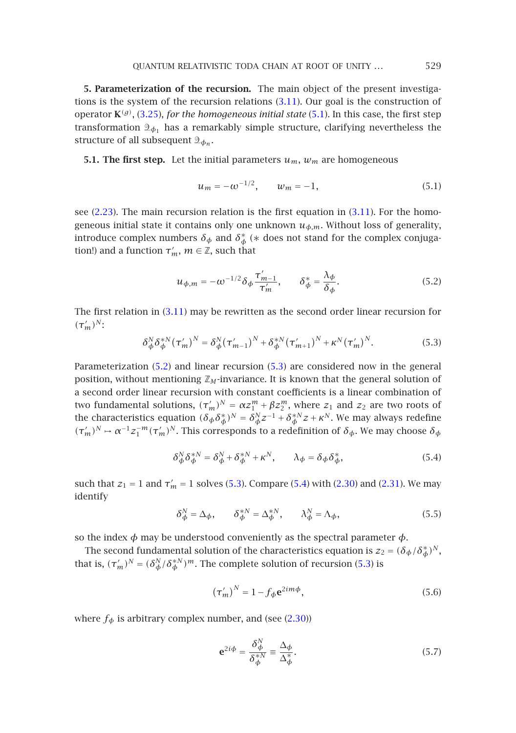**5. Parameterization of the recursion.** The main object of the present investigations is the system of the recursion relations (3.11). Our goal is the construction of operator  $\mathbf{K}^{(g)}$ , (3.25), *for the homogeneous initial state* (5.1). In this case, the first step tran[sform](#page-5-1)atio[n](#page-10-4)  $\mathfrak{D}_{\phi_1}$  has a remarkably simple structure, clarif[ying](#page-10-4) nevertheless the structure of all subsequent  $\mathcal{D}_{\phi_n}$ .

**5.1. The first step.** Let the initial parameters  $u_m$ ,  $w_m$  are homogeneous

$$
u_m = -\omega^{-1/2}, \qquad w_m = -1,\tag{5.1}
$$

<span id="page-16-0"></span>see (2.23). The main recursion relation is the first equation in (3.11). For the homogeneous initial state [it con](#page-10-4)tains only one unknown  $u_{\phi,m}$ . Without loss of generality, introduce complex numbers  $\delta_{\phi}$  and  $\delta_{\phi}^{*}$  (\* does not stand for the complex conjugation!) and a function  $\tau'_m$ ,  $m \in \mathbb{Z}$ , such that

<span id="page-16-1"></span>
$$
u_{\phi,m} = -\omega^{-1/2} \delta_{\phi} \frac{\tau'_{m-1}}{\tau'_{m}}, \qquad \delta_{\phi}^{*} = \frac{\lambda_{\phi}}{\delta_{\phi}}.
$$
 (5.2)

The first relation in (3.11) may be rewritten as the second order linear recursion for  $({\tau'_m})^N$ :

$$
\delta_{\phi}^{N} \delta_{\phi}^{*N} (\tau_{m}')^{N} = \delta_{\phi}^{N} (\tau_{m-1}')^{N} + \delta_{\phi}^{*N} (\tau_{m+1}')^{N} + \kappa^{N} (\tau_{m}')^{N}.
$$
 (5.3)

<span id="page-16-3"></span>Parameterization (5.2) and linear recursion (5.3) are considered now in the general position, without mentioning  $\mathbb{Z}_M$ -invariance. It is known that the general solution of a second order linear recursion wit[h co](#page-16-0)nstant coe[ffici](#page-16-1)ents i[s a lin](#page-6-2)ear c[ombin](#page-6-0)ation of *two fundamental solutions,*  $(\tau'_m)^N = \alpha z_1^m + \beta z_2^m$ , where  $z_1$  and  $z_2$  are two roots of the characteristics equation  $(\delta_{\phi}\delta_{\phi}^{*})^{N} = \delta_{\phi}^{N}z^{-1} + \delta_{\phi}^{*N}z + \kappa^{N}$ . We may always redefine  $(\tau'_m)^N \to \alpha^{-1} z_1^{-m} (\tau'_m)^N$ . This corresponds to a redefinition of  $\delta_{\phi}$ . We may choose  $\delta_{\phi}$ 

<span id="page-16-2"></span>
$$
\delta^N_\phi \delta^{*N}_\phi = \delta^N_\phi + \delta^{*N}_\phi + \kappa^N, \qquad \lambda_\phi = \delta_\phi \delta^*_\phi,\tag{5.4}
$$

such that  $z_1 = 1$  [and](#page-16-0)  $\tau'_m = 1$  solves (5.3[\)](#page-16-0). Compare (5.4) with (2.30) and (2.31). We may identify

$$
\delta^N_{\phi} = \Delta_{\phi}, \qquad \delta^{*N}_{\phi} = \Delta^{*N}_{\phi}, \qquad \lambda^N_{\phi} = \Lambda_{\phi}, \tag{5.5}
$$

so [the](#page-6-2) index  $\phi$  may be understood conveniently [as](#page-6-2) the spectral parameter  $\phi$ .

The second fundamental solution of the characteristics equation is  $z_2 = (\delta_{\phi}/\delta_{\phi}^*)^N$ , that is,  $(\tau'_m)^N = (\delta^N_\phi / \delta^*_{\phi})^m$ . The complete solution of recursion (5.3) is

$$
\left(\tau'_{m}\right)^{N} = 1 - f_{\phi} \mathbf{e}^{2im\phi},\tag{5.6}
$$

where  $f_{\phi}$  is arbitrary complex number, and (see (2.30))

$$
\mathbf{e}^{2i\phi} = \frac{\delta_{\phi}^{N}}{\delta_{\phi}^{*N}} \equiv \frac{\Delta_{\phi}}{\Delta_{\phi}^{*}}.
$$
 (5.7)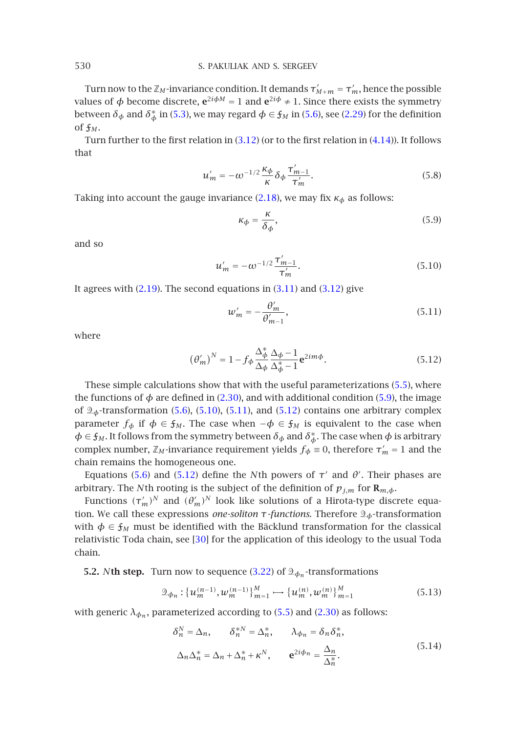Turn now to the  $\mathbb{Z}_M$ -invariance condition. It demands  $\tau'_{M+m} = \tau'_m$ , hence the possible values of  $\phi$  become discrete,  $e^{2i\phi M} = 1$  and  $e^{2i\phi} \neq 1$ . Since there exists the symmetry between  $\delta_{\phi}$  and  $\delta_{\phi}^{*}$  in (5.3), we may regard  $\phi \in \mathfrak{f}_M$  in (5.6), see (2.29) for the definition of  $f_M$ .

Turn further to the first relation in (3.12) (or to the first relation in (4.14)). It follows that

$$
u'_m = -\omega^{-1/2} \frac{\kappa_\phi}{\kappa} \delta_\phi \frac{\tau'_{m-1}}{\tau'_m}.
$$
\n(5.8)

Taking into ac[count](#page-4-4) the gauge invariance (2.1[8\), we](#page-10-4) may [fix](#page-10-3)  $\kappa_{\phi}$  as follows:

<span id="page-17-0"></span>
$$
\kappa_{\phi} = \frac{\kappa}{\delta_{\phi}},\tag{5.9}
$$

and so

$$
u'_{m} = -\omega^{-1/2} \frac{\tau'_{m-1}}{\tau'_{m}}.
$$
\n(5.10)

It agrees with  $(2.19)$ . The second equations in  $(3.11)$  and  $(3.12)$  give

$$
w'_m = -\frac{\theta'_m}{\theta'_{m-1}},\tag{5.11}
$$

where

$$
\left(\theta'_{m}\right)^{N} = 1 - f_{\phi} \frac{\Delta_{\phi}^{*}}{\Delta_{\phi}} \frac{\Delta_{\phi} - 1}{\Delta_{\phi}^{*} - 1} e^{2im\phi}.
$$
 (5.12)

These sim[ple c](#page-16-2)alcula[tions](#page-17-0) show that with the useful parameterizations (5.5), where the functions of  $\phi$  are defined in (2.30), and with additional condition (5.9), the image of *φ*-transformation (5.6), (5.10), (5.11), and (5.12) contains one arbitrary complex parameter  $f_{\phi}$  if  $\phi \in \mathfrak{f}_M$ . The case when  $-\phi \in \mathfrak{f}_M$  is equivalent to the case when  $\phi \in \mathfrak{f}_M$ . It follows from the symmetry between  $\delta_{\phi}$  and  $\delta_{\phi}^*$ . The case when  $\phi$  is arbitrary complex number,  $\mathbb{Z}_M$ -invari[anc](#page-40-9)e requirement yields  $f_{\phi} \equiv 0$ , therefore  $\tau'_m = 1$  and the chain remains the homogeneous one.

Equations (5.6) and (5.12) define the *N*th powers of  $τ'$  and  $θ'$ . Their phases are arbitrary. The *N*th rooting is the subject [of](#page-12-0) [the](#page-12-0) definition of  $p_{j,m}$  for  $\mathbf{R}_{m,\phi}$ .

Functions  $(\tau'_m)^N$  and  $(\theta'_m)^N$  look like solutions of a Hirota-type discrete equation. We call these expressions *one-soliton τ-functions*. Therefore *φ*-transformation with  $\phi \in \mathfrak{f}_M$  must be identified with the Bäc[klun](#page-16-3)d tra[nsform](#page-6-2)ation for the classical relativistic Toda chain, see [30] for the application of this ideology to the usual Toda chain.

**5.2.** *N***th step.** Turn now to sequence (3.22) of  $\mathcal{D}_{\phi_n}$ -transformations

<span id="page-17-1"></span>
$$
\mathcal{D}_{\phi_n}: \{u_m^{(n-1)}, w_m^{(n-1)}\}_{m=1}^M \longrightarrow \{u_m^{(n)}, w_m^{(n)}\}_{m=1}^M
$$
\n(5.13)

with generic  $\lambda_{\phi_n}$ , parameterized according to (5.5) and (2.30) as follows:

$$
\delta_n^N = \Delta_n, \qquad \delta_n^{*N} = \Delta_n^*, \qquad \lambda_{\phi_n} = \delta_n \delta_n^*,
$$
  

$$
\Delta_n \Delta_n^* = \Delta_n + \Delta_n^* + \kappa^N, \qquad \mathbf{e}^{2i\phi_n} = \frac{\Delta_n}{\Delta_n^*}.
$$
 (5.14)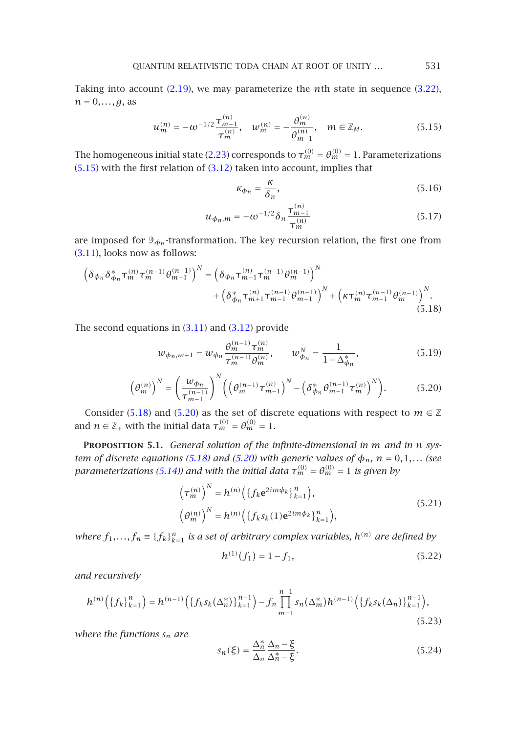<span id="page-18-0"></span>[Takin](#page-18-0)g into account (2.19), we [may](#page-10-3) parameterize the *n*th state in sequence (3.22),  $n = 0, \ldots, g$ , as

<span id="page-18-1"></span>
$$
u_m^{(n)} = -\omega^{-1/2} \frac{\tau_{m-1}^{(n)}}{\tau_m^{(n)}}, \quad w_m^{(n)} = -\frac{\theta_m^{(n)}}{\theta_{m-1}^{(n)}}, \quad m \in \mathbb{Z}_M.
$$
 (5.15)

The homogeneous initial state (2.23) corresponds to  $\tau_m^{(0)} = \theta_m^{(0)} = 1$ . Parameterizations  $(5.15)$  with the first relation of  $(3.12)$  taken into account, implies that

<span id="page-18-7"></span><span id="page-18-6"></span><span id="page-18-2"></span>
$$
\kappa_{\phi_n} = \frac{\kappa}{\delta_n},\tag{5.16}
$$

$$
u_{\phi_n,m} = -\omega^{-1/2} \delta_n \frac{\tau_{m-1}^{(n)}}{\tau_m^{(n)}} \tag{5.17}
$$

are imposed for  $\mathfrak{D}_{\phi_n}$ -tra[nsform](#page-10-4)atio[n. Th](#page-10-3)e key recursion relation, the first one from (3.11), looks now as follows:

$$
\left(\delta_{\phi_n}\delta_{\phi_n}^*\tau_m^{(n)}\tau_m^{(n-1)}\theta_{m-1}^{(n-1)}\right)^N = \left(\delta_{\phi_n}\tau_{m-1}^{(n)}\tau_m^{(n-1)}\theta_m^{(n-1)}\right)^N + \left(\kappa\tau_m^{(n)}\tau_{m-1}^{(n-1)}\theta_m^{(n-1)}\right)^N + \left(\kappa\tau_m^{(n)}\tau_{m-1}^{(n-1)}\theta_m^{(n-1)}\right)^N.
$$
\n(5.18)

<span id="page-18-3"></span>The second [equat](#page-18-1)ions in  $(3.11)$  and  $(3.12)$  provide

$$
w_{\phi_n, m+1} = w_{\phi_n} \frac{\theta_m^{(n-1)} \tau_m^{(n)}}{\tau_m^{(n-1)} \theta_m^{(n)}}, \qquad w_{\phi_n}^N = \frac{1}{1 - \Delta_{\phi_n}^*},
$$
(5.19)

$$
\left(\theta_m^{(n)}\right)^N = \left(\frac{w_{\phi_n}}{\tau_{m-1}^{(n-1)}}\right)^N \left(\left(\theta_m^{(n-1)}\tau_{m-1}^{(n)}\right)^N - \left(\delta_{\phi_n}^* \theta_{m-1}^{(n-1)}\tau_m^{(n)}\right)^N\right).
$$
(5.20)

Consider (5.18) and (5.20) as the set of discrete equations with respect to  $m \in \mathbb{Z}$ and  $n \in \mathbb{Z}_+$  with the initial data  $\tau_m^{(0)} = \theta_m^{(0)} = 1$ .

<span id="page-18-4"></span>**Proposition 5.1.** *General solution of the infinite-dimensional in m and in n system of discrete equations (5.18) and (5.20) with generic values of*  $\phi_n$ ,  $n = 0, 1, \dots$  (see *parameterizations (5.14)) and with the initial data*  $\tau_m^{(0)} = \theta_m^{(0)} = 1$  *is given by* 

<span id="page-18-5"></span>
$$
\left(\tau_m^{(n)}\right)^N = h^{(n)}\left(\left\{f_k e^{2im\phi_k}\right\}_{k=1}^n\right),
$$
\n
$$
\left(\theta_m^{(n)}\right)^N = h^{(n)}\left(\left\{f_k s_k(1) e^{2im\phi_k}\right\}_{k=1}^n\right),
$$
\n(5.21)

*where*  $f_1, \ldots, f_n \equiv \{f_k\}_{k=1}^n$  *is a set of arbitrary complex variables,*  $h^{(n)}$  *are defined by* 

$$
h^{(1)}(f_1) = 1 - f_1,\tag{5.22}
$$

*and recursively*

$$
h^{(n)}\left(\left\{f_k\right\}_{k=1}^n\right) = h^{(n-1)}\left(\left\{f_k s_k(\Delta_n^*)\right\}_{k=1}^{n-1}\right) - f_n \prod_{m=1}^{n-1} s_n(\Delta_m^*) h^{(n-1)}\left(\left\{f_k s_k(\Delta_n)\right\}_{k=1}^{n-1}\right),\tag{5.23}
$$

*where the functions sn are*

$$
s_n(\xi) = \frac{\Delta_n^*}{\Delta_n} \frac{\Delta_n - \xi}{\Delta_n^* - \xi}.
$$
\n(5.24)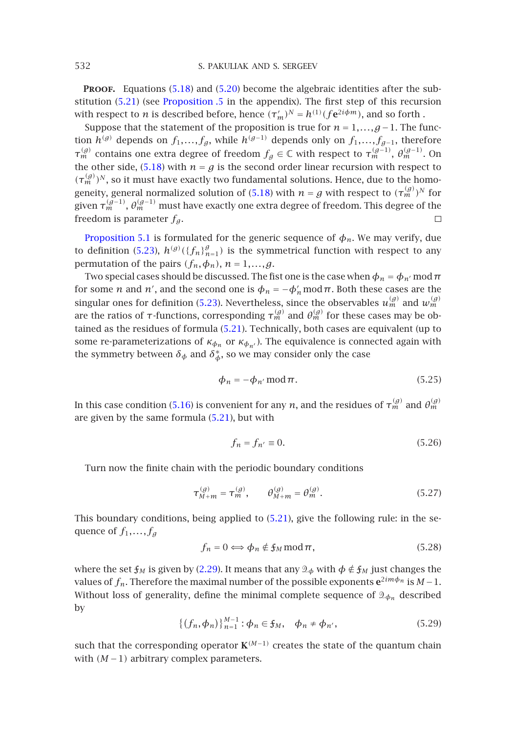**PROOF.** Equ[ations](#page-18-1) (5.18) and (5.20) become the algebraic identities after the substitution (5.21) (see Proposition .5 in th[e app](#page-18-1)endix). The first step of this recursion with respect to *n* is described before, hence  $(\tau'_m)^N = h^{(1)}(f e^{2i\phi m})$ , and so forth .

Suppose that the statement of the proposition is true for  $n = 1, ..., g - 1$ . The function *h*<sup>(*g*)</sup> depends on *f*<sub>1</sub>,...,*f<sub>g</sub>*, while *h*<sup>(*g*−1)</sup> depends only on *f*<sub>1</sub>,...,*f<sub>g−1</sub>*, therefore *τ*<sup>(*g*)</sup> [contains](#page-18-3) [one](#page-18-3) extra degree of freedom *f<sub>g</sub>* ∈ ℂ with respect to *τ*<sup>(*g*−1)</sup>, *θ*<sup>(*g*−1)</sup>. On the other sid[e,](#page-18-4) [\(5.1](#page-18-4)8) with  $n = g$  is the second order linear recursion with respect to  $(\tau_m^{(g)})^N$ , so it must have exactly two fundamental solutions. Hence, due to the homogeneity, general normalized solution of (5.18) with  $n=g$  with respect to  $({\tau_{m}^{(g)}})^N$  for given  $\tau_m^{(g-1)}$ ,  $\theta_m^{(g-1)}$  must have exactly one extra degree of freedom. This degree of the freedom is parameter  $f_g$ .  $\Box$ 

Proposition 5.1 is formulated f[or the](#page-18-5) generic sequence of  $\phi_n$ . We may verify, due to definition (5.23),  $h^{(g)}(\lbrace f_n \rbrace_{n=1}^g)$  is the symmetrical function with respect to any permutation of the pairs  $(f_n, \phi_n)$ ,  $n = 1, \ldots, g$ .

Two special cases should be discussed. The fist one is the case when  $\phi_n = \phi_{n'}$  mod  $\pi$ for some *n* and *n'*, and the second one is  $\phi_n = -\phi'_n \mod \pi$ . Both these cases are the singular ones for definition (5.23). Nevertheless, since the observables  $u_m^{(g)}$  and  $w_m^{(g)}$ are the ratios of  $\tau$ -fu[nction](#page-18-6)s, corresponding  $\tau_m^{(g)}$  and  $\theta_m^{(g)}$  for these cases may be obtained as the residues of form[ula \(5.](#page-18-5)21). Technically, both cases are equivalent (up to some re-parameterizations of  $\kappa_{\phi_n}$  or  $\kappa_{\phi_{n'}}$ ). The equivalence is connected again with the symmetry between  $\delta_{\phi}$  and  $\delta_{\phi}^{*}$ , so we may consider only the case

$$
\phi_n = -\phi_{n'} \mod \pi. \tag{5.25}
$$

In this case condition (5.16) is convenient for any *n*, and the residues of  $\tau_m^{(g)}$  and  $\theta_m^{(g)}$ are given by the same formula (5.21), but with

$$
f_n = f_{n'} \equiv 0. \tag{5.26}
$$

Turn now the finite chain with the periodic boundary conditions

$$
\tau_{M+m}^{(g)} = \tau_m^{(g)}, \qquad \theta_{M+m}^{(g)} = \theta_m^{(g)}.
$$
 (5.27)

<span id="page-19-0"></span>This boundary conditions, being applied to  $(5.21)$ , give the following rule: in the sequence of *f*1*,...,fg*

$$
f_n = 0 \Longleftrightarrow \phi_n \notin \mathfrak{f}_M \operatorname{mod} \pi,\tag{5.28}
$$

where the set  $f_M$  is given by (2.29). It means that any  $\mathcal{D}_{\phi}$  with  $\phi \notin f_M$  just changes the values of  $f_n$ . Therefore the maximal number of the possible exponents  $e^{2im\phi_n}$  is  $M-1$ . Without loss of generality, define the minimal complete sequence of  $\mathfrak{D}_{\phi_n}$  described by

$$
\{(f_n, \phi_n)\}_{n=1}^{M-1} : \phi_n \in \mathfrak{f}_M, \quad \phi_n \neq \phi_{n'}, \tag{5.29}
$$

such that the corresponding operator  $K^{(M-1)}$  creates the state of the quantum chain with *(M* −1*)* arbitrary complex parameters.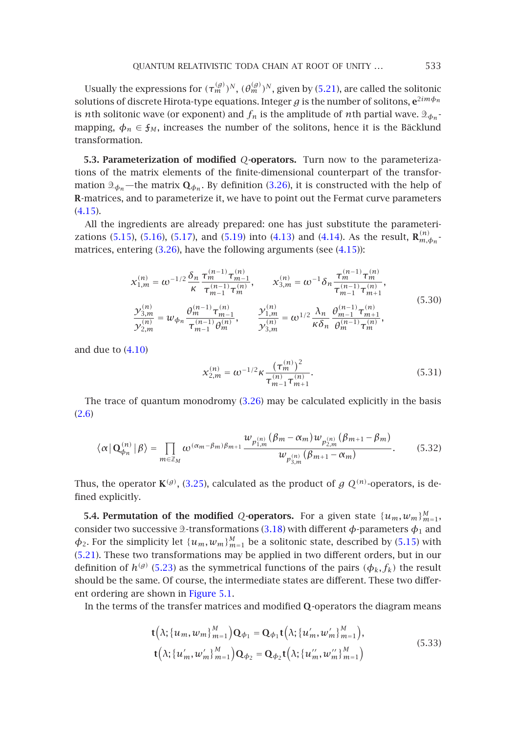Usually the expressions for  $(\tau_m^{(g)})^N$ ,  $(\theta_m^{(g)})^N$ , given by (5.21), are called the solitonic solutions of discrete Hirota-type equations. I[nteger](#page-12-3)  $g$  is the number of solitons,  $e^{2im\phi_n}$ is *n*th solitonic wave (or exponent) and  $f_n$  is the amplitude of *n*th partial wave.  $\mathcal{D}_{\phi_n}$ . [mapp](#page-14-2)ing,  $\phi_n \in \mathfrak{f}_M$ , increases the number of the solitons, hence it is the Bäcklund transformation.

**5.3. Parameteriz[ation](#page-12-3) of modified** *Q***-operators.** Turn n[ow to](#page-14-2) the parameterizations of the matrix elements of the finite-dimensional counterpart of the transformation  $\mathcal{D}_{\phi_n}$ —the matrix  $\mathbf{Q}_{\phi_n}$ . By definition (3.26), it is constructed with the help of **R**-matrices, and to parameterize it, we have to point out the Fermat curve parameters (4.15).

All the ingredients are already prepared: one has just substitute the parameterizations (5.15), (5.16), (5.17), and (5.19) into (4.13) and (4.14). As the result,  $\mathbf{R}_{m,\phi_n}^{(n)}$ matrices, entering (3.26), have the following arguments (see (4.15)):

<span id="page-20-1"></span>
$$
x_{1,m}^{(n)} = \omega^{-1/2} \frac{\delta_n}{\kappa} \frac{\tau_m^{(n-1)} \tau_{m-1}^{(n)}}{\tau_{m-1}^{(n-1)} \tau_m^{(n)}}, \qquad x_{3,m}^{(n)} = \omega^{-1} \delta_n \frac{\tau_m^{(n-1)} \tau_m^{(n)}}{\tau_{m-1}^{(n-1)} \tau_{m+1}^{(n)}},
$$
  
\n
$$
\frac{y_{3,m}^{(n)}}{y_{2,m}^{(n)}} = w_{\phi_n} \frac{\theta_m^{(n-1)} \tau_{m-1}^{(n)}}{\tau_{m-1}^{(n-1)} \theta_m^{(n)}}, \qquad \frac{y_{1,m}^{(n)}}{y_{3,m}^{(n)}} = \omega^{1/2} \frac{\lambda_n}{\kappa \delta_n} \frac{\theta_{m-1}^{(n-1)} \tau_{m+1}^{(n)}}{\theta_m^{(n-1)} \tau_m^{(n)}},
$$
\n(5.30)

<span id="page-20-0"></span>and due to (4.10)

$$
x_{2,m}^{(n)} = \omega^{-1/2} \kappa \frac{(\tau_m^{(n)})^2}{\tau_{m-1}^{(n)} \tau_{m+1}^{(n)}}.
$$
 (5.31)

The trace of quantum [mono](#page-12-2)dromy (3.26) may be calculated explicitly in the basis (2.6)

$$
\langle \alpha | \mathbf{Q}_{\phi_n}^{(n)} | \beta \rangle = \prod_{m \in \mathbb{Z}_M} \omega^{(\alpha_m - \beta_m)\beta_{m+1}} \frac{w_{p_{1,m}^{(n)}}(\beta_m - \alpha_m) w_{p_{2,m}^{(n)}}(\beta_{m+1} - \beta_m)}{w_{p_{3,m}^{(n)}}(\beta_{m+1} - \alpha_m)}.
$$
(5.32)

Thus, the operator  $\mathbf{K}^{(g)}$  $\mathbf{K}^{(g)}$  $\mathbf{K}^{(g)}$ , (3.25), calculated as the product of *g*  $Q^{(n)}$ -operators, is defined explicitly.

**5.4. P[e](#page-21-0)rmutation of the [modified](#page-21-0)** Q-operators. For a given state  $\{u_m, w_m\}_{m=1}^M$ , consider two successive 2-transformations (3.18) with different  $\phi$ -parameters  $\phi_1$  and  $\phi_2$ . For the simplicity let  $\{u_m, w_m\}_{m=1}^M$  be a solitonic state, described by (5.15) with (5.21). These two transformations may be applied in two different orders, but in our definition of  $h^{(g)}$  (5.23) as the symmetrical functions of the pairs  $(\phi_k, f_k)$  the result should be the same. Of course, the intermediate states are different. These two different ordering are shown in Figure 5.1.

In the terms of the transfer matrices and modified **Q**-operators the diagram means

$$
\mathbf{t}(\lambda; \{u_m, w_m\}_{m=1}^M) \mathbf{Q}_{\phi_1} = \mathbf{Q}_{\phi_1} \mathbf{t}(\lambda; \{u'_m, w'_m\}_{m=1}^M), \n\mathbf{t}(\lambda; \{u'_m, w'_m\}_{m=1}^M) \mathbf{Q}_{\phi_2} = \mathbf{Q}_{\phi_2} \mathbf{t}(\lambda; \{u''_m, w''_m\}_{m=1}^M)
$$
\n(5.33)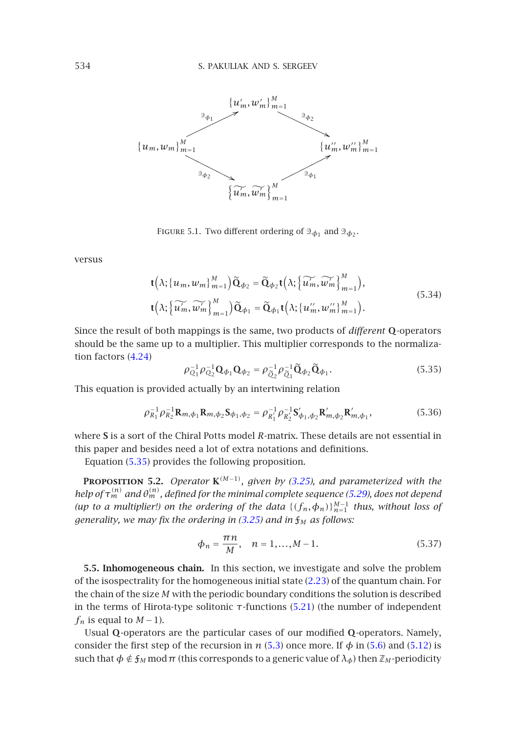<span id="page-21-0"></span>

FIGURE 5.1. Two different ordering of  $\mathfrak{D}_{\phi_1}$  and  $\mathfrak{D}_{\phi_2}$ .

versus

$$
\mathbf{t}(\lambda; \{u_m, w_m\}_{m=1}^M) \widetilde{\mathbf{Q}}_{\phi_2} = \widetilde{\mathbf{Q}}_{\phi_2} \mathbf{t}(\lambda; \{\widetilde{u'_m}, \widetilde{w'_m}\}_{m=1}^M),
$$
  
\n
$$
\mathbf{t}(\lambda; \{\widetilde{u'_m}, \widetilde{w'_m}\}_{m=1}^M) \widetilde{\mathbf{Q}}_{\phi_1} = \widetilde{\mathbf{Q}}_{\phi_1} \mathbf{t}(\lambda; \{u''_m, w''_m\}_{m=1}^M).
$$
\n(5.34)

Since the result of both mappings is the same, two products of *different* **Q**-operators should be the same up to a multiplier. This multiplier corresponds to the normalization factors (4.24)

$$
\rho_{Q_1}^{-1} \rho_{Q_2}^{-1} \mathbf{Q}_{\phi_1} \mathbf{Q}_{\phi_2} = \rho_{\tilde{Q}_2}^{-1} \rho_{\tilde{Q}_1}^{-1} \tilde{\mathbf{Q}}_{\phi_2} \tilde{\mathbf{Q}}_{\phi_1}.
$$
\n(5.35)

This equation is provided actually by an intertwi[ning re](#page-12-2)lation

$$
\rho_{R_1}^{-1} \rho_{R_2}^{-1} \mathbf{R}_{m,\phi_1} \mathbf{R}_{m,\phi_2} \mathbf{S}_{\phi_1,\phi_2} = \rho_{R_1'}^{-1} \rho_{R_2'}^{-1} \mathbf{S}_{\phi_1,\phi_2}' \mathbf{R}_{m,\phi_2}' \mathbf{R}_{m,\phi_1}',
$$
(5.36)

where **S** is a sort of the Chiral Potts m[odel](#page-12-2) *R*-matrix. These details are not essential in this paper and besides need a lot of extra notations and definitions.

Equation (5.35) provides the following proposition.

<span id="page-21-1"></span>**PROPOSITION 5.2.** *Operator*  $K^{(M-1)}$ *, given by (3.25), and parameterized with the help of*  $\tau_{m}^{(n)}$  *and*  $\theta_{m}^{(n)}$  *, defined for the minimal complete [seque](#page-5-1)nce (5.29), does not depend (up to a multiplier!) on the ordering of the data*  ${(f_n, \phi_n)}_{n=1}^{M-1}$  *thus, without loss of generality, we may fix the ordering in (3.25) and in* [F](#page-18-5)*<sup>M</sup> as follows:*

$$
\phi_n = \frac{\pi n}{M}, \quad n = 1, ..., M - 1.
$$
\n(5.37)

**5.5. Inhomogeneous chain.** In this section, we investigate and solve the problem of the isospectrality for the homogeneous initial state (2.23) of the quantum chain. For the chain of the size *M* with the periodic boundary conditions the solution is described in the terms of Hirota-type solitonic *τ*-functions (5.21) (the number of independent *f<sub>n</sub>* is equal to  $M-1$ ).

Usual **Q**-operators are the particular cases of our modified **Q**-operators. Namely, consider the first step of the recursion in *n* (5.3) once more. If  $\phi$  in (5.6) and (5.12) is such that  $\phi \notin f_M \text{ mod } \pi$  (this corresponds to a generic value of  $\lambda_{\phi}$ ) then  $\mathbb{Z}_M$ -periodicity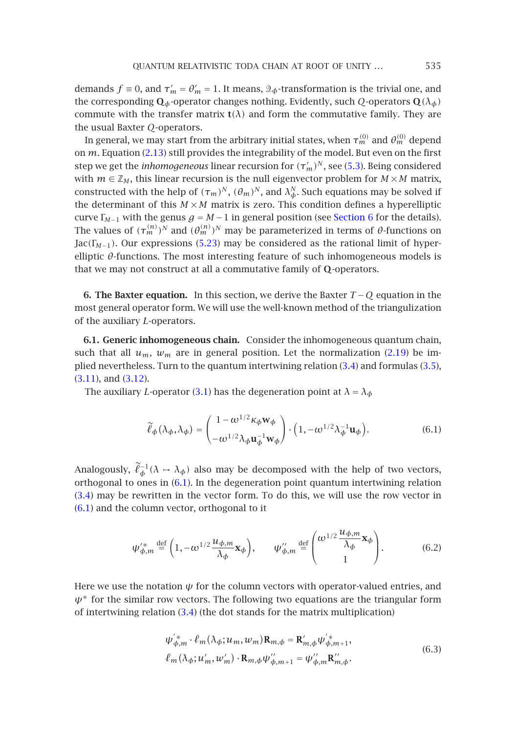demands  $f \equiv 0$ , and  $\tau'_m = \theta'_m = 1$ . It means,  $\mathcal{D}_{\phi}$ -transformation is the trivial one, and the corresponding  $\mathbf{Q}_{\phi}$ -operator changes nothing. Evidently, such *Q*-operators  $\mathbf{Q}(\lambda_{\phi})$ commute with the transfer matrix  $t(\lambda)$  and form the commutative family. They are the usual Baxter *Q*-operators.

<span id="page-22-0"></span>In general, we may start from the arbitrary initial states, when  $\tau_m^{(0)}$  $\tau_m^{(0)}$  $\tau_m^{(0)}$  and  $\theta_m^{(0)}$  depend on *m*. Equation (2.13) still pr[ovide](#page-18-4)s the integrability of the model. But even on the first step we get the *inhomogeneous* linear recursion for  $(\tau_m')^N$ , see (5.3). Being considered with  $m \in \mathbb{Z}_M$ , this linear recursion is the null eigenvector problem for  $M \times M$  matrix, constructed with the help of  $(\tau_m)^N$ ,  $(\theta_m)^N$ , and  $\lambda_\phi^N$ . Such equations may be solved if the determinant of this  $M \times M$  matrix is zero. This condition defines a hyperelliptic curve  $\Gamma_{M-1}$  with the genus  $g = M - 1$  in general position (see Section 6 for the details). The values of  $(\tau_m^{(n)})^N$  and  $(\theta_m^{(n)})^N$  may be parameterized in terms of  $\theta$ -functions on  $Jac(\Gamma_{M-1})$ . Our expressions (5.23) may be considered as the rational limit of hyperelliptic *θ*-functions. The most interesting feature of such inhomogeneous models is that we may not construct at all a commutative family of **Q**-operators.

**[6.](#page-10-4) [T](#page-10-4)he B[axter](#page-10-3) equation.** In this section, we derive the Baxter *T* −*Q* equation in the most general operator form[.](#page-9-0) [We](#page-9-0) will use the well-known method of the triangulization of the auxiliary *L*-operators.

**6.1. Generic inhomogeneous chain.** Consider the inhomogeneous quantum chain, such that all  $u_m$ ,  $w_m$  are in general position. Let the normalization (2.19) be implied nevertheless. Turn to the quantum intertwining relation (3.4) and formulas (3.5), (3.11), and (3.12).

The auxiliary *L*-oper[ator](#page-22-1) (3.1) has the degeneration point at  $\lambda = \lambda_{\phi}$ 

<span id="page-22-1"></span>
$$
\widetilde{\ell}_{\phi}(\lambda_{\phi}, \lambda_{\phi}) = \begin{pmatrix} 1 - \omega^{1/2} \kappa_{\phi} \mathbf{w}_{\phi} \\ -\omega^{1/2} \lambda_{\phi} \mathbf{u}_{\phi}^{-1} \mathbf{w}_{\phi} \end{pmatrix} \cdot \left( 1, -\omega^{1/2} \lambda_{\phi}^{-1} \mathbf{u}_{\phi} \right). \tag{6.1}
$$

Analogously,  $\ell_{\phi}^{-1}(\lambda \to \lambda_{\phi})$  also may be decomposed with the help of two vectors, orthogonal to ones in (6.1). In the degeneration point quantum intertwining relation (3.4) may be rewritten in the vector form. To do this, we will use the row vector in (6.1) and the column vector, orthogonal to it

<span id="page-22-2"></span>
$$
\psi_{\phi,m}'^* \stackrel{\text{def}}{=} \left(1, -\omega^{1/2} \frac{u_{\phi,m}}{\lambda_\phi} \mathbf{x}_\phi \right), \qquad \psi_{\phi,m}'' \stackrel{\text{def}}{=} \left( \frac{\omega^{1/2} \frac{u_{\phi,m}}{\lambda_\phi} \mathbf{x}_\phi}{1} \right). \tag{6.2}
$$

Here we use the notation  $\psi$  for the column vectors with operator-valued entries, and  $\psi^*$  for the similar row vectors. The following two equations are the triangular form of intertwining relation (3.4) (the dot stands for the matrix multiplication)

$$
\psi_{\phi,m}^{'*} \cdot \ell_m(\lambda_{\phi}; u_m, w_m) \mathbf{R}_{m,\phi} = \mathbf{R}_{m,\phi}^{'} \psi_{\phi,m+1}^{'*}, \n\ell_m(\lambda_{\phi}; u_m^{'}, w_m^{'}) \cdot \mathbf{R}_{m,\phi} \psi_{\phi,m+1}^{''} = \psi_{\phi,m}^{'*} \mathbf{R}_{m,\phi}^{'*}.
$$
\n(6.3)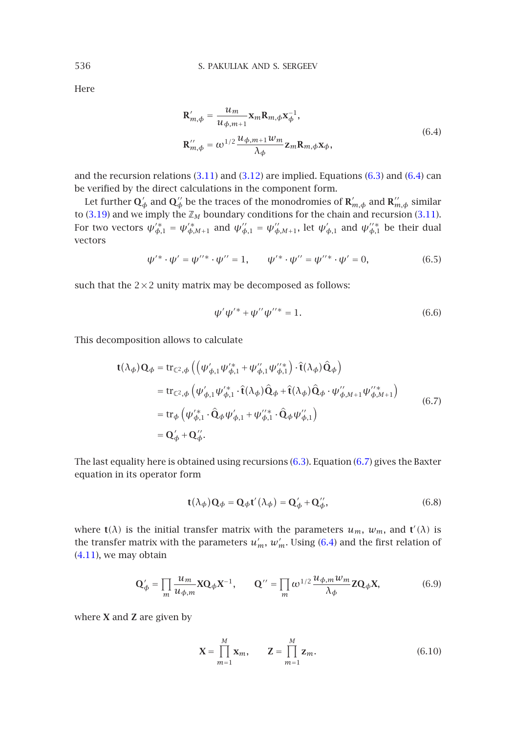<span id="page-23-0"></span>Here

$$
\mathbf{R}'_{m,\phi} = \frac{u_m}{u_{\phi,m+1}} \mathbf{x}_m \mathbf{R}_{m,\phi} \mathbf{x}_{\phi}^{-1},
$$
  
\n
$$
\mathbf{R}''_{m,\phi} = \omega^{1/2} \frac{u_{\phi,m+1} w_m}{\lambda_{\phi}} \mathbf{z}_m \mathbf{R}_{m,\phi} \mathbf{x}_{\phi},
$$
\n(6.4)

and the recursion relations  $(3.11)$  and  $(3.12)$  are implied. Equations  $(6.3)$  and  $(6.4)$  can be verified by the direct calculations in the component form.

Let further  $\mathbf{Q}'_\phi$  and  $\mathbf{Q}''_\phi$  be the traces of the monodromies of  $\mathbf{R}'_{m,\phi}$  and  $\mathbf{R}''_{m,\phi}$  similar to  $(3.19)$  and we imply the  $\mathbb{Z}_M$  boundary conditions for the chain and recursion  $(3.11)$ . For two vectors  $\psi_{\phi,1}^* = \psi_{\phi,M+1}^*$  and  $\psi_{\phi,1}'' = \psi_{\phi,M+1}''$ , let  $\psi_{\phi,1}^*$  and  $\psi_{\phi,1}''^*$  be their dual vectors

$$
\psi'^{*} \cdot \psi' = \psi''^{*} \cdot \psi'' = 1, \qquad \psi'^{*} \cdot \psi'' = \psi''^{*} \cdot \psi' = 0, \tag{6.5}
$$

such that the  $2\times 2$  unity matrix may be decomposed as follows:

$$
\psi'\psi'^* + \psi''\psi''^* = 1.
$$
\n(6.6)

This decomposition allows to calculate

$$
\mathbf{t}(\lambda_{\phi})\mathbf{Q}_{\phi} = \text{tr}_{\mathbb{C}^{2},\phi} \left( \left( \psi_{\phi,1}' \psi_{\phi,1}^{\prime*} + \psi_{\phi,1}^{\prime\prime} \psi_{\phi,1}^{\prime*} \right) \cdot \hat{\mathbf{t}}(\lambda_{\phi}) \hat{\mathbf{Q}}_{\phi} \right)
$$
\n
$$
= \text{tr}_{\mathbb{C}^{2},\phi} \left( \psi_{\phi,1}' \psi_{\phi,1}^{\prime*} \cdot \hat{\mathbf{t}}(\lambda_{\phi}) \hat{\mathbf{Q}}_{\phi} + \hat{\mathbf{t}}(\lambda_{\phi}) \hat{\mathbf{Q}}_{\phi} \cdot \psi_{\phi,M+1}^{\prime\prime} \psi_{\phi,M+1}^{\prime\prime*} \right)
$$
\n
$$
= \text{tr}_{\phi} \left( \psi_{\phi,1}^{\prime*} \cdot \hat{\mathbf{Q}}_{\phi} \psi_{\phi,1}^{\prime} + \psi_{\phi,1}^{\prime*} \cdot \hat{\mathbf{Q}}_{\phi} \psi_{\phi,1}^{\prime\prime} \right)
$$
\n
$$
= \mathbf{Q}_{\phi}^{\prime} + \mathbf{Q}_{\phi}^{\prime\prime}. \tag{6.7}
$$

[The la](#page-13-1)st equality here is obtained using recursions (6.3). E[quat](#page-23-0)ion (6.7) gives the Baxter equation in its operator form

$$
\mathbf{t}(\lambda_{\phi})\mathbf{Q}_{\phi} = \mathbf{Q}_{\phi}\mathbf{t}'(\lambda_{\phi}) = \mathbf{Q}'_{\phi} + \mathbf{Q}''_{\phi},\tag{6.8}
$$

where **t**( $\lambda$ ) is the initial transfer matrix with the parameters  $u_m$ ,  $w_m$ , and **t**<sup>'</sup>( $\lambda$ ) is the transfer matrix with the parameters  $u'_m$ ,  $w'_m$ . Using (6.4) and the first relation of (4.11), we may obtain

$$
\mathbf{Q}'_{\phi} = \prod_{m} \frac{u_m}{u_{\phi,m}} \mathbf{X} \mathbf{Q}_{\phi} \mathbf{X}^{-1}, \qquad \mathbf{Q}'' = \prod_{m} \omega^{1/2} \frac{u_{\phi,m} w_m}{\lambda_{\phi}} \mathbf{Z} \mathbf{Q}_{\phi} \mathbf{X}, \tag{6.9}
$$

where **X** and **Z** are given by

$$
\mathbf{X} = \prod_{m=1}^{M} \mathbf{x}_m, \qquad \mathbf{Z} = \prod_{m=1}^{M} \mathbf{z}_m.
$$
 (6.10)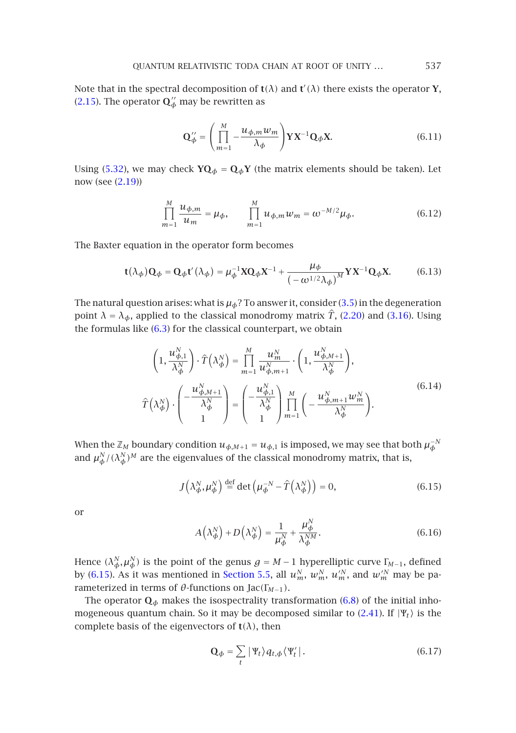Note t[hat](#page-20-0) [in th](#page-4-4)e spectral decomposition of  $t(\lambda)$  and  $t'(\lambda)$  there exists the operator **Y**, (2.15). The operator  $\mathbf{Q}'^{\mu}_{\phi}$  may be rewritten as

<span id="page-24-0"></span>
$$
\mathbf{Q}_{\phi}^{"'} = \left(\prod_{m=1}^{M} -\frac{u_{\phi,m}w_m}{\lambda_{\phi}}\right) \mathbf{Y} \mathbf{X}^{-1} \mathbf{Q}_{\phi} \mathbf{X}.
$$
 (6.11)

Using (5.32), we may check  $YQ_{\phi} = Q_{\phi}Y$  (the matrix elements should be taken). Let now (see (2.19))

$$
\prod_{m=1}^{M} \frac{u_{\phi,m}}{u_m} = \mu_{\phi}, \qquad \prod_{m=1}^{M} u_{\phi,m} w_m = \omega^{-M/2} \mu_{\phi}.
$$
 (6.12)

The Baxter equati[on](#page-22-2) [in](#page-22-2) the operator form becomes

$$
\mathbf{t}(\lambda_{\phi})\mathbf{Q}_{\phi} = \mathbf{Q}_{\phi}\mathbf{t}'(\lambda_{\phi}) = \mu_{\phi}^{-1}\mathbf{X}\mathbf{Q}_{\phi}\mathbf{X}^{-1} + \frac{\mu_{\phi}}{(-\omega^{1/2}\lambda_{\phi})^M}\mathbf{Y}\mathbf{X}^{-1}\mathbf{Q}_{\phi}\mathbf{X}.
$$
 (6.13)

The natural question arises: what is  $\mu_{\phi}$ ? To answer it, consider (3.5) in the degeneration point  $\lambda = \lambda_{\phi}$ , applied to the classical monodromy matrix  $\hat{T}$ , (2.20) and (3.16). Using the formulas like (6.3) for the classical counterpart, we obtain

<span id="page-24-1"></span>
$$
\left(1, \frac{u_{\phi,1}^N}{\lambda_{\phi}^N}\right) \cdot \hat{T} \left(\lambda_{\phi}^N\right) = \prod_{m=1}^M \frac{u_m^N}{u_{\phi,m+1}^N} \cdot \left(1, \frac{u_{\phi,M+1}^N}{\lambda_{\phi}^N}\right),
$$
\n
$$
\hat{T} \left(\lambda_{\phi}^N\right) \cdot \left(\frac{u_{\phi,M+1}^N}{\lambda_{\phi}^N}\right) = \left(\frac{u_{\phi,1}^N}{\lambda_{\phi}^N}\right) \prod_{m=1}^M \left(-\frac{u_{\phi,m+1}^N w_m^N}{\lambda_{\phi}^N}\right).
$$
\n(6.14)

When the  $\mathbb{Z}_M$  boundary condition  $u_{\phi,M+1} = u_{\phi,1}$  is imposed, we may see that both  $\mu_\phi^{-N}$ and  $\mu_\phi^N/(\lambda_\phi^N)^M$  are the eigenvalues of the classical monodromy matrix, that is,

$$
J\left(\lambda_{\phi}^{N},\mu_{\phi}^{N}\right) \stackrel{\text{def}}{=} \det\left(\mu_{\phi}^{-N} - \hat{T}\left(\lambda_{\phi}^{N}\right)\right) = 0,\tag{6.15}
$$

or

$$
A\left(\lambda_{\phi}^{N}\right) + D\left(\lambda_{\phi}^{N}\right) = \frac{1}{\mu_{\phi}^{N}} + \frac{\mu_{\phi}^{N}}{\lambda_{\phi}^{NM}}.\tag{6.16}
$$

Hence  $(\lambda_{\phi}^N, \mu_{\phi}^N)$  is the point of the genus  $g = M-1$  hyperelliptic curve  $\Gamma_{\!M-1}$ , defined by (6.15). As it was mentioned in Section 5.5, all  $u_m^N$ ,  $w_m^N$ ,  $u_m^{\prime N}$ , and  $w_m^{\prime N}$  may be parameterized in terms of *θ*-functions on Jac*(*Γ*M*−1*)*.

The operator  $\mathbf{Q}_{\phi}$  makes the isospectrality transformation (6.8) of the initial inhomogeneous quantum chain. So it may be decomposed similar to  $(2.41)$ . If  $|\Psi_t\rangle$  is the complete basis of the eigenvectors of  $t(\lambda)$ , then

$$
\mathbf{Q}_{\phi} = \sum_{t} |\Psi_{t} \rangle q_{t, \phi} \langle \Psi'_{t} |.
$$
 (6.17)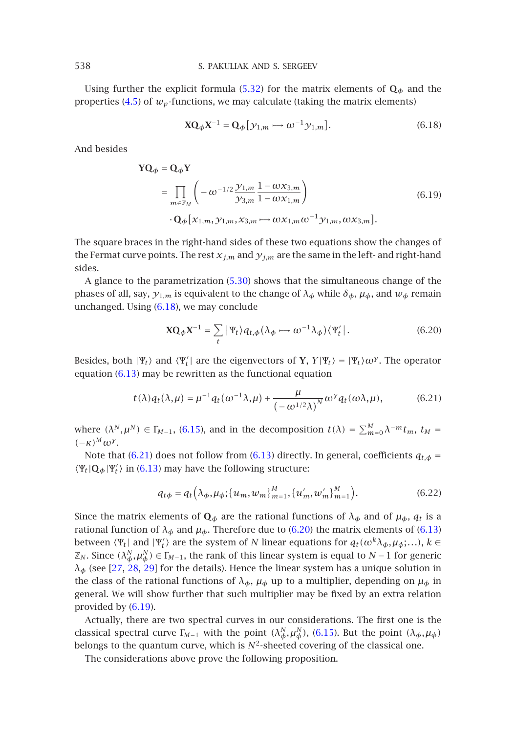Using further the explicit formula (5.32) for the matrix elements of  $\mathbf{Q}_{\phi}$  and the properties  $(4.5)$  of  $w_p$ -functions, we may calculate (taking the matrix elements)

<span id="page-25-0"></span>
$$
\mathbf{X}\mathbf{Q}_{\phi}\mathbf{X}^{-1} = \mathbf{Q}_{\phi}[\mathbf{y}_{1,m} \rightarrow \omega^{-1}\mathbf{y}_{1,m}].
$$
 (6.18)

And besides

$$
\mathbf{YQ}_{\phi} = \mathbf{Q}_{\phi} \mathbf{Y}
$$
  
= 
$$
\prod_{m \in \mathbb{Z}_M} \left( -\omega^{-1/2} \frac{\mathcal{Y}_{1,m}}{\mathcal{Y}_{3,m}} \frac{1 - \omega x_{3,m}}{1 - \omega x_{1,m}} \right)
$$
  
• 
$$
\mathbf{Q}_{\phi} [x_{1,m}, y_{1,m}, x_{3,m} \rightarrow \omega x_{1,m} \omega^{-1} y_{1,m}, \omega x_{3,m}].
$$
 (6.19)

The square braces in the right-hand sides of these two equations show the changes of the Fermat curve points. The rest  $x_{j,m}$  and  $y_{j,m}$  are the same in the left- and right-hand sides.

A glan[ce to t](#page-24-0)he parametrization (5.30) shows that the simultaneous change of the phases of all, say,  $y_{1,m}$  is equivalent to the change of  $\lambda_{\phi}$  while  $\delta_{\phi}$ ,  $\mu_{\phi}$ , and  $w_{\phi}$  remain unchanged. Using (6.18), we may conclude

<span id="page-25-1"></span>
$$
\mathbf{X}\mathbf{Q}_{\phi}\mathbf{X}^{-1} = \sum_{t} |\Psi_{t}\rangle q_{t,\phi} (\lambda_{\phi} \longrightarrow \omega^{-1} \lambda_{\phi}) \langle \Psi'_{t} |.
$$
 (6.20)

Besides, both  $|\Psi_t\rangle$  and  $\langle \Psi'_t|$  are the eigenvectors of **Y**,  $Y|\Psi_t\rangle = |\Psi_t\rangle \omega^{\gamma}$ . The operator equation (6.[13\)](#page-25-1)[m](#page-25-1)[ay](#page-24-0) be rewritten as the f[uncti](#page-24-0)onal equation

$$
t(\lambda)q_t(\lambda,\mu) = \mu^{-1}q_t(\omega^{-1}\lambda,\mu) + \frac{\mu}{\left(-\omega^{1/2}\lambda\right)^N}\omega^{\gamma}q_t(\omega\lambda,\mu),\tag{6.21}
$$

where  $(\lambda^N, \mu^N) \in \Gamma_{M-1}$ , (6.15), and in the decomposition  $t(\lambda) = \sum_{m=0}^{M} \lambda^{-m} t_m$ ,  $t_M =$  $(-\kappa)^M \omega^{\gamma}$ .

Note that (6.21) does not follow from (6.13) directly. In general, coefficients  $q_{t,\phi}$  =  $\langle \Psi_t | \mathbf{Q}_{\phi} | \Psi'_t \rangle$  in (6.13) may have the following structure:

$$
q_{t\phi} = q_t \left( \lambda_{\phi}, \mu_{\phi}; \{u_m, w_m\}_{m=1}^M, \{u'_m, w'_m\}_{m=1}^M \right). \tag{6.22}
$$

Since the m[atrix e](#page-25-2)lements of  $\mathbf{Q}_{\phi}$  are the rational functions of  $\lambda_{\phi}$  and of  $\mu_{\phi}$ ,  $q_t$  is a rational function of  $\lambda_{\phi}$  and  $\mu_{\phi}$ . Therefore due to (6.20) the matrix elements of (6.13) between  $\langle \Psi_t |$  and  $|\Psi'_t \rangle$  are the system of *N* linear equat[ions f](#page-24-1)or  $q_t(\omega^k \lambda_\phi, \mu_\phi; \ldots), k \in$  $\mathbb{Z}_N$ . Since  $(\lambda_{\phi}^N, \mu_{\phi}^N) \in \Gamma_{M-1}$ , the rank of this linear system is equal to  $N-1$  for generic  $\lambda_{\phi}$  (see [27, 28, 29] for the details). Hence the linear system has a unique solution in the class of the rational functions of  $\lambda_{\phi}$ ,  $\mu_{\phi}$  up to a multiplier, depending on  $\mu_{\phi}$  in general. We will show further that such multiplier may be fixed by an extra relation provided by (6.19).

Actually, there are two spectral curves in our considerations. The first one is the classical spectral curve  $\Gamma_{M-1}$  with the point  $(\lambda_{\phi}^N, \mu_{\phi}^N)$ , (6.15). But the point  $(\lambda_{\phi}, \mu_{\phi})$ belongs to the quantum curve, which is  $N^2$ -sheeted covering of the classical one.

The considerations above prove the following proposition.

<span id="page-25-2"></span>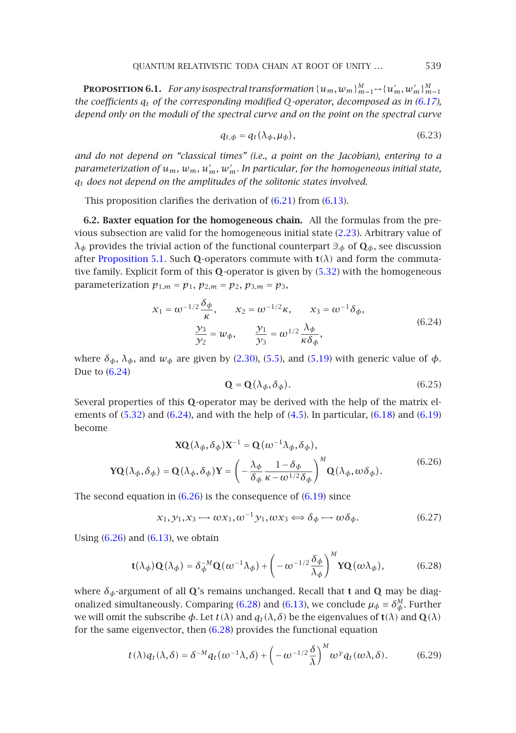<span id="page-26-4"></span>**PROPOSITION 6.1.** For any isospectral transformation  $\{u_m, w_m\}_{m=1}^M \mapsto \{u'_m, w'_m\}_{m=1}^M$ *the coefficients qt of the corresponding modified Q-operator, decomposed as in (6.17), depend only on the moduli of the spectral curv[e and](#page-25-1) on th[e poin](#page-24-0)t on the spectral curve*

<span id="page-26-0"></span>
$$
q_{t,\phi} = q_t(\lambda_{\phi}, \mu_{\phi}), \tag{6.23}
$$

*and do not depend on "classical times" (i.e., a point on the Jacobian), entering to a para[meterization of](#page-18-3)*  $u_m$ *,*  $w_m$ *,*  $u'_m$ *,*  $w'_m$ *. In particular, for the homogeneous initial state, qt does not depend on the amplitudes of the solitonic sta[tes in](#page-20-0)volved.*

This proposition clarifies the derivation of (6.21) from (6.13).

**6.2. Baxter equation for the homogeneous chain.** All the formulas from the previous subsection are valid for the homogeneous initial state (2.23). Arbitrary value of *λ*<sub>φ</sub> provides the trivial action of the functional counterpart  $\mathcal{D}_{\phi}$  of **Q**<sub>φ</sub>, see discussion after Proposition 5.1. Such **Q**-operators commute with **t***(λ)* and form the commutative family. Explicit form of this **Q**-o[perato](#page-6-2)r [is g](#page-16-3)iven b[y \(5.3](#page-18-7)2) with the homogeneous parame[teriza](#page-26-0)tion  $p_{1,m} = p_1$ ,  $p_{2,m} = p_2$ ,  $p_{3,m} = p_3$ ,

$$
x_1 = \omega^{-1/2} \frac{\delta \phi}{\kappa}, \qquad x_2 = \omega^{-1/2} \kappa, \qquad x_3 = \omega^{-1} \delta \phi,
$$
  

$$
\frac{y_3}{y_2} = w_{\phi}, \qquad \frac{y_1}{y_3} = \omega^{1/2} \frac{\lambda \phi}{\kappa \delta \phi},
$$
 (6.24)

<span id="page-26-1"></span>where  $\delta_{\phi}$ ,  $\lambda_{\phi}$ , and  $w_{\phi}$  are given by (2.30), (5.5), and (5.19) with generic value of  $\phi$ . Due to (6.24)

<span id="page-26-2"></span>
$$
\mathbf{Q} = \mathbf{Q} \left( \lambda_{\phi}, \delta_{\phi} \right). \tag{6.25}
$$

Several properties of this **Q**-operator may be derived with the help of the matrix elements of (5.32) and (6.[24\),](#page-26-1) [a](#page-26-1)nd with the help of (4.[5\).](#page-25-2) [In](#page-25-2) [p](#page-25-2)articular, (6.18) and (6.19) become

$$
\mathbf{XQ}(\lambda_{\phi}, \delta_{\phi})\mathbf{X}^{-1} = \mathbf{Q}(\omega^{-1}\lambda_{\phi}, \delta_{\phi}),
$$

$$
\mathbf{YQ}(\lambda_{\phi}, \delta_{\phi}) = \mathbf{Q}(\lambda_{\phi}, \delta_{\phi})\mathbf{Y} = \left(-\frac{\lambda_{\phi}}{\delta_{\phi}}\frac{1-\delta_{\phi}}{\kappa-\omega^{1/2}\delta_{\phi}}\right)^{M}\mathbf{Q}(\lambda_{\phi}, \omega\delta_{\phi}).
$$
(6.26)

The second equation in  $(6.26)$  is the consequence of  $(6.19)$  since

<span id="page-26-3"></span>
$$
x_1, y_1, x_3 \mapsto \omega x_1, \omega^{-1} y_1, \omega x_3 \Longleftrightarrow \delta_{\phi} \mapsto \omega \delta_{\phi}.
$$
 (6.27)

Us[in](#page-26-2)g  $(6.26)$  and  $(6.13)$ , we obtain

$$
\mathbf{t}(\lambda_{\phi})\mathbf{Q}(\lambda_{\phi}) = \delta_{\phi}^{-M}\mathbf{Q}(\omega^{-1}\lambda_{\phi}) + \left(-\omega^{-1/2}\frac{\delta_{\phi}}{\lambda_{\phi}}\right)^{M}\mathbf{Y}\mathbf{Q}(\omega\lambda_{\phi}),
$$
(6.28)

where *δφ*-argument of all **Q**'s remains unchanged. Recall that **t** and **Q** may be diagonalized simultaneously. Comparing (6.28) and (6.13), we conclude  $\mu_{\phi} \equiv \delta_{\phi}^{M}$ . Further we will omit the subscribe  $\phi$ . Let  $t(\lambda)$  and  $q_t(\lambda, \delta)$  be the eigenvalues of **t**(λ) and **Q**(λ) for the same eigenvector, then (6.28) provides the functional equation

$$
t(\lambda)q_t(\lambda,\delta) = \delta^{-M}q_t(\omega^{-1}\lambda,\delta) + \left(-\omega^{-1/2}\frac{\delta}{\lambda}\right)^M \omega^{\gamma}q_t(\omega\lambda,\delta).
$$
 (6.29)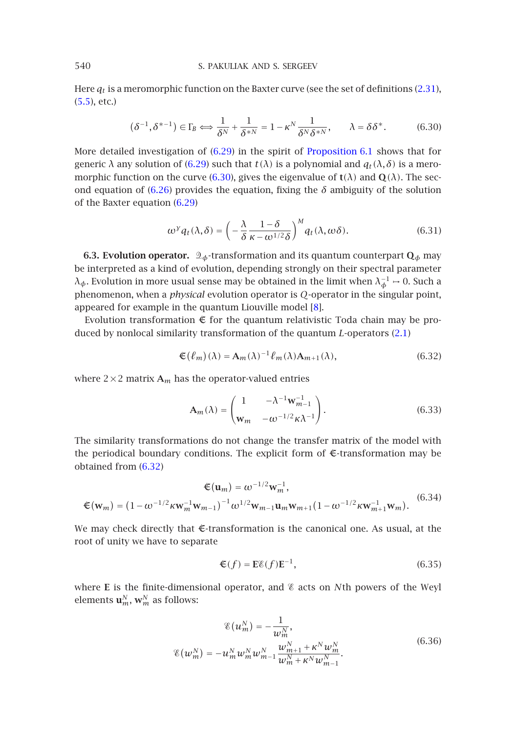Here *qt* is a meromorphic functi[on on](#page-27-0) the Baxter curve (see the set of definitions (2.31), (5.5), etc.)

$$
(\delta^{-1}, \delta^{*-1}) \in \Gamma_B \Longleftrightarrow \frac{1}{\delta^N} + \frac{1}{\delta^{*N}} = 1 - \kappa^N \frac{1}{\delta^N \delta^{*N}}, \qquad \lambda = \delta \delta^*.
$$
 (6.30)

More detailed investigation of (6.29) in the spirit of Proposition 6.1 shows that for generic *λ* any solution of (6.29) such that *t*(*λ*) is a polynomial and  $q_t(\lambda, \delta)$  is a meromorphic function on the curve (6.30), gives the eigenvalue of **t** $(\lambda)$  and **Q** $(\lambda)$ . The second equation of (6.26) provides the equation, fixing the  $\delta$  ambiguity of the solution of the Baxter equation (6.29)

<span id="page-27-1"></span>
$$
\omega^{\gamma} q_t(\lambda, \delta) = \left( -\frac{\lambda}{\delta} \frac{1 - \delta}{\kappa - \omega^{1/2} \delta} \right)^M q_t(\lambda, \omega \delta). \tag{6.31}
$$

**6.3. Evolution operator.**  $\mathcal{Q}_{\phi}$ -transformation and its quantum counterpart  $\mathbf{Q}_{\phi}$  may be interpreted as a kind of evolution, depending strongly on their spectral parameter *λ*φ. Evolution in more usual sense may be obtained in the limit when  $λ<sub>φ</sub><sup>-1</sup> → 0$ . Such a phenomenon, when a *physical* evolution operator is *Q*-operator in the singular point, appeared for example in the quantum Liouville model [8].

Evolution transformation  $\epsilon$  for the quantum relativistic Toda chain may be produced by nonlocal similarity transformation of the quantum *L*-operators (2.1)

$$
\mathfrak{E}(\ell_m)(\lambda) = \mathbf{A}_m(\lambda)^{-1} \ell_m(\lambda) \mathbf{A}_{m+1}(\lambda), \tag{6.32}
$$

where  $2 \times 2$  ma[trix](#page-27-1)  $A_m$  has the operator-valued entries

$$
\mathbf{A}_{m}(\lambda) = \begin{pmatrix} 1 & -\lambda^{-1} \mathbf{w}_{m-1}^{-1} \\ \mathbf{w}_{m} & -\omega^{-1/2} \kappa \lambda^{-1} \end{pmatrix}.
$$
 (6.33)

The similarity transformations do not change the transfer matrix of the model with the periodical boundary conditions. The explicit form of  $E$ -transformation may be obtained from (6.32)

<span id="page-27-2"></span>
$$
\mathfrak{E}(\mathbf{u}_m) = \omega^{-1/2} \mathbf{w}_m^{-1},
$$
\n
$$
\mathfrak{E}(\mathbf{w}_m) = (1 - \omega^{-1/2} \kappa \mathbf{w}_m^{-1} \mathbf{w}_{m-1})^{-1} \omega^{1/2} \mathbf{w}_{m-1} \mathbf{u}_m \mathbf{w}_{m+1} (1 - \omega^{-1/2} \kappa \mathbf{w}_{m+1}^{-1} \mathbf{w}_m).
$$
\n(6.34)

We may check directly that  $E$ -transformation is the canonical one. As usual, at the root of unity we have to separate

$$
\mathfrak{E}(f) = \mathbf{E}\mathfrak{E}(f)\mathbf{E}^{-1},\tag{6.35}
$$

where **E** is the finite-dimensional operator, and  $\&$  acts on *N*th powers of the Weyl elements  $\mathbf{u}_m^N$ ,  $\mathbf{w}_m^N$  as follows:

$$
\mathcal{E}(u_m^N) = -\frac{1}{w_m^N},
$$
  

$$
\mathcal{E}(w_m^N) = -u_m^N w_m^N w_{m-1}^N \frac{w_{m+1}^N + \kappa^N w_m^N}{w_m^N + \kappa^N w_{m-1}^N}.
$$
 (6.36)

<span id="page-27-0"></span>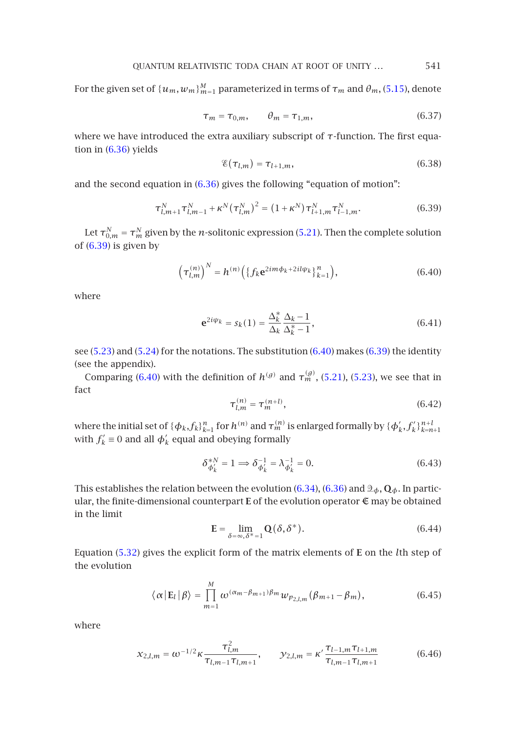For the given set of  $\{u_m, w_m\}_{m=1}^M$  $\{u_m, w_m\}_{m=1}^M$  $\{u_m, w_m\}_{m=1}^M$  parameterized in terms of  $\tau_m$  and  $\theta_m$ , (5.15), denote

<span id="page-28-0"></span>
$$
\tau_m = \tau_{0,m}, \qquad \theta_m = \tau_{1,m}, \tag{6.37}
$$

where we have introduced the extra auxiliary subsc[ript o](#page-18-5)f *τ*-function. The first equatio[n](#page-28-0) [in](#page-28-0) [\(6](#page-28-0).36) yields

<span id="page-28-1"></span>
$$
\mathscr{E}(\tau_{l,m}) = \tau_{l+1,m},\tag{6.38}
$$

and the second equation in (6.36) gives the following "equation of motion":

$$
\tau_{l,m+1}^{N} \tau_{l,m-1}^{N} + \kappa^{N} (\tau_{l,m}^{N})^{2} = (1 + \kappa^{N}) \tau_{l+1,m}^{N} \tau_{l-1,m}^{N}.
$$
 (6.39)

Let  $\tau_{0,m}^N = \tau_{m}^N$  given by the *n*-solitonic expression (5.21). Then the complete solution of  $(6.39)$  is given by

$$
\left(\tau_{l,m}^{(n)}\right)^N = h^{(n)}\left(\left\{f_k e^{2im\phi_k + 2il\psi_k}\right\}_{k=1}^n\right),\tag{6.40}
$$

where

$$
\mathbf{e}^{2i\psi_k} = s_k(1) = \frac{\Delta_k^*}{\Delta_k} \frac{\Delta_k - 1}{\Delta_k^* - 1},\tag{6.41}
$$

see (5.23) and (5.24) for the notations. The substitution  $(6.40)$  makes  $(6.39)$  the identity (see the appendix).

Comparing (6.40) with the definition of  $h^{(g)}$  and  $\tau_m^{(g)}$ , (5.21), (5.23), we see that in fact

$$
\tau_{l,m}^{(n)} = \tau_m^{(n+l)},\tag{6.42}
$$

where the initial set of  $\{\phi_k, f_k\}_{k=1}^n$  for  $h^{(n)}$  and  $\tau_m^{(n)}$  is enlarged formally by  $\{\phi_k', f_k'\}_{k=n+1}^{n+l}$ with  $f'_k \equiv 0$  and all  $\phi'_k$  equal and obeying formally

$$
\delta_{\phi'_k}^{*N} = 1 \Longrightarrow \delta_{\phi'_k}^{-1} = \lambda_{\phi'_k}^{-1} = 0.
$$
\n(6.43)

This establishes the relation between the evolution (6.34), (6.36) and  $\mathcal{Q}_{\phi}$ , **Q**<sub> $\phi$ </sub>. In particular, the finite-dimensional counterpart **E** of the evolution operator E may be obtained in the limit

$$
\mathbf{E} = \lim_{\delta = \infty, \delta^* = 1} \mathbf{Q}(\delta, \delta^*). \tag{6.44}
$$

Equation (5.32) gives the explicit form of the matrix elements of **E** on the *l*th step of the evolution

$$
\langle \alpha | \mathbf{E}_l | \beta \rangle = \prod_{m=1}^{M} \omega^{(\alpha_m - \beta_{m+1})\beta_m} w_{p_{2,l,m}}(\beta_{m+1} - \beta_m), \qquad (6.45)
$$

where

$$
x_{2,l,m} = \omega^{-1/2} \kappa \frac{\tau_{l,m}^2}{\tau_{l,m-1} \tau_{l,m+1}}, \qquad y_{2,l,m} = \kappa' \frac{\tau_{l-1,m} \tau_{l+1,m}}{\tau_{l,m-1} \tau_{l,m+1}}
$$
(6.46)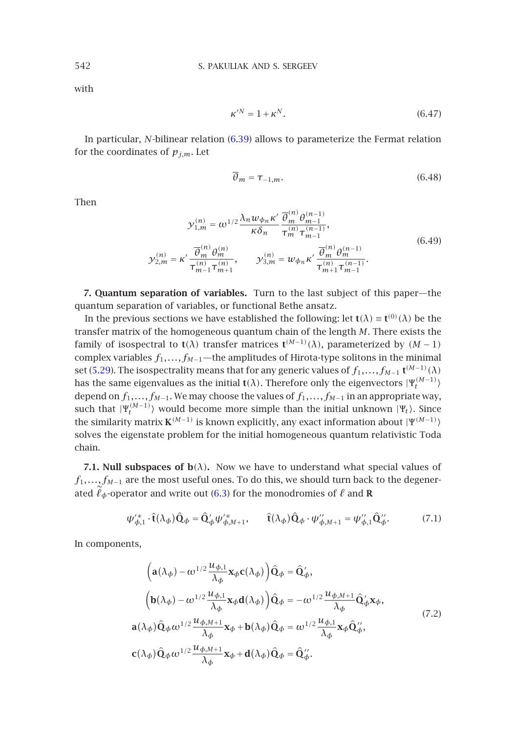with

$$
\kappa'^N = 1 + \kappa^N. \tag{6.47}
$$

In particular, *N*-bilinear relation (6.39) allows to parameterize the Fermat relation for the coordinates of  $p_{j,m}$ . Let

$$
\overline{\theta}_m = \tau_{-1,m}.\tag{6.48}
$$

Then

$$
\mathcal{Y}_{1,m}^{(n)} = \omega^{1/2} \frac{\lambda_n w_{\phi_n} \kappa'}{\kappa \delta_n} \frac{\overline{\theta}_m^{(n)} \theta_{m-1}^{(n-1)}}{\tau_m^{(n)} \tau_{m-1}^{(n-1)}},
$$
\n
$$
\mathcal{Y}_{2,m}^{(n)} = \kappa' \frac{\overline{\theta}_m^{(n)} \theta_m^{(n)}}{\tau_{m-1}^{(n)} \tau_{m+1}^{(n)}}, \qquad \mathcal{Y}_{3,m}^{(n)} = w_{\phi_n} \kappa' \frac{\overline{\theta}_m^{(n)} \theta_m^{(n-1)}}{\tau_{m+1}^{(n)} \tau_{m-1}^{(n-1)}}.
$$
\n(6.49)

**7. Quantum separation of variables.** Turn to the last subject of this paper—the quantum separation of variables, or functional Bethe ansatz.

In the previous sections we have established the following: let **t**( $\lambda$ ) = **t**<sup>(0)</sup>( $\lambda$ ) be the transfer matrix of the homogeneous quantum chain of the length *M*. There exists the family of isospectral to **t**( $\lambda$ ) transfer matrices **t**<sup>( $M-1$ </sup>)( $\lambda$ ), parameterized by ( $M-1$ ) complex variables *f*1*,...,fM*−1—the amplitudes of Hirota-type solitons in the minimal set (5.29). The isospectrality means that for any generic values of  $f_1, \ldots, f_{M-1}$  **t**<sup> $(M-1)$ </sup>( $\lambda$ ) has the same eigenvalues as the initial  $t(\lambda)$ . Therefore only the eigenvectors  $|\Psi_t^{(M-1)}\rangle$ depend on *f*1*,...,fM*−1. We may choose the values of *f*1*,...,fM*<sup>−</sup><sup>1</sup> in an appropriate way, such that  $|\Psi_t^{(M-1)}\rangle$  would beco[me](#page-22-2) [m](#page-22-2)ore simple than the initial unknown  $|\Psi_t\rangle$ . Since the similarity matrix  $\mathbf{K}^{(M-1)}$  is known explicitly, any exact information about  $|\Psi^{(M-1)}\rangle$ solves the eigenstate problem for the initial homogeneous quantum relativistic Toda chain.

<span id="page-29-0"></span>**7.1. Null subspaces of**  $b(\lambda)$ **.** Now we have to understand what special values of *f*<sub>1</sub>,...,*f*<sub>*M*−1</sub> are the most useful ones. To do this, we should turn back to the degenerated  $\ell_{\phi}$ -operator and write out (6.3) for the monodromies of  $\ell$  and **R** 

$$
\psi_{\phi,1}^{\prime*} \cdot \hat{\mathbf{t}}(\lambda_{\phi}) \hat{\mathbf{Q}}_{\phi} = \hat{\mathbf{Q}}_{\phi}^{\prime} \psi_{\phi,M+1}^{\prime*}, \qquad \hat{\mathbf{t}}(\lambda_{\phi}) \hat{\mathbf{Q}}_{\phi} \cdot \psi_{\phi,M+1}^{\prime\prime} = \psi_{\phi,1}^{\prime\prime} \hat{\mathbf{Q}}_{\phi}^{\prime\prime}. \tag{7.1}
$$

In components,

$$
\begin{split}\n&\left(\mathbf{a}(\lambda_{\phi}) - \omega^{1/2} \frac{\mathcal{U}_{\phi,1}}{\lambda_{\phi}} \mathbf{x}_{\phi} \mathbf{c}(\lambda_{\phi})\right) \hat{\mathbf{Q}}_{\phi} = \hat{\mathbf{Q}}'_{\phi}, \\
&\left(\mathbf{b}(\lambda_{\phi}) - \omega^{1/2} \frac{\mathcal{U}_{\phi,1}}{\lambda_{\phi}} \mathbf{x}_{\phi} \mathbf{d}(\lambda_{\phi})\right) \hat{\mathbf{Q}}_{\phi} = -\omega^{1/2} \frac{\mathcal{U}_{\phi,M+1}}{\lambda_{\phi}} \hat{\mathbf{Q}}'_{\phi} \mathbf{x}_{\phi}, \\
&\mathbf{a}(\lambda_{\phi}) \hat{\mathbf{Q}}_{\phi} \omega^{1/2} \frac{\mathcal{U}_{\phi,M+1}}{\lambda_{\phi}} \mathbf{x}_{\phi} + \mathbf{b}(\lambda_{\phi}) \hat{\mathbf{Q}}_{\phi} = \omega^{1/2} \frac{\mathcal{U}_{\phi,1}}{\lambda_{\phi}} \mathbf{x}_{\phi} \hat{\mathbf{Q}}''_{\phi}, \\
&\mathbf{c}(\lambda_{\phi}) \hat{\mathbf{Q}}_{\phi} \omega^{1/2} \frac{\mathcal{U}_{\phi,M+1}}{\lambda_{\phi}} \mathbf{x}_{\phi} + \mathbf{d}(\lambda_{\phi}) \hat{\mathbf{Q}}_{\phi} = \hat{\mathbf{Q}}''_{\phi}.\n\end{split} \tag{7.2}
$$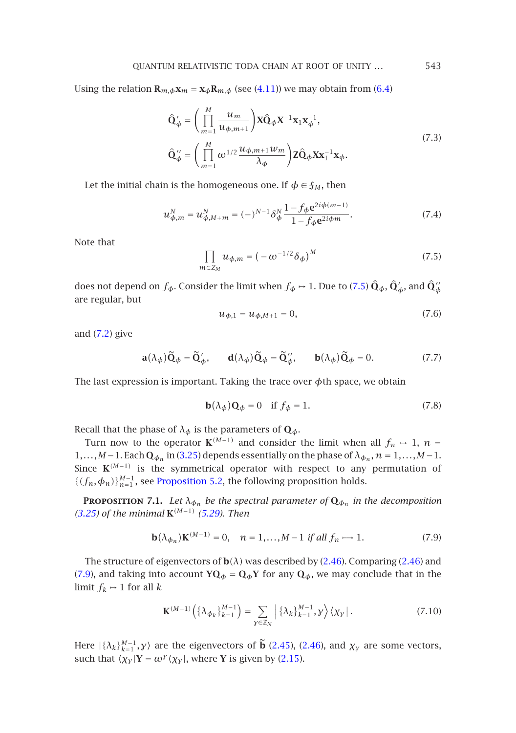Using the relation  $\mathbf{R}_{m,\phi}\mathbf{x}_m = \mathbf{x}_{\phi}\mathbf{R}_{m,\phi}$  (see (4.11)) we may obtain from (6.4)

$$
\hat{\mathbf{Q}}'_{\phi} = \left(\prod_{m=1}^{M} \frac{u_m}{u_{\phi,m+1}}\right) \mathbf{X} \hat{\mathbf{Q}}_{\phi} \mathbf{X}^{-1} \mathbf{x}_1 \mathbf{x}_{\phi}^{-1},
$$
\n
$$
\hat{\mathbf{Q}}''_{\phi} = \left(\prod_{m=1}^{M} \omega^{1/2} \frac{u_{\phi,m+1} u_m}{\lambda_{\phi}}\right) \mathbf{Z} \hat{\mathbf{Q}}_{\phi} \mathbf{X} \mathbf{x}_1^{-1} \mathbf{x}_{\phi}.
$$
\n(7.3)

Let the initial chain is the homogeneous one. If  $\phi \in \mathfrak{f}_M$ , then

$$
u_{\phi,m}^N = u_{\phi,M+m}^N = (-)^{N-1} \delta_{\phi}^N \frac{1 - f_{\phi} e^{2i\phi(m-1)}}{1 - f_{\phi} e^{2i\phi m}}.
$$
 (7.4)

Note [tha](#page-29-0)t

$$
\prod_{m \in Z_M} u_{\phi,m} = \left( -\omega^{-1/2} \delta_{\phi} \right)^M \tag{7.5}
$$

does not depend on  $f_{\phi}$ . Consider the limit when  $f_{\phi} \mapsto 1$ . Due to (7.5)  $\hat{\mathbf{Q}}_{\phi}$ ,  $\hat{\mathbf{Q}}_{\phi}'$ , and  $\hat{\mathbf{Q}}_{\phi}''$ are regular, but

$$
u_{\phi,1} = u_{\phi,M+1} = 0, \tag{7.6}
$$

and (7.2) give

$$
\mathbf{a}(\lambda_{\phi})\widetilde{\mathbf{Q}}_{\phi} = \widetilde{\mathbf{Q}}'_{\phi}, \qquad \mathbf{d}(\lambda_{\phi})\widetilde{\mathbf{Q}}_{\phi} = \widetilde{\mathbf{Q}}''_{\phi}, \qquad \mathbf{b}(\lambda_{\phi})\widetilde{\mathbf{Q}}_{\phi} = 0. \tag{7.7}
$$

The last expression is important. Taking the trace over *φ*th space, we obtain

<span id="page-30-0"></span>
$$
\mathbf{b}(\lambda_{\phi})\mathbf{Q}_{\phi} = 0 \quad \text{if } f_{\phi} = 1. \tag{7.8}
$$

[Recal](#page-12-2)l that the pha[s](#page-19-0)e of  $\lambda_{\phi}$  is [the](#page-19-0) parameters of  $\mathbf{Q}_{\phi}$ .

Turn now to the operator  $\mathbf{K}^{(M-1)}$  and consider the limit when all  $f_n \rightarrow 1$ ,  $n =$ 1,...,*M*−1. Each  $\mathbf{Q}_{\phi_n}$  in (3.25) depends essentially on the phase of  $\lambda_{\phi_n}$ ,  $n = 1,...,M-1$ . Since  $K^{(M-1)}$  is the symmetrical operator with resp[ect to](#page-8-1) any perm[utation](#page-8-1) of  ${(f_n, \phi_n)}_{n=1}^{M-1}$ , see Proposition 5.2, the following proposition holds.

<span id="page-30-1"></span>**PROPOSITION 7.1.** Let  $\lambda_{\phi_n}$  be the spectral parameter of  $\mathbf{Q}_{\phi_n}$  in the decomposition *(3.25) of the minimal* **K***(M*−1*) (5.29). Then*

$$
\mathbf{b}(\lambda_{\phi_n})\mathbf{K}^{(M-1)} = 0, \quad n = 1, ..., M-1 \text{ if all } f_n \to 1. \tag{7.9}
$$

The structure of eigenvectors of  $\mathbf{b}(\lambda)$  $\mathbf{b}(\lambda)$  $\mathbf{b}(\lambda)$  was d[escrib](#page-8-2)ed [by](#page-8-1) [\(](#page-8-1)2.46). Comparing (2.46) and (7.9), and taking into account  $\mathbf{YQ}_{\phi} = \mathbf{Q}_{\phi} \mathbf{Y}$  for [any](#page-4-2)  $\mathbf{Q}_{\phi}$ , we may conclude that in the limit  $f_k \mapsto 1$  for all  $k$ 

$$
\mathbf{K}^{(M-1)}\left(\left\{\lambda_{\phi_k}\right\}_{k=1}^{M-1}\right) = \sum_{\mathbf{y}\in\mathbb{Z}_N} \left|\left\{\lambda_k\right\}_{k=1}^{M-1}, \mathbf{y}\right\rangle \left\langle \chi_{\mathbf{y}}\right|.
$$
 (7.10)

Here  $|\{\lambda_k\}_{k=1}^{M-1}, \gamma\rangle$  are the eigenvectors of **b** (2.45), (2.46), and  $\chi_{\gamma}$  are some vectors, such that  $\langle \chi_{\gamma} | Y = \omega^{\gamma} \langle \chi_{\gamma} |$ , where **Y** is given by (2.15).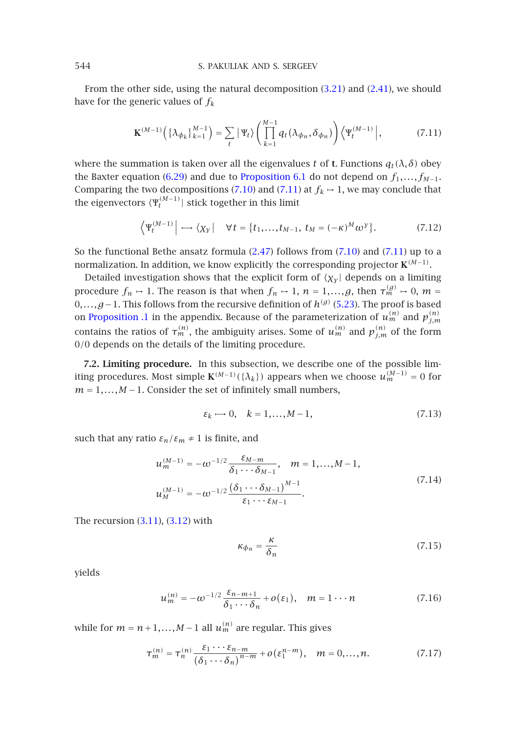From the other si[de, us](#page-26-3)ing the nat[ural decompositio](#page-26-4)n (3.21) and (2.41), we should have for the generic values of *fk*

$$
\mathbf{K}^{(M-1)}\left(\{\lambda_{\phi_k}\}_{k=1}^{M-1}\right) = \sum_t |\Psi_t\rangle \left(\prod_{k=1}^{M-1} q_t(\lambda_{\phi_n}, \delta_{\phi_n})\right) \left\langle \Psi_t^{(M-1)}\right|,\tag{7.11}
$$

where the summation is taken over all t[he eig](#page-8-0)envalues *t* of **t**[. Func](#page-30-1)tions  $q_t(\lambda, \delta)$  obey the Baxter equation (6.29) and due to Proposition 6.1 do not depend on  $f_1, \ldots, f_{M-1}$ . Comparing the two decompositions (7.10) and (7.11) at  $f_k \rightarrow 1$ , we may conclude that the eigenvectors  $\langle \Psi_t^{(M-1)} |$  stick together in this limit

$$
\left\langle \Psi_t^{(M-1)} \right| \longrightarrow \left\langle \chi_Y \right| \quad \forall \, t = \left\{ t_1, \dots, t_{M-1}, \ t_M = (-\kappa)^M \omega^Y \right\}. \tag{7.12}
$$

So the functional Bethe ansatz formula  $(2.47)$  follows from  $(7.10)$  and  $(7.11)$  up to a normalization. In addition, we know explicitly the corresponding projector **K***(M*−1*)*.

Detailed investigation shows that the explicit form of  $\langle \chi_{\gamma} |$  depends on a limiting procedure  $f_n \mapsto 1$ . The reason is that when  $f_n \mapsto 1, \, n=1,...,g,$  then  $\tau_m^{(g)} \mapsto 0, \, m=1$ 0*,...,g*−1. This follows from the recursive definition of *h(g)* (5.23). The proof is based on Proposition .1 in the appendix. Because of the parameterization of  $u_m^{(n)}$  and  $p_{j,m}^{(n)}$ contains the ratios of  $\tau_m^{(n)}$ , the ambiguity arises. Some of  $u_m^{(n)}$  and  $p_{j,m}^{(n)}$  of the form 0*/*0 depends on the details of the limiting procedure.

**7.2. Limiting procedure.** In this subsection, we describe one of the possible limiting procedures. Most simple  $\mathbf{K}^{(M-1)}(\{\lambda_k\})$  appears when we choose  $u_m^{(M-1)} = 0$  for  $m = 1, \ldots, M - 1$ . Consider the set of infinitely small numbers,

$$
\varepsilon_k \mapsto 0, \quad k = 1, \dots, M - 1,\tag{7.13}
$$

such that any [ratio](#page-10-4)  $\varepsilon_n/\varepsilon_m \neq 1$  is finite, and

$$
u_m^{(M-1)} = -\omega^{-1/2} \frac{\varepsilon_{M-m}}{\delta_1 \cdots \delta_{M-1}}, \quad m = 1, ..., M-1,
$$
  

$$
u_M^{(M-1)} = -\omega^{-1/2} \frac{(\delta_1 \cdots \delta_{M-1})^{M-1}}{\varepsilon_1 \cdots \varepsilon_{M-1}}.
$$
 (7.14)

The recursion  $(3.11)$ ,  $(3.12)$  with

$$
\kappa_{\phi_n} = \frac{\kappa}{\delta_n} \tag{7.15}
$$

yields

$$
u_m^{(n)} = -\omega^{-1/2} \frac{\varepsilon_{n-m+1}}{\delta_1 \cdots \delta_n} + o(\varepsilon_1), \quad m = 1 \cdots n
$$
 (7.16)

while for  $m = n + 1, ..., M - 1$  all  $u_m^{(n)}$  are regular. This gives

$$
\tau_m^{(n)} = \tau_n^{(n)} \frac{\varepsilon_1 \cdots \varepsilon_{n-m}}{(\delta_1 \cdots \delta_n)^{n-m}} + o(\varepsilon_1^{n-m}), \quad m = 0, \ldots, n. \tag{7.17}
$$

<span id="page-31-0"></span>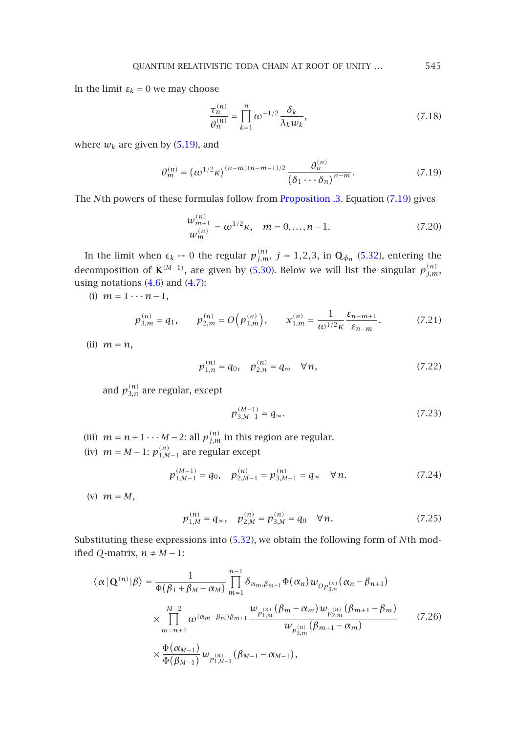In the limit  $\varepsilon_k = 0$  we may choose

$$
\frac{\tau_n^{(n)}}{\theta_n^{(n)}} = \prod_{k=1}^n \omega^{-1/2} \frac{\delta_k}{\lambda_k w_k},\tag{7.18}
$$

where  $w_k$  are given by  $(5.19)$ , and

$$
\theta_m^{(n)} = (\omega^{1/2} \kappa)^{(n-m)(n-m-1)/2} \frac{\theta_n^{(n)}}{(\delta_1 \cdots \delta_n)^{n-m}}.
$$
\n(7.19)

The *N*th powers [of](#page-13-4) [t](#page-13-4)hese [form](#page-13-5)ulas follow from Proposition .3. Equation (7.19) gives

$$
\frac{w_{m+1}^{(n)}}{w_m^{(n)}} = \omega^{1/2} \kappa, \quad m = 0, \dots, n-1.
$$
 (7.20)

In the limit when  $\epsilon_k \mapsto 0$  the regular  $p_{j,m}^{(n)}$ ,  $j = 1,2,3$ , in  $\mathbf{Q}_{\phi_n}$  (5.32), entering the decomposition of  $\mathbf{K}^{(M-1)}$ , are given by (5.30). Below we will list the singular  $p_{j,m}^{(n)}$ , using notations (4.6) and (4.7):

(i)  $m = 1 \cdots n-1$ ,

$$
p_{3,m}^{(n)} = q_1, \qquad p_{2,m}^{(n)} = O\left(p_{1,m}^{(n)}\right), \qquad x_{1,m}^{(n)} = \frac{1}{\omega^{1/2}\kappa} \frac{\varepsilon_{n-m+1}}{\varepsilon_{n-m}}.\tag{7.21}
$$

(ii) *m* = *n*,

$$
p_{1,n}^{(n)} = q_0, \quad p_{2,n}^{(n)} = q_\infty \quad \forall n,
$$
 (7.22)

and  $p_{3,n}^{(n)}$  are regular, except

$$
p_{3,M-1}^{(M-1)} = q_{\infty}.
$$
\n(7.23)

- (iii)  $m = n + 1 \cdots M 2$ : all  $p_{j,m}^{(n)}$  in this region are regular.
- (iv)  $m = M 1$ :  $p_{1,M-1}^{(n)}$  are regular [excep](#page-20-0)t

$$
p_{1,M-1}^{(M-1)} = q_0, \quad p_{2,M-1}^{(n)} = p_{3,M-1}^{(n)} = q_\infty \quad \forall n. \tag{7.24}
$$

(v) *m* = *M*,

$$
p_{1,M}^{(n)} = q_{\infty}, \quad p_{2,M}^{(n)} = p_{3,M}^{(n)} = q_0 \quad \forall n. \tag{7.25}
$$

Substituting these expressions into (5.32), we obtain the following form of *N*th modified *Q*-matrix,  $n \neq M-1$ :

$$
\langle \alpha | \mathbf{Q}^{(n)} | \beta \rangle = \frac{1}{\Phi(\beta_1 + \beta_M - \alpha_M)} \prod_{m=1}^{n-1} \delta_{\alpha_m, \beta_{m+1}} \Phi(\alpha_n) w_{Op_{3,n}^{(n)}}(\alpha_n - \beta_{n+1})
$$
  

$$
\times \prod_{m=n+1}^{M-2} \omega^{(\alpha_m - \beta_m)\beta_{m+1}} \frac{w_{p_{1,m}^{(n)}}(\beta_m - \alpha_m) w_{p_{2,m}^{(n)}}(\beta_{m+1} - \beta_m)}{w_{p_{3,m}^{(n)}}(\beta_{m+1} - \alpha_m)}
$$
(7.26)  

$$
\times \frac{\Phi(\alpha_{M-1})}{\Phi(\beta_{M-1})} w_{p_{1,M-1}^{(n)}}(\beta_{M-1} - \alpha_{M-1}),
$$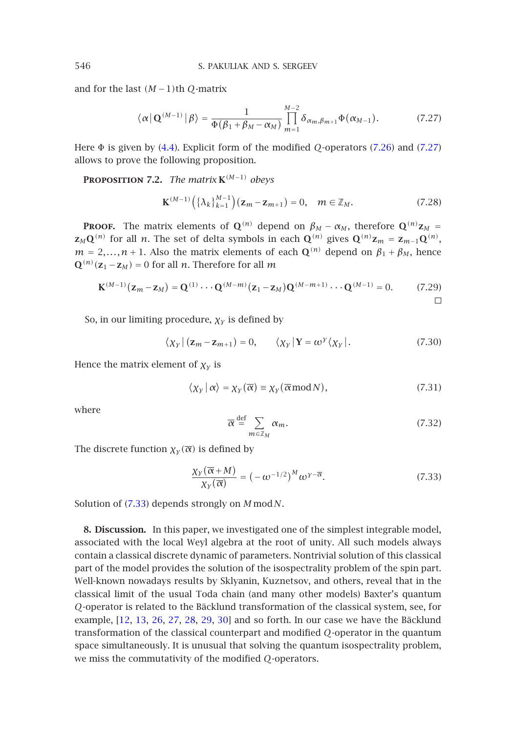and for the last *(M* −1*)*th *Q*-matrix

$$
\langle \alpha \, | \, \mathbf{Q}^{(M-1)} \, | \, \beta \rangle = \frac{1}{\Phi(\beta_1 + \beta_M - \alpha_M)} \prod_{m=1}^{M-2} \delta_{\alpha_m, \beta_{m+1}} \Phi(\alpha_{M-1}). \tag{7.27}
$$

Here Φ is given by (4.4). Explicit form of the modified *Q*-operators (7.26) and (7.27) allows to prove the following proposition.

**PROPOSITION 7.2.** *The matrix*  $K^{(M-1)}$  *obeys* 

$$
\mathbf{K}^{(M-1)}\left(\{\lambda_k\}_{k=1}^{M-1}\right)(\mathbf{z}_m - \mathbf{z}_{m+1}) = 0, \quad m \in \mathbb{Z}_M. \tag{7.28}
$$

**PROOF.** The matrix elements of  $\mathbf{Q}^{(n)}$  depend on  $\beta_M - \alpha_M$ , therefore  $\mathbf{Q}^{(n)}\mathbf{z}_M =$ **z**<sub>*M*</sub>**Q**<sup>(*n*)</sup> for all *n*. The set of delta symbols in each **Q**<sup>(*n*)</sup> gives **Q**<sup>(*n*)</sup>**z**<sub>*m*</sub> = **z**<sub>*m*−1</sub>**Q**<sup>(*n*)</sup>,  $m = 2,...,n + 1$ . Also the matrix elements of each **Q**<sup>(n)</sup> depend on  $\beta_1 + \beta_M$ , hence  $\mathbf{Q}^{(n)}(\mathbf{z}_1 - \mathbf{z}_M) = 0$  for all *n*. Therefore for all *m* 

$$
\mathbf{K}^{(M-1)}(\mathbf{z}_m - \mathbf{z}_M) = \mathbf{Q}^{(1)} \cdots \mathbf{Q}^{(M-m)}(\mathbf{z}_1 - \mathbf{z}_M) \mathbf{Q}^{(M-m+1)} \cdots \mathbf{Q}^{(M-1)} = 0.
$$
 (7.29)

So, in our limiting procedure, *χγ* is defined by

$$
\langle \chi_{\gamma} | (\mathbf{z}_m - \mathbf{z}_{m+1}) = 0, \qquad \langle \chi_{\gamma} | \mathbf{Y} = \omega^{\gamma} \langle \chi_{\gamma} |.
$$
 (7.30)

Hence the matrix element of  $\chi_{\gamma}$  is

$$
\langle \chi_{\gamma} | \alpha \rangle = \chi_{\gamma}(\overline{\alpha}) \equiv \chi_{\gamma}(\overline{\alpha} \mod N), \tag{7.31}
$$

where

$$
\overline{\alpha} \stackrel{\text{def}}{=} \sum_{m \in \mathbb{Z}_M} \alpha_m. \tag{7.32}
$$

The discrete function  $\chi_{\gamma}(\overline{\alpha})$  is defined by

$$
\frac{\chi_{\gamma}(\overline{\alpha}+M)}{\chi_{\gamma}(\overline{\alpha})} = (-\omega^{-1/2})^M \omega^{\gamma-\overline{\alpha}}.
$$
 (7.33)

Solution of (7.33) depends strongly on *M* mod*N*.

**8. Disc[ussi](#page-39-7)[on.](#page-39-8)** [In](#page-40-0) t[his](#page-40-6) [pap](#page-40-7)[er,](#page-40-8) [we in](#page-40-9)vestigated one of the simplest integrable model, associated with the local Weyl algebra at the root of unity. All such models always contain a classical discrete dynamic of parameters. Nontrivial solution of this classical part of the model provides the solution of the isospectrality problem of the spin part. Well-known nowadays results by Sklyanin, Kuznetsov, and others, reveal that in the classical limit of the usual Toda chain (and many other models) Baxter's quantum *Q*-operator is related to the Bäcklund transformation of the classical system, see, for example, [12, 13, 26, 27, 28, 29, 30] and so forth. In our case we have the Bäcklund transformation of the classical counterpart and modified *Q*-operator in the quantum space simultaneously. It is unusual that solving the quantum isospectrality problem, we miss the commutativity of the modified *Q*-operators.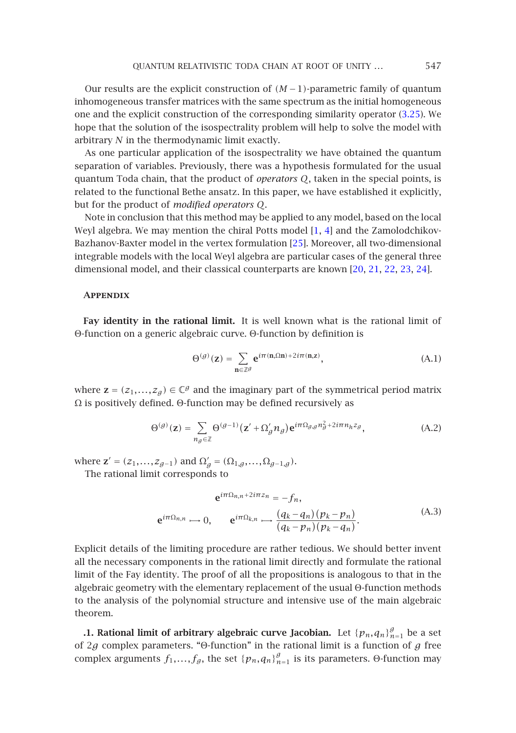Our results are the explicit construction of *(M* −1*)*-parametric family of quantum inhomogeneous transfer matrices with the same spectrum as the initial homogeneous one and the explicit construction of the corresponding similarity operator (3.25). We hope that the solution of the isospectrality problem will help to solve the model with arbitrary *N* in the thermodynamic limit exactly.

As one particular application of the isospectral[ity](#page-40-1) we have obtained the quantum separation of variables. Previously, there was a hypothesis formulated for the usual quantum Toda chain, that the product of *operators Q*, taken in [the](#page-40-14) [spe](#page-40-15)[cial](#page-40-11) [po](#page-40-12)[ints](#page-40-13), is related to the functional Bethe ansatz. In this paper, we have established it explicitly, but for the product of *modified operators Q*.

Note in conclusion that this method may be applied to any model, based on the local Weyl algebra. We may mention the chiral Potts model [1, 4] and the Zamolodchikov-Bazhanov-Baxter model in the vertex formulation [25]. Moreover, all two-dimensional integrable models with the local Weyl algebra are particular cases of the general three dimensional model, and their classical counterparts are known [20, 21, 22, 23, 24].

## **Appendix**

**Fay identity in the rational limit.** It is well known what is the rational limit of Θ-function on a generic algebraic curve. Θ-function by definition is

<span id="page-34-0"></span>
$$
\Theta^{(g)}(\mathbf{z}) = \sum_{\mathbf{n} \in \mathbb{Z}^g} \mathbf{e}^{i\pi(\mathbf{n},\Omega\mathbf{n}) + 2i\pi(\mathbf{n},\mathbf{z})},\tag{A.1}
$$

where  $z = (z_1, \ldots, z_g) \in \mathbb{C}^g$  and the imaginary part of the symmetrical period matrix Ω is positively defined. Θ-function may be defined recursively as

$$
\Theta^{(g)}(\mathbf{z}) = \sum_{n_g \in \mathbb{Z}} \Theta^{(g-1)}(\mathbf{z}' + \Omega'_g n_g) \mathbf{e}^{i\pi \Omega_{g,g} n_g^2 + 2i\pi n_h z_g}, \tag{A.2}
$$

where  $\mathbf{z}' = (z_1, \ldots, z_{g-1})$  and  $\Omega'_g = (\Omega_{1,g}, \ldots, \Omega_{g-1,g}).$ 

The rational limit corresponds to

$$
\mathbf{e}^{i\pi\Omega_{n,n}+2i\pi z_n} = -f_n,
$$
\n
$$
\mathbf{e}^{i\pi\Omega_{n,n}} \longrightarrow 0, \qquad \mathbf{e}^{i\pi\Omega_{k,n}} \longmapsto \frac{(q_k - q_n)(p_k - p_n)}{(q_k - p_n)(p_k - q_n)}.
$$
\n(A.3)

Explicit details of the limiting procedure are rather tedious. We should better invent all the necessary components in the rational limit directly and formulate the rational limit of the Fay identity. The proof of all the propositions is analogous to that in the algebraic geometry with the elementary replacement of the usual Θ-function methods to the analysis of the polynomial structure and intensive use of the main algebraic theorem.

**.1. Rational limit of arbitrary algebraic curve Jacobian.** Let  $\{p_n, q_n\}_{n=1}^g$  be a set of 2*g* complex parameters. "Θ-function" in the rational limit is a function of *g* free complex arguments  $f_1,...,f_g$ , the set  $\{p_n,q_n\}_{n=1}^g$  is its parameters. Θ-function may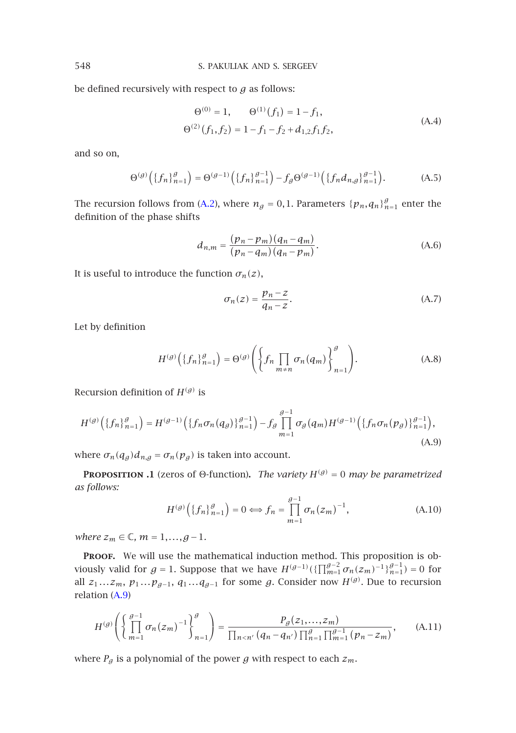be defined recursively with respect to *g* as follows:

$$
\Theta^{(0)} = 1, \qquad \Theta^{(1)}(f_1) = 1 - f_1,
$$
  

$$
\Theta^{(2)}(f_1, f_2) = 1 - f_1 - f_2 + d_{1,2} f_1 f_2,
$$
 (A.4)

and so on,

$$
\Theta^{(g)}\left(\{f_n\}_{n=1}^g\right) = \Theta^{(g-1)}\left(\{f_n\}_{n=1}^{g-1}\right) - f_g \Theta^{(g-1)}\left(\{f_n d_{n,g}\}_{n=1}^{g-1}\right). \tag{A.5}
$$

The recursion follows from (A.2), where  $n_g = 0, 1$ . Parameters  $\{p_n, q_n\}_{n=1}^g$  enter the definition of the phase shifts

$$
d_{n,m} = \frac{(p_n - p_m)(q_n - q_m)}{(p_n - q_m)(q_n - p_m)}.
$$
 (A.6)

<span id="page-35-1"></span>It is useful to introduce the function  $\sigma_n(z)$ ,

$$
\sigma_n(z) = \frac{p_n - z}{q_n - z}.\tag{A.7}
$$

Let by definition

$$
H^{(g)}\left(\{f_n\}_{n=1}^g\right) = \Theta^{(g)}\left(\left\{f_n \prod_{m \neq n} \sigma_n(q_m)\right\}_{n=1}^g\right). \tag{A.8}
$$

<span id="page-35-0"></span>Recursion definition of  $H^{(g)}$  is

$$
H^{(g)}\left(\{f_n\}_{n=1}^g\right) = H^{(g-1)}\left(\{f_n\sigma_n(q_g)\}_{n=1}^{g-1}\right) - f_g \prod_{m=1}^{g-1} \sigma_g(q_m) H^{(g-1)}\left(\{f_n\sigma_n(p_g)\}_{n=1}^{g-1}\right),\tag{A.9}
$$

where  $\sigma_n(q_g)d_{n,g} = \sigma_n(p_g)$  is taken into account.

**PROPOSITION .1** (zeros of Θ-function). *The variety*  $H^{(g)} = 0$  *may be parametrized as follows:*

$$
H^{(g)}\left(\{f_n\}_{n=1}^g\right) = 0 \Longleftrightarrow f_n = \prod_{m=1}^{g-1} \sigma_n (z_m)^{-1},\tag{A.10}
$$

*where*  $z_m$  ∈ ℂ,  $m = 1, ..., g - 1$ .

PROOF. We will use the mathematical induction method. This proposition is obviously valid for  $g = 1$ . Suppose that we have  $H^{(g-1)}(\{\prod_{m=1}^{g-2} \sigma_n(z_m)^{-1}\}_{n=1}^{g-1}) = 0$  for all  $z_1 \dots z_m$ ,  $p_1 \dots p_{g-1}$ ,  $q_1 \dots q_{g-1}$  for some *g*. Consider now  $H^{(g)}$ . Due to recursion relation (A.9)

$$
H^{(g)}\left(\left\{\prod_{m=1}^{g-1} \sigma_n(z_m)^{-1}\right\}_{n=1}^g\right) = \frac{P_g(z_1,\ldots,z_m)}{\prod_{n < n'} (q_n - q_{n'}) \prod_{n=1}^g \prod_{m=1}^{g-1} (p_n - z_m)},\tag{A.11}
$$

where  $P_g$  is a polynomial of the power  $g$  with respect to each  $z_m$ .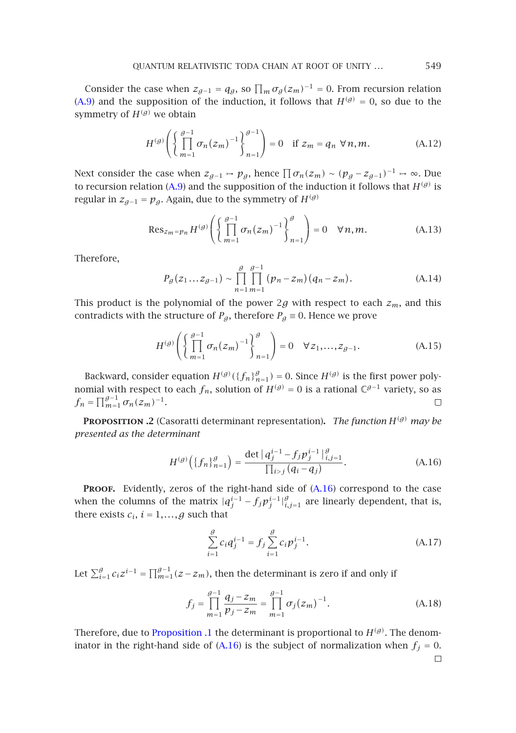Consider the case when  $z_{g-1} = q_g$ , so  $\prod_m \sigma_g(z_m)^{-1} = 0$ . From recursion relation (A.9) and the suppo[sition](#page-35-1) of the induction, it follows that  $H^{(g)} = 0$ , so due to the symmetry of  $H^{(g)}$  we obtain

$$
H^{(g)}\left(\left\{\prod_{m=1}^{g-1}\sigma_n(z_m)^{-1}\right\}_{n=1}^{g-1}\right)=0 \quad \text{if } z_m=q_n \,\,\forall n,m. \tag{A.12}
$$

Next consider the case when  $z_{g-1} \mapsto p_g$ , hence  $\prod \sigma_n(z_m) \sim (p_g - z_{g-1})^{-1} \mapsto \infty$ . Due to recursion relation (A.9) and the supposition of the induction it follows that  $H^{(g)}$  is regular in  $z_{g-1} = p_g$ . Again, due to the symmetry of *H*<sup>(*g*)</sup>

$$
\operatorname{Res}_{z_m = p_n} H^{(g)} \left( \left\{ \prod_{m=1}^{g-1} \sigma_n(z_m)^{-1} \right\}_{n=1}^g \right) = 0 \quad \forall n, m. \tag{A.13}
$$

Therefore,

$$
P_g(z_1...z_{g-1}) \sim \prod_{n=1}^{g} \prod_{m=1}^{g-1} (p_n - z_m)(q_n - z_m).
$$
 (A.14)

This product is the polynomial of the power 2g with respect to each  $z_m$ , and this contradicts with the structure of  $P_g$ , therefore  $P_g \equiv 0$ . Hence we prove

<span id="page-36-1"></span>
$$
H^{(g)}\left(\left\{\prod_{m=1}^{g-1}\sigma_n(z_m)^{-1}\right\}_{n=1}^g\right) = 0 \quad \forall z_1, \dots, z_{g-1}.
$$
 (A.15)

Backward, consider equation  $H^{(g)}(\{f_n\}_{n=1}^g) = 0$ . Since  $H^{(g)}$  is the first power polynomial with respect to each  $f_n$ , solution of  $H^{(g)} = 0$  is a rational  $\mathbb{C}^{g-1}$  variety, so as  $f_n = \prod_{m=1}^{g-1} \sigma_n(z_m)^{-1}.$ 

**PROPOSITION .2** (Casoratti determinant representation). *The function*  $H^{(g)}$  *may be presented as the determinant*

$$
H^{(g)}\left(\{f_n\}_{n=1}^g\right) = \frac{\det |q_j^{i-1} - f_j p_j^{i-1}|_{i,j=1}^g}{\prod_{i > j} (q_i - q_j)}.
$$
 (A.16)

PROOF. Evidently, zeros of the right-hand side of  $(A.16)$  correspond to the case when the columns of the matrix  $|q_j^{i-1} - f_j p_j^{i-1}|_{i,j=1}^g$  are linearly dependent, that is, there exists  $c_i$ ,  $i = 1, \ldots, g$  such that

$$
\sum_{i=1}^{g} c_i q_j^{i-1} = f_j \sum_{i=1}^{g} c_i p_j^{i-1}.
$$
\n(A.17)

<span id="page-36-0"></span>Let  $\sum_{i=1}^{g} c_i z^{i-1} = \prod_{m=1}^{g-1} (z - z_m)$ , then the determinant is zero if and only if

$$
f_j = \prod_{m=1}^{g-1} \frac{q_j - z_m}{p_j - z_m} = \prod_{m=1}^{g-1} \sigma_j (z_m)^{-1}.
$$
 (A.18)

Therefore, due to Proposition .1 the determinant is proportional to  $H^{(g)}$ . The denominator in the right-hand side of  $(A.16)$  is the subject of normalization when  $f_j = 0$ .  $\Box$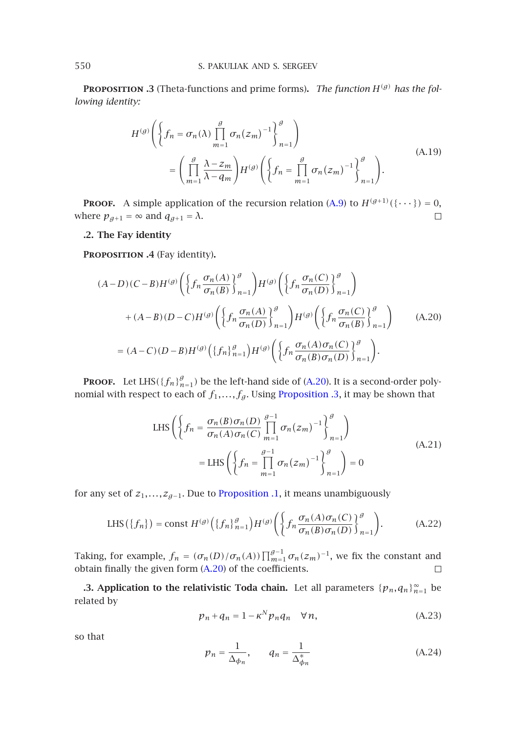**Proposition .3** (Theta-functions and prime forms)**.** *The function H(g) has the following identity:*

$$
H^{(g)}\left(\left\{f_n = \sigma_n(\lambda)\prod_{m=1}^g \sigma_n(z_m)^{-1}\right\}_{n=1}^g\right)
$$
  
= 
$$
\left(\prod_{m=1}^g \frac{\lambda - z_m}{\lambda - q_m}\right)H^{(g)}\left(\left\{f_n = \prod_{m=1}^g \sigma_n(z_m)^{-1}\right\}_{n=1}^g\right).
$$
 (A.19)

<span id="page-37-0"></span>**PROOF.** A simple application of the recursion relation (A.9) to  $H^{(g+1)}(\{\cdots\}) = 0$ , where  $p_{g+1} = \infty$  and  $q_{g+1} = \lambda$ .  $\Box$ 

# **.2. The Fay identity**

**Proposition .4** (Fay identity)**.**

$$
(A-D)(C-B)H^{(g)}\left(\left\{fn\frac{\sigma_n(A)}{\sigma_n(B)}\right\}_{n=1}^g\right)H^{(g)}\left(\left\{fn\frac{\sigma_n(C)}{\sigma_n(D)}\right\}_{n=1}^g\right)
$$

$$
+(A-B)(D-C)H^{(g)}\left(\left\{fn\frac{\sigma_n(A)}{\sigma_n(D)}\right\}_{n=1}^g\right)H^{(g)}\left(\left\{fn\frac{\sigma_n(C)}{\sigma_n(B)}\right\}_{n=1}^g\right) \qquad (A.20)
$$

$$
=(A-C)(D-B)H^{(g)}\left(\left\{fn\right\}_{n=1}^g\right)H^{(g)}\left(\left\{fn\frac{\sigma_n(A)\sigma_n(C)}{\sigma_n(B)\sigma_n(D)}\right\}_{n=1}^g\right).
$$

**PROOF.** Let LHS( ${f_n}_{n=1}^g$ ) be the left-hand side of (A.20). It is a second-order polynomial with respect to each of  $f_1, \ldots, f_g$ . Using Proposition .3, it may be shown that

LHS 
$$
\left\{ f_n = \frac{\sigma_n(B)\sigma_n(D)}{\sigma_n(A)\sigma_n(C)} \prod_{m=1}^{g-1} \sigma_n(z_m)^{-1} \right\}_{n=1}^g
$$

$$
= LHS \left( \left\{ f_n = \prod_{m=1}^{g-1} \sigma_n(z_m)^{-1} \right\}_{n=1}^g \right) = 0
$$
\n(A.21)

for any set of  $z_1, \ldots, z_{g-1}$ . Due to Proposition .1, it means unambiguously

LHS 
$$
(\{f_n\})
$$
 = const  $H^{(g)}(\{f_n\}_{n=1}^g)H^{(g)}(\{f_n\frac{\sigma_n(A)\sigma_n(C)}{\sigma_n(B)\sigma_n(D)}\}_{n=1}^g)$ . (A.22)

Taking, for example,  $f_n = (\sigma_n(D)/\sigma_n(A)) \prod_{m=1}^{g-1} \sigma_n(z_m)^{-1}$ , we fix the constant and obtain finally the given form (A.20) of the coefficients.  $\Box$ 

**.3. Application to the relativistic Toda chain.** Let all parameters  $\{p_n, q_n\}_{n=1}^{\infty}$  be related by

$$
p_n + q_n = 1 - \kappa^N p_n q_n \quad \forall n,
$$
 (A.23)

so that

$$
p_n = \frac{1}{\Delta_{\phi_n}}, \qquad q_n = \frac{1}{\Delta_{\phi_n}^*}
$$
 (A.24)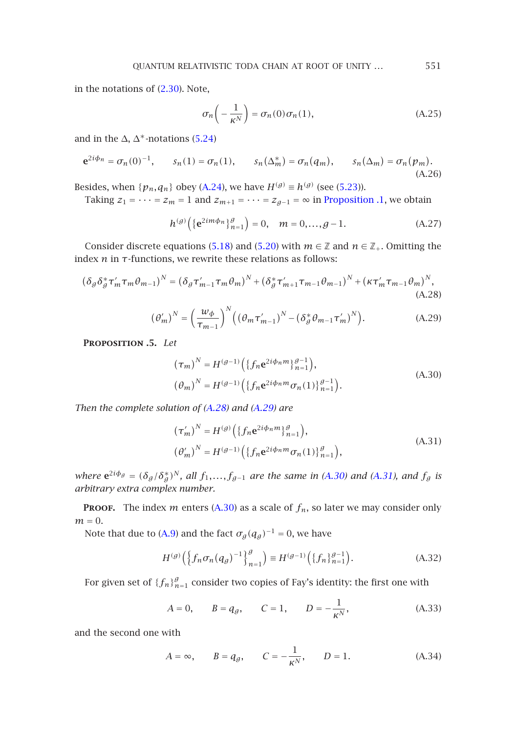in the notations of (2.30). Note,

<span id="page-38-1"></span><span id="page-38-0"></span>
$$
\sigma_n\left(-\frac{1}{\kappa^N}\right) = \sigma_n(0)\sigma_n(1),\tag{A.25}
$$

and in the  $\Delta$ ,  $\Delta^*$ -notations (5.24)

$$
\mathbf{e}^{2i\phi_n} = \sigma_n(0)^{-1}, \qquad s_n(1) = \sigma_n(1), \qquad s_n(\Delta_m^*) = \sigma_n(q_m), \qquad s_n(\Delta_m) = \sigma_n(p_m). \tag{A.26}
$$

Besides, when  $\{p_n, q_n\}$  obey (A.24), we have  $H^{(g)} \equiv h^{(g)}$  (see (5.23)).

Taking  $z_1 = \cdots = z_m = 1$  and  $z_{m+1} = \cdots = z_{g-1} = \infty$  in Proposition .1, we obtain

$$
h^{(g)}\left(\{\mathbf{e}^{2im\phi_n}\}_{n=1}^g\right) = 0, \quad m = 0, \dots, g-1. \tag{A.27}
$$

<span id="page-38-2"></span>Consider discrete equations (5.18) and (5.20) with  $m \in \mathbb{Z}$  and  $n \in \mathbb{Z}_+$ . Omitting the index  $n$  in  $τ$ -functions, we rewrite these relations as follows:

$$
(\delta_{g}\delta_{g}^{*}\tau_{m}^{\prime}\tau_{m}\theta_{m-1})^{N} = (\delta_{g}\tau_{m-1}^{\prime}\tau_{m}\theta_{m})^{N} + (\delta_{g}^{*}\tau_{m+1}^{\prime}\tau_{m-1}\theta_{m-1})^{N} + (\kappa\tau_{m}^{\prime}\tau_{m-1}\theta_{m})^{N},
$$
\n(A.28)

$$
\left(\theta'_{m}\right)^{N} = \left(\frac{w_{\phi}}{\tau_{m-1}}\right)^{N} \left(\left(\theta_{m}\tau'_{m-1}\right)^{N} - \left(\delta_{\theta}^{*}\theta_{m-1}\tau'_{m}\right)^{N}\right). \tag{A.29}
$$

**Proposition .5.** *Let*

$$
(\tau_m)^N = H^{(g-1)} \Big( \{ f_n e^{2i\phi_n m} \}_{n=1}^{g-1} \Big),
$$
  
\n
$$
(\theta_m)^N = H^{(g-1)} \Big( \{ f_n e^{2i\phi_n m} \sigma_n(1) \}_{n=1}^{g-1} \Big).
$$
\n(A.30)

*Then the complete solution of (A.28) and (A.29) are*

$$
(\tau'_{m})^{N} = H^{(g)}\Big(\{f_{n}e^{2i\phi_{n}m}\}_{n=1}^{g}\Big),
$$
  
\n
$$
(\theta'_{m})^{N} = H^{(g-1)}\Big(\{f_{n}e^{2i\phi_{n}m}\sigma_{n}(1)\}_{n=1}^{g}\Big),
$$
\n(A.31)

*where*  $e^{2i\phi_g} = (\delta_g/\delta_g^*)^N$ , all  $f_1, \ldots, f_{g-1}$  are the same in (A.30) and (A.31), and  $f_g$  is *arbitrary extra complex number.*

**PROOF.** The index *m* enters (A.30) as a scale of  $f_n$ , so later we may consider only  $m = 0$ .

Note that due to (A.9) and the fact  $\sigma_g(q_g)^{-1} = 0$ , we have

$$
H^{(g)}\left(\left\{f_n \sigma_n (q_g)^{-1}\right\}_{n=1}^g\right) \equiv H^{(g-1)}\left(\left\{f_n\right\}_{n=1}^{g-1}\right). \tag{A.32}
$$

For given set of  $\left\{f_{n}\right\}_{n=1}^{g}$  consider two copies of Fay's identity: the first one with

$$
A = 0,
$$
  $B = q_g,$   $C = 1,$   $D = -\frac{1}{K^N},$  (A.33)

and the second one with

$$
A = \infty
$$
,  $B = q_g$ ,  $C = -\frac{1}{\kappa^N}$ ,  $D = 1$ . (A.34)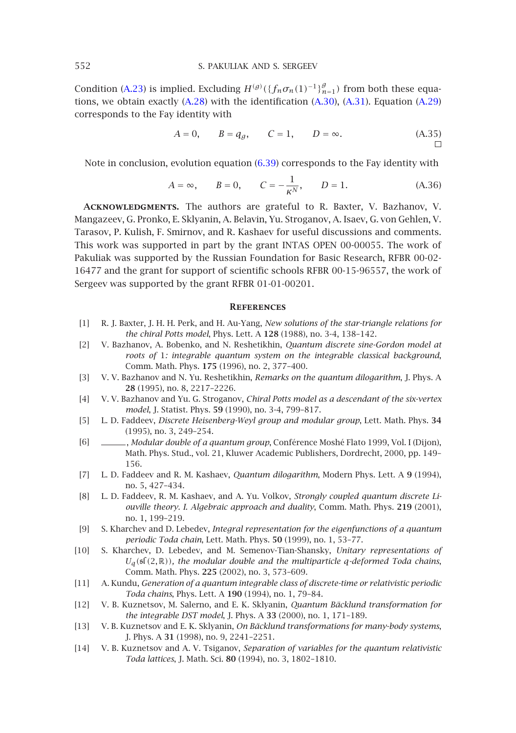Condition (A.23) is implied. Excluding  $H^{(g)}(\{f_n \sigma_n(1)^{-1}\}_{n=1}^g)$  from both these equations, we obtain exactly  $(A.28)$  with the identification  $(A.30)$ ,  $(A.31)$ . Equation  $(A.29)$ corresponds to the Fay identity with

$$
A = 0,
$$
  $B = q_g,$   $C = 1,$   $D = \infty.$  (A.35)

Note in conclusion, evolution equation (6.39) corresponds to the Fay identity with

$$
A = \infty
$$
,  $B = 0$ ,  $C = -\frac{1}{\kappa^N}$ ,  $D = 1$ . (A.36)

<span id="page-39-4"></span>**Acknowledgments.** The authors are grateful to R. Baxter, V. Bazhanov, V. Mangazeev, G. Pronko, E. Sklyanin, A. Belavin, Yu. Stroganov, A. Isaev, G. von Gehlen, V. Tarasov, P. Kulish, F. Smirnov, and R. Kashaev for useful discussions and comments. This work was supported in part by the grant INTAS OPEN 00-00055. The work of Pakuliak was supported by the Russian Foundation for Basic Research, RFBR 00-02- 16477 and the grant for support of scientific schools RFBR 00-15-96557, the work of Sergeev was supported by the grant RFBR 01-01-00201.

#### **References**

- <span id="page-39-5"></span><span id="page-39-0"></span>[1] R. J. Baxter, J. H. H. Perk, and H. Au-Yang, *New solutions of the star-triangle relations for the chiral Potts model*, Phys. Lett. A **128** (1988), no. 3-4, 138–142.
- <span id="page-39-1"></span>[2] V. Bazhanov, A. Bobenko, and N. Reshetikhin, *Quantum discrete sine-Gordon model at roots of* 1*: integrable quantum system on the integrable classical background*, Comm. Math. Phys. **175** (1996), no. 2, 377–400.
- [3] V. V. Bazhanov and N. Yu. Reshetikhin, *Remarks on the quantum dilogarithm*, J. Phys. A **28** (1995), no. 8, 2217–2226.
- <span id="page-39-2"></span>[4] V. V. Bazhanov and Yu. G. Stroganov, *Chiral Potts model as a descendant of the six-vertex model*, J. Statist. Phys. **59** (1990), no. 3-4, 799–817.
- [5] L. D. Faddeev, *Discrete Heisenberg-Weyl group and modular group*, Lett. Math. Phys. **34** (1995), no. 3, 249–254.
- <span id="page-39-6"></span><span id="page-39-3"></span>[6] , *Modular double of a quantum group*, Conférence Moshé Flato 1999, Vol. I (Dijon), Math. Phys. Stud., vol. 21, Kluwer Academic Publishers, Dordrecht, 2000, pp. 149– 156.
- [7] L. D. Faddeev and R. M. Kashaev, *Quantum dilogarithm*, Modern Phys. Lett. A **9** (1994), no. 5, 427–434.
- <span id="page-39-7"></span>[8] L. D. Faddeev, R. M. Kashaev, and A. Yu. Volkov, *Strongly coupled quantum discrete Liouville theory. I. Algebraic approach and duality*, Comm. Math. Phys. **219** (2001), no. 1, 199–219.
- [9] S. Kharchev and D. Lebedev, *Integral representation for the eigenfunctions of a quantum periodic Toda chain*, Lett. Math. Phys. **50** (1999), no. 1, 53–77.
- <span id="page-39-8"></span>[10] S. Kharchev, D. Lebedev, and M. Semenov-Tian-Shansky, *Unitary representations of*  $U_q$ (s $f(2, \mathbb{R})$ ), the modular double and the multiparticle q-deformed Toda chains, Comm. Math. Phys. **225** (2002), no. 3, 573–609.
- [11] A. Kundu, *Generation of a quantum integrable class of discrete-time or relativistic periodic Toda chains*, Phys. Lett. A **190** (1994), no. 1, 79–84.
- [12] V. B. Kuznetsov, M. Salerno, and E. K. Sklyanin, *Quantum Bäcklund transformation for the integrable DST model*, J. Phys. A **33** (2000), no. 1, 171–189.
- [13] V. B. Kuznetsov and E. K. Sklyanin, *On Bäcklund transformations for many-body systems*, J. Phys. A **31** (1998), no. 9, 2241–2251.
- [14] V. B. Kuznetsov and A. V. Tsiganov, *Separation of variables for the quantum relativistic Toda lattices*, J. Math. Sci. **80** (1994), no. 3, 1802–1810.